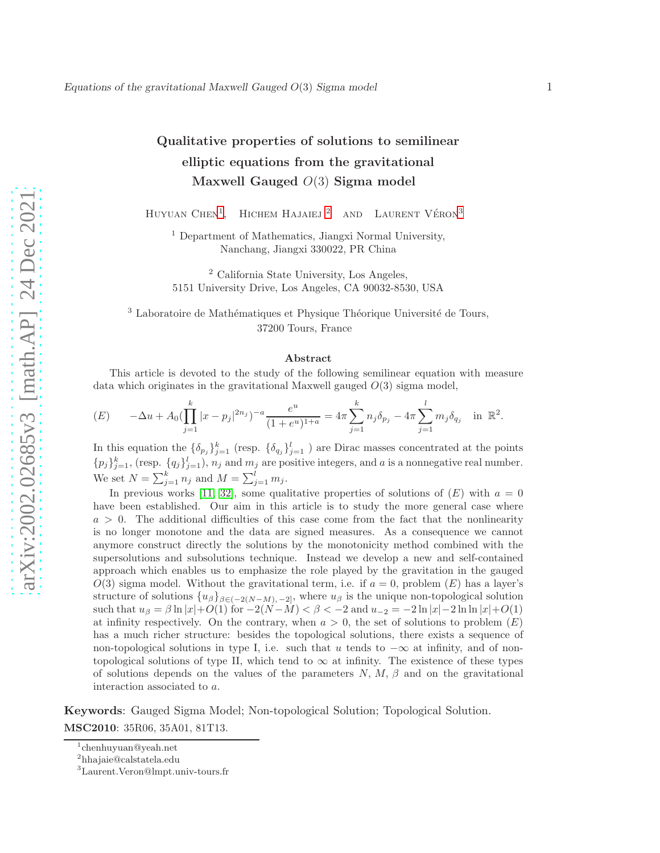# Qualitative properties of solutions to semilinear elliptic equations from the gravitational Maxwell Gauged  $O(3)$  Sigma model

HUYUAN  $CHEN<sup>1</sup>$  $CHEN<sup>1</sup>$  $CHEN<sup>1</sup>$ , HICHEM HAJAIEJ  $^2$  $^2$  AND LAURENT VÉRON<sup>[3](#page-0-2)</sup>

<sup>1</sup> Department of Mathematics, Jiangxi Normal University, Nanchang, Jiangxi 330022, PR China

<sup>2</sup> California State University, Los Angeles, 5151 University Drive, Los Angeles, CA 90032-8530, USA

 $3$  Laboratoire de Mathématiques et Physique Théorique Université de Tours, 37200 Tours, France

#### Abstract

This article is devoted to the study of the following semilinear equation with measure data which originates in the gravitational Maxwell gauged  $O(3)$  sigma model,

$$
(E) \qquad -\Delta u + A_0 \left( \prod_{j=1}^k |x - p_j|^{2n_j} \right)^{-a} \frac{e^u}{(1 + e^u)^{1+a}} = 4\pi \sum_{j=1}^k n_j \delta_{p_j} - 4\pi \sum_{j=1}^l m_j \delta_{q_j} \quad \text{in } \mathbb{R}^2.
$$

In this equation the  $\{\delta_{p_j}\}_{j=1}^k$  (resp.  $\{\delta_{q_j}\}_{j=1}^l$ ) are Dirac masses concentrated at the points  ${p_j}_{j=1}^k$ , (resp.  ${q_j}_{j=1}^l$ ),  $n_j$  and  $m_j$  are positive integers, and a is a nonnegative real number. We set  $N = \sum_{j=1}^{k} n_j$  and  $M = \sum_{j=1}^{l} m_j$ .

In previous works [\[11,](#page-38-0) [32\]](#page-39-0), some qualitative properties of solutions of  $(E)$  with  $a = 0$ have been established. Our aim in this article is to study the more general case where  $a > 0$ . The additional difficulties of this case come from the fact that the nonlinearity is no longer monotone and the data are signed measures. As a consequence we cannot anymore construct directly the solutions by the monotonicity method combined with the supersolutions and subsolutions technique. Instead we develop a new and self-contained approach which enables us to emphasize the role played by the gravitation in the gauged  $O(3)$  sigma model. Without the gravitational term, i.e. if  $a = 0$ , problem  $(E)$  has a layer's structure of solutions  $\{u_{\beta}\}_{\beta \in (-2(N-M), -2]}$ , where  $u_{\beta}$  is the unique non-topological solution such that  $u_{\beta} = \beta \ln |x| + O(1)$  for  $-2(N-M) < \beta < -2$  and  $u_{-2} = -2 \ln |x| - 2 \ln \ln |x| + O(1)$ at infinity respectively. On the contrary, when  $a > 0$ , the set of solutions to problem  $(E)$ has a much richer structure: besides the topological solutions, there exists a sequence of non-topological solutions in type I, i.e. such that u tends to  $-\infty$  at infinity, and of nontopological solutions of type II, which tend to  $\infty$  at infinity. The existence of these types of solutions depends on the values of the parameters  $N, M, \beta$  and on the gravitational interaction associated to a.

Keywords: Gauged Sigma Model; Non-topological Solution; Topological Solution. MSC2010: 35R06, 35A01, 81T13.

<sup>1</sup> chenhuyuan@yeah.net

<span id="page-0-0"></span><sup>2</sup> hhajaie@calstatela.edu

<span id="page-0-2"></span><span id="page-0-1"></span><sup>3</sup>Laurent.Veron@lmpt.univ-tours.fr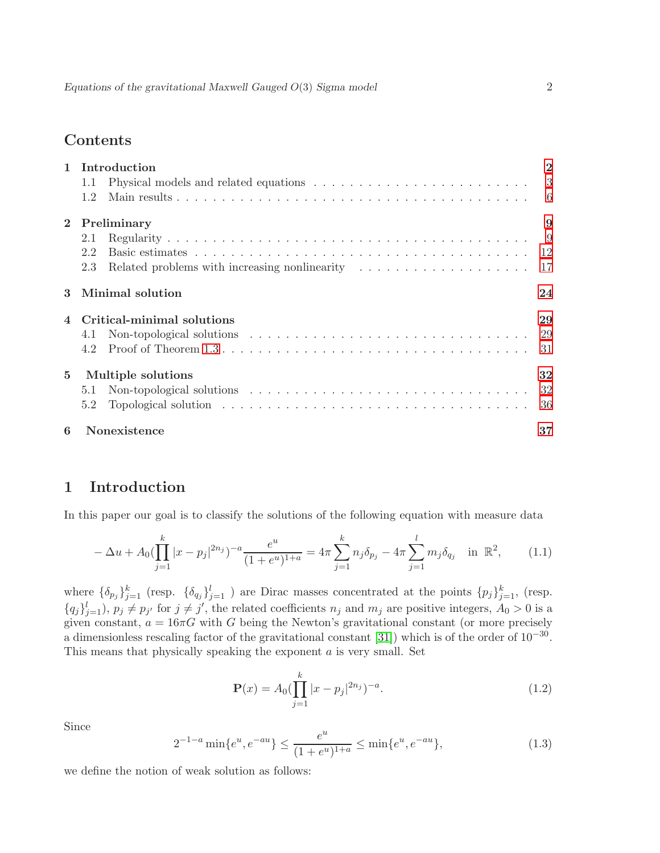# Contents

|              | Introduction                                                                                                                                                                                                                          |                           |  |  |  |
|--------------|---------------------------------------------------------------------------------------------------------------------------------------------------------------------------------------------------------------------------------------|---------------------------|--|--|--|
|              | Physical models and related equations $\dots \dots \dots \dots \dots \dots \dots \dots \dots$<br>1.1                                                                                                                                  | $\overline{\phantom{a}3}$ |  |  |  |
|              | 1.2                                                                                                                                                                                                                                   | - 6                       |  |  |  |
| $\mathbf{2}$ | Preliminary                                                                                                                                                                                                                           |                           |  |  |  |
|              | 2.1                                                                                                                                                                                                                                   | - 9                       |  |  |  |
|              | 2.2                                                                                                                                                                                                                                   |                           |  |  |  |
|              | 2.3                                                                                                                                                                                                                                   | 17                        |  |  |  |
|              | Minimal solution                                                                                                                                                                                                                      | 24                        |  |  |  |
|              | Critical-minimal solutions                                                                                                                                                                                                            | 29                        |  |  |  |
|              | 4.1                                                                                                                                                                                                                                   | 29                        |  |  |  |
|              | 4.2                                                                                                                                                                                                                                   | 31                        |  |  |  |
| $\mathbf{5}$ | Multiple solutions                                                                                                                                                                                                                    | 32                        |  |  |  |
|              | Non-topological solutions $\ldots \ldots \ldots \ldots \ldots \ldots \ldots \ldots \ldots \ldots$<br>5.1                                                                                                                              | 32                        |  |  |  |
|              | Topological solution with the set of the set of the set of the set of the set of the set of the set of the set of the set of the set of the set of the set of the set of the set of the set of the set of the set of the set o<br>5.2 | 36                        |  |  |  |
| 6            | Nonexistence                                                                                                                                                                                                                          | 37                        |  |  |  |

# <span id="page-1-0"></span>1 Introduction

In this paper our goal is to classify the solutions of the following equation with measure data

<span id="page-1-1"></span>
$$
-\Delta u + A_0 \left(\prod_{j=1}^k |x - p_j|^{2n_j}\right)^{-a} \frac{e^u}{(1 + e^u)^{1+a}} = 4\pi \sum_{j=1}^k n_j \delta_{p_j} - 4\pi \sum_{j=1}^l m_j \delta_{q_j} \quad \text{in } \mathbb{R}^2,
$$
 (1.1)

where  $\{\delta_{p_j}\}_{j=1}^k$  (resp.  $\{\delta_{q_j}\}_{j=1}^l$ ) are Dirac masses concentrated at the points  $\{p_j\}_{j=1}^k$ , (resp.  ${q_j}_{j=1}^l$ ,  $p_j \neq p_{j'}$  for  $j \neq j'$ , the related coefficients  $n_j$  and  $m_j$  are positive integers,  $A_0 > 0$  is a given constant,  $a = 16\pi G$  with G being the Newton's gravitational constant (or more precisely a dimensionless rescaling factor of the gravitational constant [\[31\]](#page-39-1)) which is of the order of  $10^{-30}$ . This means that physically speaking the exponent  $a$  is very small. Set

$$
\mathbf{P}(x) = A_0 \left( \prod_{j=1}^k |x - p_j|^{2n_j} \right)^{-a}.
$$
 (1.2)

Since

$$
2^{-1-a}\min\{e^u, e^{-au}\} \le \frac{e^u}{(1+e^u)^{1+a}} \le \min\{e^u, e^{-au}\},\tag{1.3}
$$

we define the notion of weak solution as follows: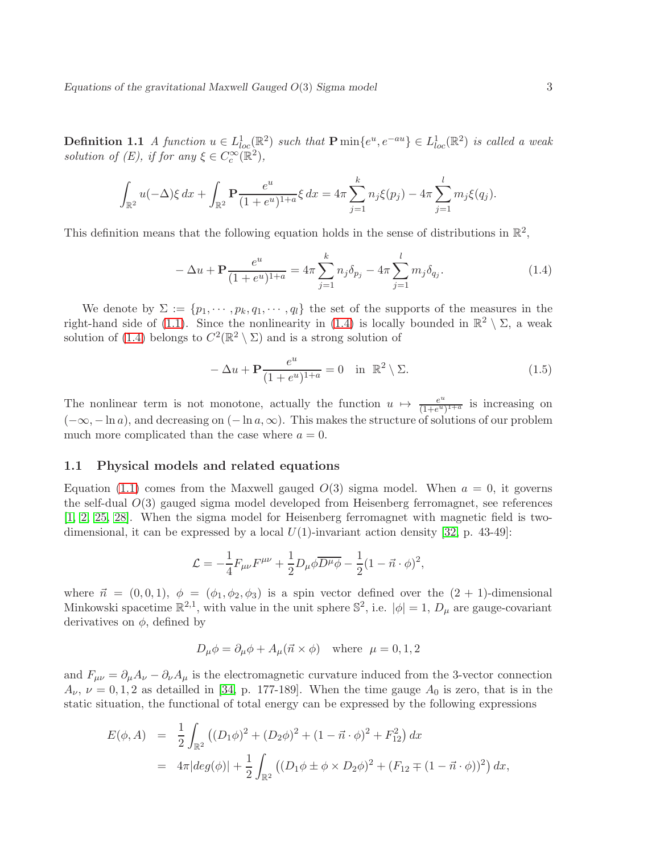**Definition 1.1** A function  $u \in L^1_{loc}(\mathbb{R}^2)$  such that  $\mathbf{P} \min\{e^u, e^{-au}\} \in L^1_{loc}(\mathbb{R}^2)$  is called a weak solution of  $(E)$ , if for any  $\xi \in C_c^{\infty}(\mathbb{R}^2)$ ,

$$
\int_{\mathbb{R}^2} u(-\Delta) \xi \, dx + \int_{\mathbb{R}^2} \mathbf{P} \frac{e^u}{(1+e^u)^{1+a}} \xi \, dx = 4\pi \sum_{j=1}^k n_j \xi(p_j) - 4\pi \sum_{j=1}^l m_j \xi(q_j).
$$

This definition means that the following equation holds in the sense of distributions in  $\mathbb{R}^2$ ,

<span id="page-2-1"></span>
$$
-\Delta u + \mathbf{P} \frac{e^u}{(1+e^u)^{1+a}} = 4\pi \sum_{j=1}^k n_j \delta_{p_j} - 4\pi \sum_{j=1}^l m_j \delta_{q_j}.
$$
 (1.4)

We denote by  $\Sigma := \{p_1, \dots, p_k, q_1, \dots, q_l\}$  the set of the supports of the measures in the right-hand side of [\(1.1\)](#page-1-1). Since the nonlinearity in [\(1.4\)](#page-2-1) is locally bounded in  $\mathbb{R}^2 \setminus \Sigma$ , a weak solution of [\(1.4\)](#page-2-1) belongs to  $C^2(\mathbb{R}^2 \setminus \Sigma)$  and is a strong solution of

$$
-\Delta u + \mathbf{P} \frac{e^u}{(1 + e^u)^{1+a}} = 0 \quad \text{in } \mathbb{R}^2 \setminus \Sigma.
$$
 (1.5)

The nonlinear term is not monotone, actually the function  $u \mapsto \frac{e^u}{(1+e^u)}$  $\frac{e^u}{(1+e^u)^{1+a}}$  is increasing on  $(-\infty, -\ln a)$ , and decreasing on  $(-\ln a, \infty)$ . This makes the structure of solutions of our problem much more complicated than the case where  $a = 0$ .

#### <span id="page-2-0"></span>1.1 Physical models and related equations

Equation [\(1.1\)](#page-1-1) comes from the Maxwell gauged  $O(3)$  sigma model. When  $a = 0$ , it governs the self-dual  $O(3)$  gauged sigma model developed from Heisenberg ferromagnet, see references [\[1,](#page-38-1) [2,](#page-38-2) [25,](#page-39-2) [28\]](#page-39-3). When the sigma model for Heisenberg ferromagnet with magnetic field is twodimensional, it can be expressed by a local  $U(1)$ -invariant action density [\[32,](#page-39-0) p. 43-49]:

$$
\mathcal{L} = -\frac{1}{4}F_{\mu\nu}F^{\mu\nu} + \frac{1}{2}D_{\mu}\phi\overline{D^{\mu}\phi} - \frac{1}{2}(1 - \vec{n} \cdot \phi)^2,
$$

where  $\vec{n} = (0, 0, 1), \phi = (\phi_1, \phi_2, \phi_3)$  is a spin vector defined over the  $(2 + 1)$ -dimensional Minkowski spacetime  $\mathbb{R}^{2,1}$ , with value in the unit sphere  $\mathbb{S}^2$ , i.e.  $|\phi|=1$ ,  $D_{\mu}$  are gauge-covariant derivatives on  $\phi$ , defined by

$$
D_{\mu}\phi = \partial_{\mu}\phi + A_{\mu}(\vec{n} \times \phi) \text{ where } \mu = 0, 1, 2
$$

and  $F_{\mu\nu} = \partial_{\mu}A_{\nu} - \partial_{\nu}A_{\mu}$  is the electromagnetic curvature induced from the 3-vector connection  $A_{\nu}$ ,  $\nu = 0, 1, 2$  as detailled in [\[34,](#page-39-4) p. 177-189]. When the time gauge  $A_0$  is zero, that is in the static situation, the functional of total energy can be expressed by the following expressions

$$
E(\phi, A) = \frac{1}{2} \int_{\mathbb{R}^2} \left( (D_1 \phi)^2 + (D_2 \phi)^2 + (1 - \vec{n} \cdot \phi)^2 + F_{12}^2 \right) dx
$$
  
=  $4\pi |deg(\phi)| + \frac{1}{2} \int_{\mathbb{R}^2} \left( (D_1 \phi \pm \phi \times D_2 \phi)^2 + (F_{12} \mp (1 - \vec{n} \cdot \phi))^2 \right) dx,$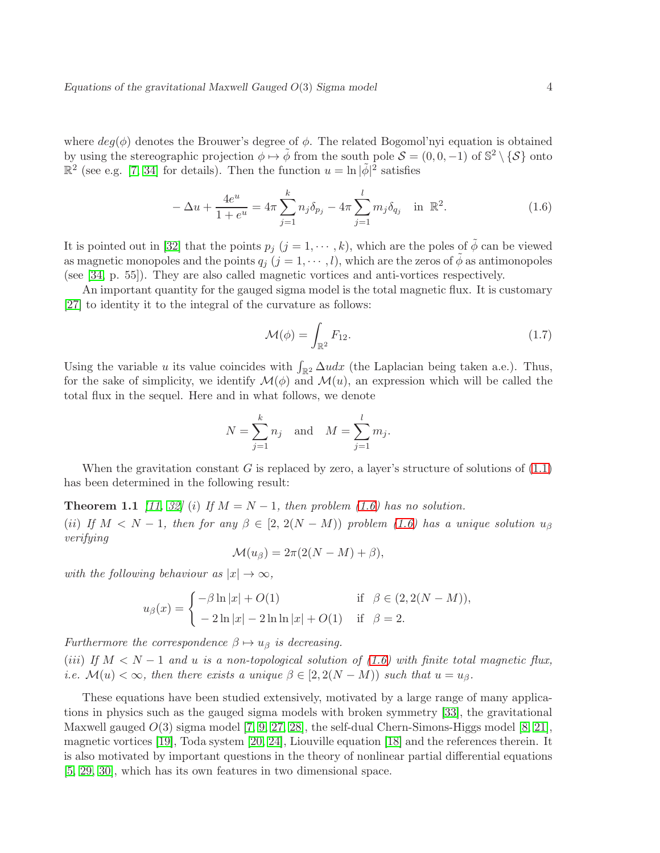where  $deg(\phi)$  denotes the Brouwer's degree of  $\phi$ . The related Bogomol'nyi equation is obtained by using the stereographic projection  $\phi \mapsto \tilde{\phi}$  from the south pole  $\mathcal{S} = (0, 0, -1)$  of  $\mathbb{S}^2 \setminus {\mathcal{S}}$  onto  $\mathbb{R}^2$  (see e.g. [\[7,](#page-38-3) [34\]](#page-39-4) for details). Then the function  $u = \ln |\tilde{\phi}|^2$  satisfies

<span id="page-3-0"></span>
$$
-\Delta u + \frac{4e^u}{1+e^u} = 4\pi \sum_{j=1}^k n_j \delta_{p_j} - 4\pi \sum_{j=1}^l m_j \delta_{q_j} \quad \text{in } \mathbb{R}^2.
$$
 (1.6)

It is pointed out in [\[32\]](#page-39-0) that the points  $p_j$   $(j = 1, \dots, k)$ , which are the poles of  $\phi$  can be viewed as magnetic monopoles and the points  $q_j$   $(j = 1, \dots, l)$ , which are the zeros of  $\tilde{\phi}$  as antimonopoles (see [\[34,](#page-39-4) p. 55]). They are also called magnetic vortices and anti-vortices respectively.

An important quantity for the gauged sigma model is the total magnetic flux. It is customary [\[27\]](#page-39-5) to identity it to the integral of the curvature as follows:

$$
\mathcal{M}(\phi) = \int_{\mathbb{R}^2} F_{12}.\tag{1.7}
$$

Using the variable u its value coincides with  $\int_{\mathbb{R}^2} \Delta u dx$  (the Laplacian being taken a.e.). Thus, for the sake of simplicity, we identify  $\mathcal{M}(\phi)$  and  $\mathcal{M}(u)$ , an expression which will be called the total flux in the sequel. Here and in what follows, we denote

$$
N = \sum_{j=1}^{k} n_j
$$
 and  $M = \sum_{j=1}^{l} m_j$ .

When the gravitation constant G is replaced by zero, a layer's structure of solutions of  $(1.1)$ has been determined in the following result:

**Theorem 1.1** [\[11,](#page-38-0) [32\]](#page-39-0) (i) If  $M = N - 1$ , then problem [\(1.6\)](#page-3-0) has no solution. (ii) If  $M < N - 1$ , then for any  $\beta \in [2, 2(N - M))$  problem [\(1.6\)](#page-3-0) has a unique solution  $u_{\beta}$ verifying

$$
\mathcal{M}(u_{\beta}) = 2\pi (2(N-M) + \beta),
$$

with the following behaviour as  $|x| \to \infty$ ,

$$
u_{\beta}(x) = \begin{cases} -\beta \ln|x| + O(1) & \text{if } \beta \in (2, 2(N - M)), \\ -2\ln|x| - 2\ln|x| + O(1) & \text{if } \beta = 2. \end{cases}
$$

Furthermore the correspondence  $\beta \mapsto u_{\beta}$  is decreasing. (iii) If  $M < N - 1$  and u is a non-topological solution of [\(1.6\)](#page-3-0) with finite total magnetic flux, i.e.  $\mathcal{M}(u) < \infty$ , then there exists a unique  $\beta \in [2, 2(N - M))$  such that  $u = u_{\beta}$ .

These equations have been studied extensively, motivated by a large range of many applications in physics such as the gauged sigma models with broken symmetry [\[33\]](#page-39-6), the gravitational Maxwell gauged  $O(3)$  sigma model [\[7,](#page-38-3) [9,](#page-38-4) [27,](#page-39-5) [28\]](#page-39-3), the self-dual Chern-Simons-Higgs model [\[8,](#page-38-5) [21\]](#page-39-7), magnetic vortices [\[19\]](#page-39-8), Toda system [\[20,](#page-39-9) [24\]](#page-39-10), Liouville equation [\[18\]](#page-39-11) and the references therein. It is also motivated by important questions in the theory of nonlinear partial differential equations [\[5,](#page-38-6) [29,](#page-39-12) [30\]](#page-39-13), which has its own features in two dimensional space.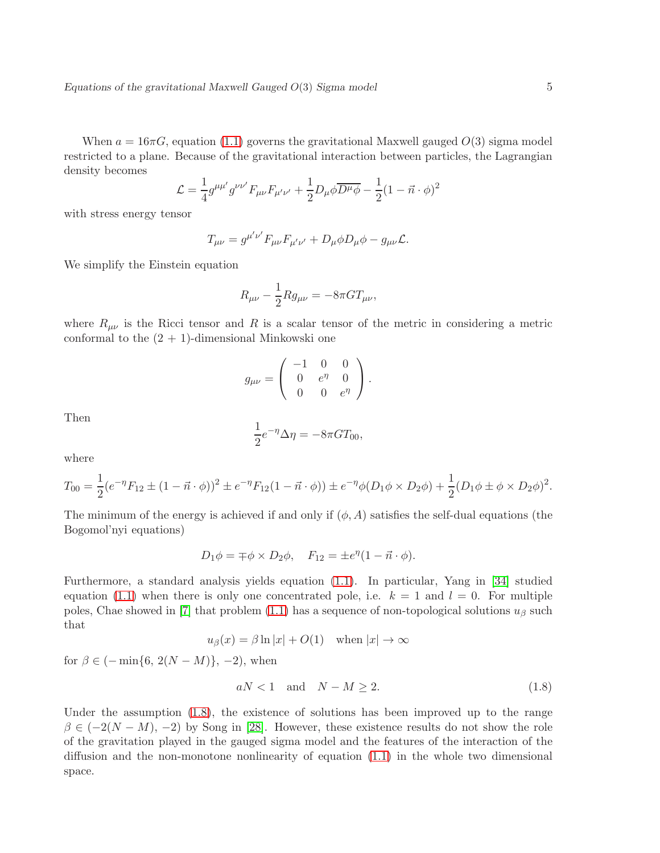When  $a = 16\pi G$ , equation [\(1.1\)](#page-1-1) governs the gravitational Maxwell gauged  $O(3)$  sigma model restricted to a plane. Because of the gravitational interaction between particles, the Lagrangian density becomes

$$
\mathcal{L} = \frac{1}{4} g^{\mu \mu'} g^{\nu \nu'} F_{\mu \nu} F_{\mu' \nu'} + \frac{1}{2} D_{\mu} \phi \overline{D^{\mu} \phi} - \frac{1}{2} (1 - \vec{n} \cdot \phi)^2
$$

with stress energy tensor

$$
T_{\mu\nu} = g^{\mu'\nu'} F_{\mu\nu} F_{\mu'\nu'} + D_\mu \phi D_\mu \phi - g_{\mu\nu} \mathcal{L}.
$$

We simplify the Einstein equation

$$
R_{\mu\nu} - \frac{1}{2} R g_{\mu\nu} = -8\pi G T_{\mu\nu},
$$

where  $R_{\mu\nu}$  is the Ricci tensor and R is a scalar tensor of the metric in considering a metric conformal to the  $(2 + 1)$ -dimensional Minkowski one

$$
g_{\mu\nu} = \begin{pmatrix} -1 & 0 & 0 \\ 0 & e^{\eta} & 0 \\ 0 & 0 & e^{\eta} \end{pmatrix}.
$$

Then

$$
\frac{1}{2}e^{-\eta}\Delta\eta = -8\pi GT_{00},
$$

where

$$
T_{00} = \frac{1}{2} (e^{-\eta} F_{12} \pm (1 - \vec{n} \cdot \phi))^2 \pm e^{-\eta} F_{12} (1 - \vec{n} \cdot \phi)) \pm e^{-\eta} \phi (D_1 \phi \times D_2 \phi) + \frac{1}{2} (D_1 \phi \pm \phi \times D_2 \phi)^2.
$$

The minimum of the energy is achieved if and only if  $(\phi, A)$  satisfies the self-dual equations (the Bogomol'nyi equations)

$$
D_1 \phi = \mp \phi \times D_2 \phi, \quad F_{12} = \pm e^{\eta} (1 - \vec{n} \cdot \phi).
$$

Furthermore, a standard analysis yields equation [\(1.1\)](#page-1-1). In particular, Yang in [\[34\]](#page-39-4) studied equation [\(1.1\)](#page-1-1) when there is only one concentrated pole, i.e.  $k = 1$  and  $l = 0$ . For multiple poles, Chae showed in [\[7\]](#page-38-3) that problem [\(1.1\)](#page-1-1) has a sequence of non-topological solutions  $u_{\beta}$  such that

$$
u_{\beta}(x) = \beta \ln |x| + O(1)
$$
 when  $|x| \to \infty$ 

for  $\beta \in (-\min\{6, 2(N-M)\}, -2)$ , when

<span id="page-4-0"></span>
$$
aN < 1 \quad \text{and} \quad N - M \ge 2. \tag{1.8}
$$

Under the assumption [\(1.8\)](#page-4-0), the existence of solutions has been improved up to the range  $\beta \in (-2(N-M), -2)$  by Song in [\[28\]](#page-39-3). However, these existence results do not show the role of the gravitation played in the gauged sigma model and the features of the interaction of the diffusion and the non-monotone nonlinearity of equation [\(1.1\)](#page-1-1) in the whole two dimensional space.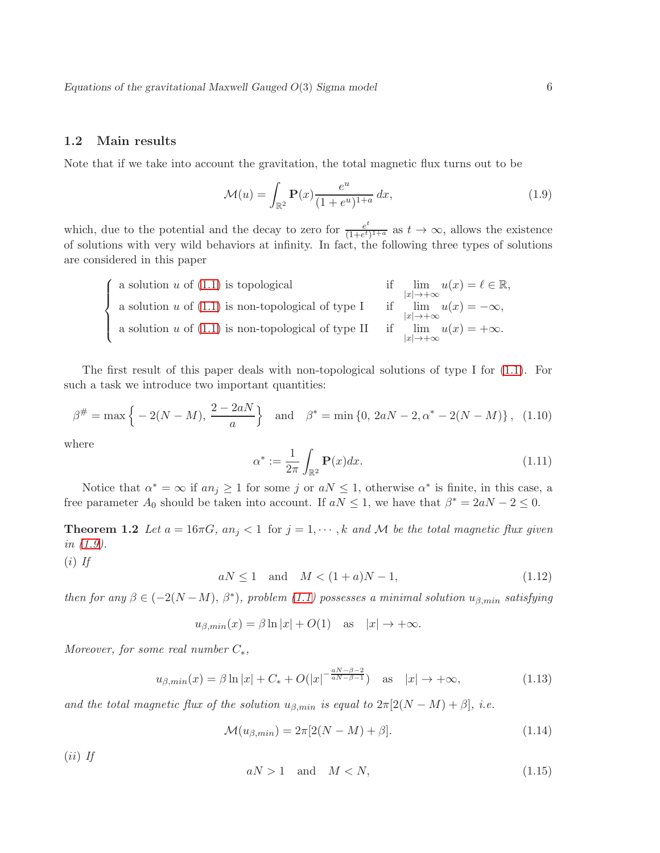### <span id="page-5-0"></span>1.2 Main results

Note that if we take into account the gravitation, the total magnetic flux turns out to be

<span id="page-5-1"></span>
$$
\mathcal{M}(u) = \int_{\mathbb{R}^2} \mathbf{P}(x) \frac{e^u}{(1 + e^u)^{1+a}} dx,
$$
\n(1.9)

which, due to the potential and the decay to zero for  $\frac{e^t}{(1+e^t)}$  $\frac{e^{\epsilon}}{(1+e^t)^{1+a}}$  as  $t \to \infty$ , allows the existence of solutions with very wild behaviors at infinity. In fact, the following three types of solutions are considered in this paper

| a solution $u$ of $(1.1)$ is topological                   | if $\lim_{ x \to+\infty} u(x) = \ell \in \mathbb{R},$   |
|------------------------------------------------------------|---------------------------------------------------------|
| a solution u of $(1.1)$ is non-topological of type I       | if $\lim u(x) = -\infty$ ,<br>$ x  \rightarrow +\infty$ |
| a solution $u$ of $(1.1)$ is non-topological of type II if | $\lim u(x) = +\infty.$<br>$ x  \rightarrow +\infty$     |

The first result of this paper deals with non-topological solutions of type I for [\(1.1\)](#page-1-1). For such a task we introduce two important quantities:

<span id="page-5-4"></span>
$$
\beta^{\#} = \max\left\{-2(N-M), \frac{2-2aN}{a}\right\} \quad \text{and} \quad \beta^* = \min\left\{0, 2aN - 2, \alpha^* - 2(N-M)\right\}, \tag{1.10}
$$

where

$$
\alpha^* := \frac{1}{2\pi} \int_{\mathbb{R}^2} \mathbf{P}(x) dx.
$$
\n(1.11)

<span id="page-5-3"></span>Notice that  $\alpha^* = \infty$  if  $a_n \geq 1$  for some j or  $a_n \leq 1$ , otherwise  $\alpha^*$  is finite, in this case, a free parameter  $A_0$  should be taken into account. If  $aN \leq 1$ , we have that  $\beta^* = 2aN - 2 \leq 0$ .

**Theorem 1.2** Let  $a = 16\pi G$ ,  $an_j < 1$  for  $j = 1, \dots, k$  and M be the total magnetic flux given in [\(1.9\)](#page-5-1).

 $(i)$  If

<span id="page-5-2"></span> $aN \le 1$  and  $M < (1+a)N-1$ , (1.12)

then for any  $\beta \in (-2(N-M), \beta^*)$ , problem [\(1.1\)](#page-1-1) possesses a minimal solution  $u_{\beta,min}$  satisfying

$$
u_{\beta,min}(x) = \beta \ln |x| + O(1)
$$
 as  $|x| \to +\infty$ .

Moreover, for some real number  $C_*,$ 

<span id="page-5-6"></span>
$$
u_{\beta,min}(x) = \beta \ln|x| + C_* + O(|x|^{-\frac{aN-\beta-2}{aN-\beta-1}}) \quad \text{as} \quad |x| \to +\infty,
$$
 (1.13)

and the total magnetic flux of the solution  $u_{\beta,min}$  is equal to  $2\pi[2(N-M)+\beta]$ , i.e.

$$
\mathcal{M}(u_{\beta,min}) = 2\pi [2(N-M) + \beta]. \tag{1.14}
$$

 $(ii)$  If

<span id="page-5-5"></span>
$$
aN > 1 \quad \text{and} \quad M < N,\tag{1.15}
$$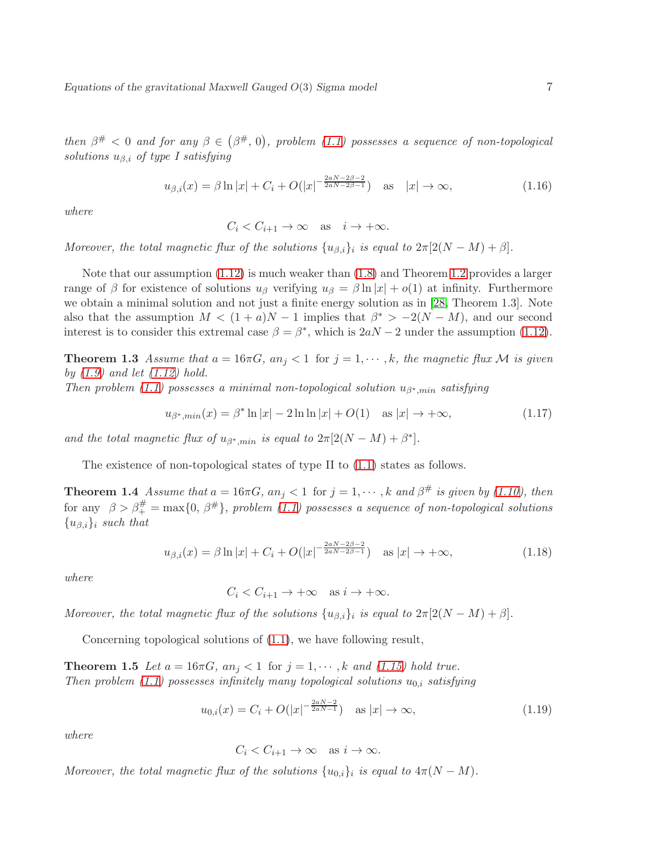then  $\beta^{\#} < 0$  and for any  $\beta \in (\beta^{\#}, 0)$ , problem [\(1.1\)](#page-1-1) possesses a sequence of non-topological solutions  $u_{\beta,i}$  of type I satisfying

$$
u_{\beta,i}(x) = \beta \ln|x| + C_i + O(|x|^{-\frac{2aN - 2\beta - 2}{2aN - 2\beta - 1}}) \quad \text{as} \quad |x| \to \infty,
$$
 (1.16)

where

$$
C_i < C_{i+1} \to \infty \quad \text{as} \quad i \to +\infty.
$$

Moreover, the total magnetic flux of the solutions  $\{u_{\beta,i}\}_i$  is equal to  $2\pi[2(N-M)+\beta]$ .

Note that our assumption [\(1.12\)](#page-5-2) is much weaker than [\(1.8\)](#page-4-0) and Theorem [1.2](#page-5-3) provides a larger range of β for existence of solutions  $u_\beta$  verifying  $u_\beta = \beta \ln |x| + o(1)$  at infinity. Furthermore we obtain a minimal solution and not just a finite energy solution as in [\[28,](#page-39-3) Theorem 1.3]. Note also that the assumption  $M < (1 + a)N - 1$  implies that  $\beta^* > -2(N - M)$ , and our second interest is to consider this extremal case  $\beta = \beta^*$ , which is  $2aN - 2$  under the assumption [\(1.12\)](#page-5-2).

<span id="page-6-0"></span>**Theorem 1.3** Assume that  $a = 16\pi G$ ,  $an_j < 1$  for  $j = 1, \dots, k$ , the magnetic flux M is given by  $(1.9)$  and let  $(1.12)$  hold.

Then problem [\(1.1\)](#page-1-1) possesses a minimal non-topological solution  $u_{\beta^*,min}$  satisfying

$$
u_{\beta^*,\min}(x) = \beta^* \ln|x| - 2\ln\ln|x| + O(1) \quad \text{as } |x| \to +\infty,
$$
 (1.17)

and the total magnetic flux of  $u_{\beta^*,min}$  is equal to  $2\pi[2(N-M)+\beta^*].$ 

<span id="page-6-1"></span>The existence of non-topological states of type II to [\(1.1\)](#page-1-1) states as follows.

**Theorem 1.4** Assume that  $a = 16\pi G$ ,  $an_j < 1$  for  $j = 1, \dots, k$  and  $\beta^{\#}$  is given by [\(1.10\)](#page-5-4), then for any  $\beta > \beta_+^{\#} = \max\{0, \beta^{\#}\},$  problem [\(1.1\)](#page-1-1) possesses a sequence of non-topological solutions  ${u_{\beta,i}}_i$  such that

$$
u_{\beta,i}(x) = \beta \ln|x| + C_i + O(|x|^{-\frac{2aN - 2\beta - 2}{2aN - 2\beta - 1}}) \quad \text{as } |x| \to +\infty,
$$
 (1.18)

where

$$
C_i < C_{i+1} \to +\infty \quad \text{as } i \to +\infty.
$$

Moreover, the total magnetic flux of the solutions  $\{u_{\beta,i}\}_i$  is equal to  $2\pi[2(N-M)+\beta]$ .

<span id="page-6-2"></span>Concerning topological solutions of [\(1.1\)](#page-1-1), we have following result,

**Theorem 1.5** Let  $a = 16\pi G$ ,  $an_j < 1$  for  $j = 1, \dots, k$  and [\(1.15\)](#page-5-5) hold true. Then problem [\(1.1\)](#page-1-1) possesses infinitely many topological solutions  $u_{0,i}$  satisfying

$$
u_{0,i}(x) = C_i + O(|x|^{-\frac{2aN-2}{2aN-1}}) \quad \text{as } |x| \to \infty,
$$
\n(1.19)

where

$$
C_i < C_{i+1} \to \infty \quad \text{as } i \to \infty.
$$

Moreover, the total magnetic flux of the solutions  $\{u_{0,i}\}_i$  is equal to  $4\pi(N-M)$ .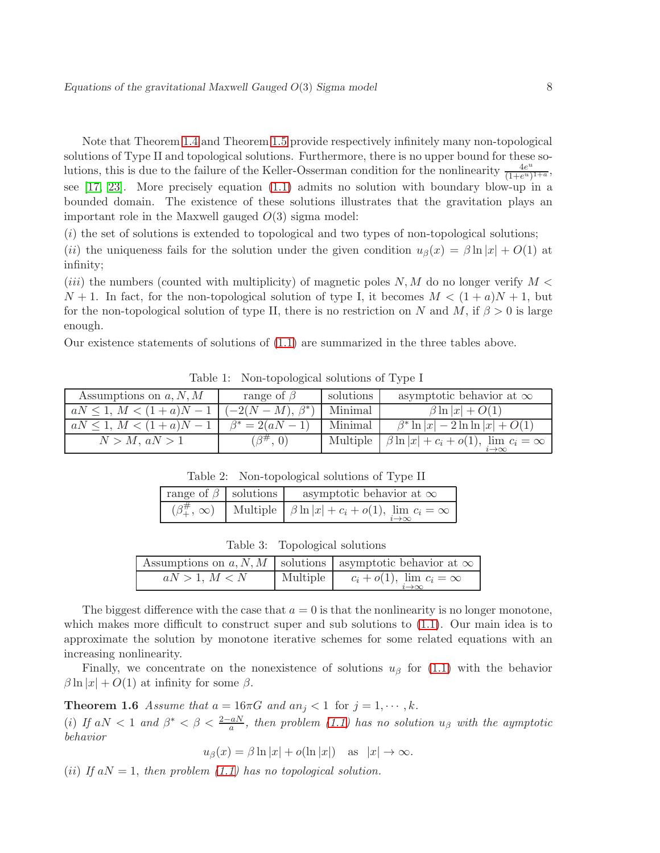Note that Theorem [1.4](#page-6-1) and Theorem [1.5](#page-6-2) provide respectively infinitely many non-topological solutions of Type II and topological solutions. Furthermore, there is no upper bound for these solutions, this is due to the failure of the Keller-Osserman condition for the nonlinearity  $\frac{4e^u}{(1+e^u)}$  $\frac{4e^u}{(1+e^u)^{1+a}},$ see [\[17,](#page-39-14) [23\]](#page-39-15). More precisely equation [\(1.1\)](#page-1-1) admits no solution with boundary blow-up in a bounded domain. The existence of these solutions illustrates that the gravitation plays an important role in the Maxwell gauged  $O(3)$  sigma model:

 $(i)$  the set of solutions is extended to topological and two types of non-topological solutions;

(ii) the uniqueness fails for the solution under the given condition  $u_{\beta}(x) = \beta \ln |x| + O(1)$  at infinity;

(*iii*) the numbers (counted with multiplicity) of magnetic poles  $N, M$  do no longer verify  $M <$  $N+1$ . In fact, for the non-topological solution of type I, it becomes  $M < (1+a)N+1$ , but for the non-topological solution of type II, there is no restriction on N and M, if  $\beta > 0$  is large enough.

Our existence statements of solutions of [\(1.1\)](#page-1-1) are summarized in the three tables above.

| Assumptions on $a, N, M$  | range of $\beta$      | solutions | asymptotic behavior at $\infty$                    |
|---------------------------|-----------------------|-----------|----------------------------------------------------|
| $aN \leq 1, M < (1+a)N-1$ | $(-2(N-M), \beta^*)$  | Minimal   | $\beta \ln  x  + O(1)$                             |
| $aN \leq 1, M < (1+a)N-1$ | $\beta^* = 2(aN - 1)$ | Minimal   | $\beta^*$ ln $ x  - 2 \ln \ln  x  + O(1)$          |
| $N > M$ , $aN > 1$        | $(\beta^{\#}, 0)$     | Multiple  | $\beta \ln  x  + c_i + o(1)$ , $\lim c_i = \infty$ |

Table 1: Non-topological solutions of Type I

Table 2: Non-topological solutions of Type II

| range of $\beta$ solutions | asymptotic behavior at $\infty$                              |
|----------------------------|--------------------------------------------------------------|
| $(\beta_+^{\#}, \infty)$   | Multiple $ \beta \ln  x  + c_i + o(1)$ , $\lim c_i = \infty$ |

|               | Table 3: Topological solutions |                                                                      |
|---------------|--------------------------------|----------------------------------------------------------------------|
|               |                                | Assumptions on a, N, M   solutions   asymptotic behavior at $\infty$ |
| aN > 1, M < N | Multiple                       | $c_i + o(1), \lim_{i \to \infty} c_i = \infty$                       |

The biggest difference with the case that  $a = 0$  is that the nonlinearity is no longer monotone, which makes more difficult to construct super and sub solutions to [\(1.1\)](#page-1-1). Our main idea is to approximate the solution by monotone iterative schemes for some related equations with an increasing nonlinearity.

<span id="page-7-0"></span>Finally, we concentrate on the nonexistence of solutions  $u_\beta$  for [\(1.1\)](#page-1-1) with the behavior  $\beta \ln |x| + O(1)$  at infinity for some  $\beta$ .

**Theorem 1.6** Assume that  $a = 16\pi G$  and  $an_i < 1$  for  $j = 1, \dots, k$ .

(i) If  $aN < 1$  and  $\beta^* < \beta < \frac{2-aN}{a}$ , then problem [\(1.1\)](#page-1-1) has no solution  $u_{\beta}$  with the aymptotic behavior

$$
u_{\beta}(x) = \beta \ln |x| + o(\ln |x|)
$$
 as  $|x| \to \infty$ .

(ii) If  $aN = 1$ , then problem [\(1.1\)](#page-1-1) has no topological solution.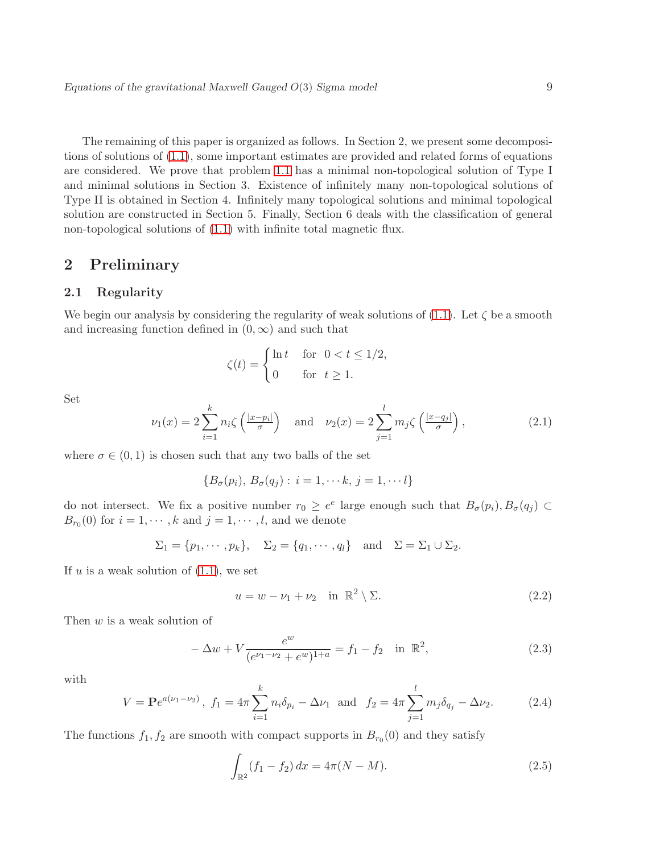The remaining of this paper is organized as follows. In Section 2, we present some decompositions of solutions of [\(1.1\)](#page-1-1), some important estimates are provided and related forms of equations are considered. We prove that problem [1.1](#page-1-1) has a minimal non-topological solution of Type I and minimal solutions in Section 3. Existence of infinitely many non-topological solutions of Type II is obtained in Section 4. Infinitely many topological solutions and minimal topological solution are constructed in Section 5. Finally, Section 6 deals with the classification of general non-topological solutions of [\(1.1\)](#page-1-1) with infinite total magnetic flux.

# <span id="page-8-1"></span><span id="page-8-0"></span>2 Preliminary

### 2.1 Regularity

We begin our analysis by considering the regularity of weak solutions of  $(1.1)$ . Let  $\zeta$  be a smooth and increasing function defined in  $(0, \infty)$  and such that

$$
\zeta(t) = \begin{cases} \ln t & \text{for } 0 < t \le 1/2, \\ 0 & \text{for } t \ge 1. \end{cases}
$$

Set

$$
\nu_1(x) = 2 \sum_{i=1}^k n_i \zeta\left(\frac{|x - p_i|}{\sigma}\right) \quad \text{and} \quad \nu_2(x) = 2 \sum_{j=1}^l m_j \zeta\left(\frac{|x - q_j|}{\sigma}\right),\tag{2.1}
$$

where  $\sigma \in (0, 1)$  is chosen such that any two balls of the set

$$
\{B_{\sigma}(p_i),\,B_{\sigma}(q_j):\,i=1,\cdots k,\,j=1,\cdots l\}
$$

do not intersect. We fix a positive number  $r_0 \geq e^e$  large enough such that  $B_{\sigma}(p_i), B_{\sigma}(q_j) \subset$  $B_{r_0}(0)$  for  $i = 1, \dots, k$  and  $j = 1, \dots, l$ , and we denote

$$
\Sigma_1 = \{p_1, \cdots, p_k\}, \quad \Sigma_2 = \{q_1, \cdots, q_l\} \quad \text{and} \quad \Sigma = \Sigma_1 \cup \Sigma_2.
$$

If  $u$  is a weak solution of  $(1.1)$ , we set

$$
u = w - \nu_1 + \nu_2 \quad \text{in } \mathbb{R}^2 \setminus \Sigma. \tag{2.2}
$$

Then w is a weak solution of

<span id="page-8-2"></span>
$$
-\Delta w + V \frac{e^w}{(e^{\nu_1 - \nu_2} + e^w)^{1+a}} = f_1 - f_2 \quad \text{in } \mathbb{R}^2,
$$
\n(2.3)

with

<span id="page-8-4"></span>
$$
V = \mathbf{P}e^{a(\nu_1 - \nu_2)}, \ f_1 = 4\pi \sum_{i=1}^k n_i \delta_{p_i} - \Delta \nu_1 \text{ and } f_2 = 4\pi \sum_{j=1}^l m_j \delta_{q_j} - \Delta \nu_2. \tag{2.4}
$$

The functions  $f_1, f_2$  are smooth with compact supports in  $B_{r_0}(0)$  and they satisfy

<span id="page-8-3"></span>
$$
\int_{\mathbb{R}^2} (f_1 - f_2) \, dx = 4\pi (N - M). \tag{2.5}
$$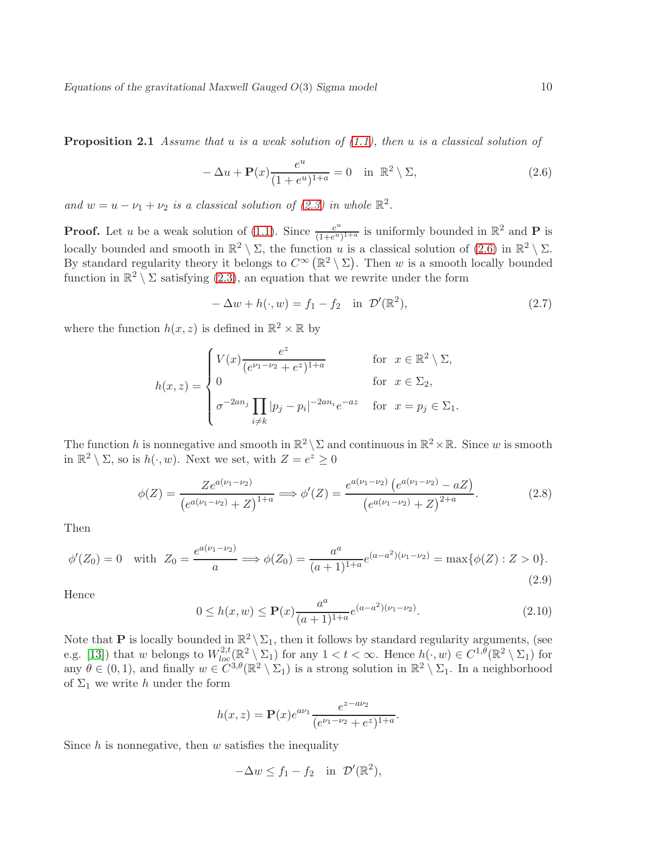**Proposition 2.1** Assume that u is a weak solution of  $(1.1)$ , then u is a classical solution of

<span id="page-9-0"></span>
$$
-\Delta u + \mathbf{P}(x)\frac{e^u}{(1+e^u)^{1+a}} = 0 \quad \text{in } \mathbb{R}^2 \setminus \Sigma,
$$
\n(2.6)

and  $w = u - \nu_1 + \nu_2$  is a classical solution of [\(2.3\)](#page-8-2) in whole  $\mathbb{R}^2$ .

**Proof.** Let u be a weak solution of [\(1.1\)](#page-1-1). Since  $\frac{e^u}{(1+e^u)}$  $\frac{e^u}{(1+e^u)^{1+a}}$  is uniformly bounded in  $\mathbb{R}^2$  and **P** is locally bounded and smooth in  $\mathbb{R}^2 \setminus \Sigma$ , the function u is a classical solution of  $(2.6)$  in  $\mathbb{R}^2 \setminus \Sigma$ . By standard regularity theory it belongs to  $C^{\infty}(\mathbb{R}^2 \setminus \Sigma)$ . Then w is a smooth locally bounded function in  $\mathbb{R}^2 \setminus \Sigma$  satisfying [\(2.3\)](#page-8-2), an equation that we rewrite under the form

$$
-\Delta w + h(\cdot, w) = f_1 - f_2 \quad \text{in } \mathcal{D}'(\mathbb{R}^2), \tag{2.7}
$$

where the function  $h(x, z)$  is defined in  $\mathbb{R}^2 \times \mathbb{R}$  by

$$
h(x,z) = \begin{cases} V(x) \frac{e^z}{(e^{\nu_1 - \nu_2} + e^z)^{1+a}} & \text{for } x \in \mathbb{R}^2 \setminus \Sigma, \\ 0 & \text{for } x \in \Sigma_2, \\ \sigma^{-2an_j} \prod_{i \neq k} |p_j - p_i|^{-2an_i} e^{-az} & \text{for } x = p_j \in \Sigma_1. \end{cases}
$$

The function h is nonnegative and smooth in  $\mathbb{R}^2 \setminus \Sigma$  and continuous in  $\mathbb{R}^2 \times \mathbb{R}$ . Since w is smooth in  $\mathbb{R}^2 \setminus \Sigma$ , so is  $h(\cdot, w)$ . Next we set, with  $Z = e^z \geq 0$ 

$$
\phi(Z) = \frac{Ze^{a(\nu_1 - \nu_2)}}{\left(e^{a(\nu_1 - \nu_2)} + Z\right)^{1+a}} \Longrightarrow \phi'(Z) = \frac{e^{a(\nu_1 - \nu_2)}\left(e^{a(\nu_1 - \nu_2)} - aZ\right)}{\left(e^{a(\nu_1 - \nu_2)} + Z\right)^{2+a}}.
$$
\n(2.8)

Then

$$
\phi'(Z_0) = 0 \quad \text{with} \ \ Z_0 = \frac{e^{a(\nu_1 - \nu_2)}}{a} \Longrightarrow \phi(Z_0) = \frac{a^a}{(a+1)^{1+a}} e^{(a-a^2)(\nu_1 - \nu_2)} = \max\{\phi(Z) : Z > 0\}.
$$
\n
$$
(2.9)
$$

Hence

$$
0 \le h(x, w) \le \mathbf{P}(x) \frac{a^a}{(a+1)^{1+a}} e^{(a-a^2)(\nu_1 - \nu_2)}.
$$
\n(2.10)

Note that **P** is locally bounded in  $\mathbb{R}^2 \setminus \Sigma_1$ , then it follows by standard regularity arguments, (see e.g. [\[13\]](#page-38-7)) that w belongs to  $W^{2,t}_{loc}(\mathbb{R}^2 \setminus \Sigma_1)$  for any  $1 < t < \infty$ . Hence  $h(\cdot, w) \in C^{1,\theta}(\mathbb{R}^2 \setminus \Sigma_1)$  for any  $\theta \in (0,1)$ , and finally  $w \in C^{3,\theta}(\mathbb{R}^2 \setminus \Sigma_1)$  is a strong solution in  $\mathbb{R}^2 \setminus \Sigma_1$ . In a neighborhood of  $\Sigma_1$  we write h under the form

$$
h(x, z) = \mathbf{P}(x)e^{a\nu_1} \frac{e^{z - a\nu_2}}{(e^{\nu_1 - \nu_2} + e^z)^{1+a}}.
$$

Since  $h$  is nonnegative, then  $w$  satisfies the inequality

$$
-\Delta w \le f_1 - f_2 \quad \text{in } \mathcal{D}'(\mathbb{R}^2),
$$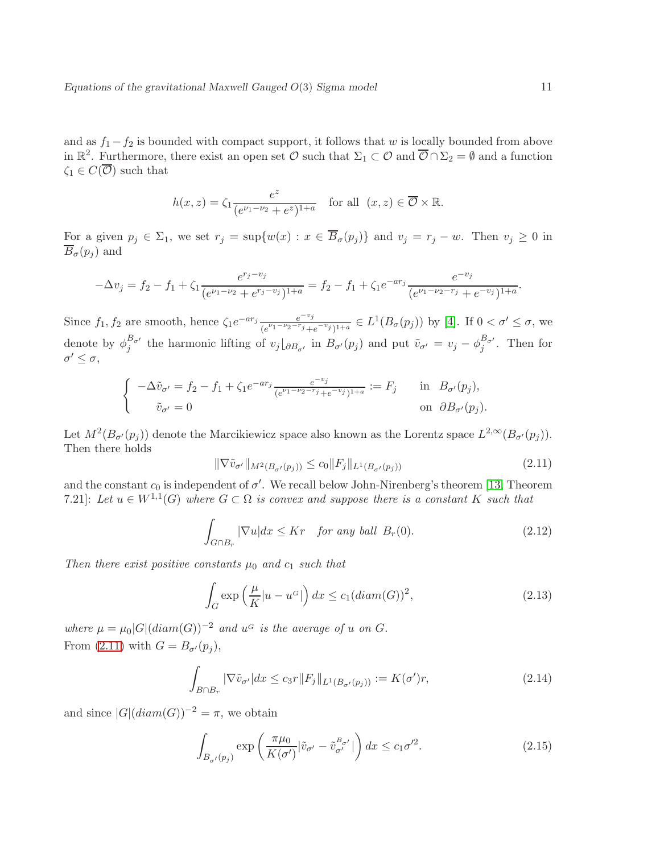and as  $f_1 - f_2$  is bounded with compact support, it follows that w is locally bounded from above in  $\mathbb{R}^2$ . Furthermore, there exist an open set  $\mathcal{O}$  such that  $\Sigma_1 \subset \mathcal{O}$  and  $\overline{\mathcal{O}} \cap \Sigma_2 = \emptyset$  and a function  $\zeta_1 \in C(\overline{\mathcal{O}})$  such that

$$
h(x, z) = \zeta_1 \frac{e^z}{(e^{\nu_1 - \nu_2} + e^z)^{1+a}} \quad \text{for all} \ \ (x, z) \in \overline{\mathcal{O}} \times \mathbb{R}.
$$

For a given  $p_j \in \Sigma_1$ , we set  $r_j = \sup\{w(x) : x \in \overline{B}_{\sigma}(p_j)\}\$ and  $v_j = r_j - w$ . Then  $v_j \ge 0$  in  $\overline{B}_{\sigma}(p_i)$  and

$$
-\Delta v_j = f_2 - f_1 + \zeta_1 \frac{e^{r_j - v_j}}{(e^{\nu_1 - \nu_2} + e^{r_j - v_j})^{1+a}} = f_2 - f_1 + \zeta_1 e^{-ar_j} \frac{e^{-v_j}}{(e^{\nu_1 - \nu_2 - r_j} + e^{-v_j})^{1+a}}.
$$

Since  $f_1, f_2$  are smooth, hence  $\zeta_1 e^{-ar_j} \frac{e^{-v_j}}{(e^{\nu_1-\nu_2-r_j}+1)}$  $\frac{e^{-v_j}}{(e^{\nu_1-\nu_2-r_j}+e^{-v_j})^{1+a}} \in L^1(B_{\sigma}(p_j))$  by [\[4\]](#page-38-8). If  $0 < \sigma' \leq \sigma$ , we denote by  $\phi_j^{B_{\sigma'}}$  the harmonic lifting of  $v_j\vert_{\partial B_{\sigma'}}$  in  $B_{\sigma'}(p_j)$  and put  $\tilde{v}_{\sigma'} = v_j - \phi_j^{B_{\sigma'}}$ . Then for  $\sigma' \leq \sigma$ ,

$$
\begin{cases}\n-\Delta \tilde{v}_{\sigma'} = f_2 - f_1 + \zeta_1 e^{-ar_j} \frac{e^{-v_j}}{(e^{\nu_1 - \nu_2 - r_j} + e^{-v_j})^{1+a}} := F_j & \text{in } B_{\sigma'}(p_j), \\
\tilde{v}_{\sigma'} = 0 & \text{on } \partial B_{\sigma'}(p_j).\n\end{cases}
$$

Let  $M^2(B_{\sigma}(p_j))$  denote the Marcikiewicz space also known as the Lorentz space  $L^{2,\infty}(B_{\sigma}(p_j)).$ Then there holds

<span id="page-10-0"></span>
$$
\|\nabla \tilde{v}_{\sigma'}\|_{M^2(B_{\sigma'}(p_j))} \le c_0 \|F_j\|_{L^1(B_{\sigma'}(p_j))}
$$
\n(2.11)

and the constant  $c_0$  is independent of  $\sigma'$ . We recall below John-Nirenberg's theorem [\[13,](#page-38-7) Theorem 7.21]: Let  $u \in W^{1,1}(G)$  where  $G \subset \Omega$  is convex and suppose there is a constant K such that

$$
\int_{G \cap B_r} |\nabla u| dx \le Kr \quad \text{for any ball } B_r(0). \tag{2.12}
$$

Then there exist positive constants  $\mu_0$  and  $c_1$  such that

$$
\int_{G} \exp\left(\frac{\mu}{K}|u - u^G|\right) dx \le c_1 (diam(G))^2,
$$
\n(2.13)

where  $\mu = \mu_0 |G| (diam(G))^{-2}$  and  $u^G$  is the average of u on G. From [\(2.11\)](#page-10-0) with  $G = B_{\sigma}(p_i)$ ,

$$
\int_{B \cap B_r} |\nabla \tilde{v}_{\sigma'}| dx \le c_3 r \|F_j\|_{L^1(B_{\sigma'}(p_j))} := K(\sigma')r,
$$
\n(2.14)

and since  $|G|(diam(G))^{-2} = \pi$ , we obtain

<span id="page-10-1"></span>
$$
\int_{B_{\sigma'}(p_j)} \exp\left(\frac{\pi\mu_0}{K(\sigma')}\big|\tilde{v}_{\sigma'} - \tilde{v}_{\sigma'}^{B_{\sigma'}}|\right)dx \le c_1\sigma'^2.
$$
\n(2.15)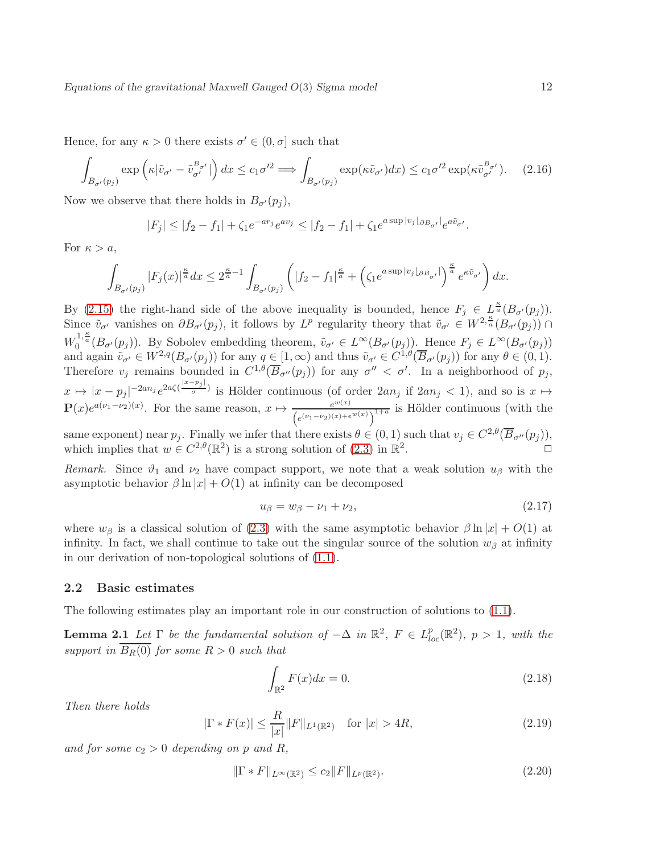Hence, for any  $\kappa > 0$  there exists  $\sigma' \in (0, \sigma]$  such that

$$
\int_{B_{\sigma'}(p_j)} \exp\left(\kappa|\tilde{v}_{\sigma'} - \tilde{v}_{\sigma'}^{B_{\sigma'}}|\right)dx \le c_1\sigma'^2 \Longrightarrow \int_{B_{\sigma'}(p_j)} \exp(\kappa\tilde{v}_{\sigma'})dx \le c_1\sigma'^2 \exp(\kappa\tilde{v}_{\sigma'}^{B_{\sigma'}}). \tag{2.16}
$$

Now we observe that there holds in  $B_{\sigma}(p_i)$ ,

$$
|F_j| \le |f_2 - f_1| + \zeta_1 e^{-ar_j} e^{av_j} \le |f_2 - f_1| + \zeta_1 e^{a \sup |v_j| \partial B_{\sigma'}|} e^{a \tilde{v}_{\sigma'}}.
$$

For  $\kappa > a$ ,

$$
\int_{B_{\sigma'}(p_j)}|F_j(x)|^{\frac{\kappa}{a}}dx\leq 2^{\frac{\kappa}{a}-1}\int_{B_{\sigma'}(p_j)}\left(|f_2-f_1|^{\frac{\kappa}{a}}+\left(\zeta_1e^{a\sup|v_j\lfloor_{\partial B_{\sigma'}}|\right)\frac{\kappa}{a}}e^{\kappa\tilde{v}_{\sigma'}}\right)dx.
$$

By [\(2.15\)](#page-10-1) the right-hand side of the above inequality is bounded, hence  $F_j \in L^{\frac{\kappa}{a}}(B_{\sigma}(p_j)).$ Since  $\tilde{v}_{\sigma'}$  vanishes on  $\partial B_{\sigma'}(p_j)$ , it follows by  $L^p$  regularity theory that  $\tilde{v}_{\sigma'} \in W^{2,\frac{\kappa}{a}}(B_{\sigma'}(p_j))$  $W_0^{1,\frac{\kappa}{a}}(B_{\sigma'}(p_j)).$  By Sobolev embedding theorem,  $\tilde{v}_{\sigma'} \in L^{\infty}(B_{\sigma'}(p_j)).$  Hence  $F_j \in L^{\infty}(B_{\sigma'}(p_j))$ and again  $\tilde{v}_{\sigma'} \in W^{2,q}(B_{\sigma'}(p_j))$  for any  $q \in [1,\infty)$  and thus  $\tilde{v}_{\sigma'} \in C^{1,\theta}(\overline{B}_{\sigma'}(p_j))$  for any  $\theta \in (0,1)$ . Therefore  $v_j$  remains bounded in  $C^{1,\theta}(\overline{B}_{\sigma''}(p_j))$  for any  $\sigma'' < \sigma'$ . In a neighborhood of  $p_j$ ,  $x \mapsto |x - p_j|^{-2an_j} e^{2a\zeta(\frac{|x-p_j|}{\sigma})}$  $\frac{r_{j+1}}{\sigma}$  is Hölder continuous (of order  $2an_j$  if  $2an_j < 1$ ), and so is  $x \mapsto$  $\mathbf{P}(x)e^{a(\nu_1-\nu_2)(x)}$ . For the same reason,  $x \mapsto \frac{e^{w(x)}}{(x-x)(x-x)}$  $\frac{e^{i\omega(x)}}{(e^{(\nu_1-\nu_2)(x)+e^{i\omega(x)}})^{1+a}}$  is Hölder continuous (with the same exponent) near  $p_j$ . Finally we infer that there exists  $\theta \in (0,1)$  such that  $v_j \in C^{2,\theta}(\overline{B}_{\sigma''}(p_j)),$ which implies that  $w \in C^{2,\theta}(\mathbb{R}^2)$  is a strong solution of  $(2.3)$  in  $\mathbb{R}^2$ .  $\Box$ 

Remark. Since  $\vartheta_1$  and  $\nu_2$  have compact support, we note that a weak solution  $u_\beta$  with the asymptotic behavior  $\beta \ln |x| + O(1)$  at infinity can be decomposed

$$
u_{\beta} = w_{\beta} - \nu_1 + \nu_2,\tag{2.17}
$$

where  $w_{\beta}$  is a classical solution of [\(2.3\)](#page-8-2) with the same asymptotic behavior  $\beta \ln |x| + O(1)$  at infinity. In fact, we shall continue to take out the singular source of the solution  $w<sub>β</sub>$  at infinity in our derivation of non-topological solutions of [\(1.1\)](#page-1-1).

#### <span id="page-11-0"></span>2.2 Basic estimates

<span id="page-11-4"></span>The following estimates play an important role in our construction of solutions to [\(1.1\)](#page-1-1).

**Lemma 2.1** Let  $\Gamma$  be the fundamental solution of  $-\Delta$  in  $\mathbb{R}^2$ ,  $F \in L^p_{loc}(\mathbb{R}^2)$ ,  $p > 1$ , with the support in  $B_R(0)$  for some  $R > 0$  such that

<span id="page-11-1"></span>
$$
\int_{\mathbb{R}^2} F(x)dx = 0.
$$
\n(2.18)

Then there holds

<span id="page-11-2"></span>
$$
|\Gamma * F(x)| \le \frac{R}{|x|} \|F\|_{L^1(\mathbb{R}^2)} \quad \text{for } |x| > 4R,\tag{2.19}
$$

and for some  $c_2 > 0$  depending on p and R,

<span id="page-11-3"></span>
$$
\|\Gamma * F\|_{L^{\infty}(\mathbb{R}^2)} \le c_2 \|F\|_{L^p(\mathbb{R}^2)}.
$$
\n(2.20)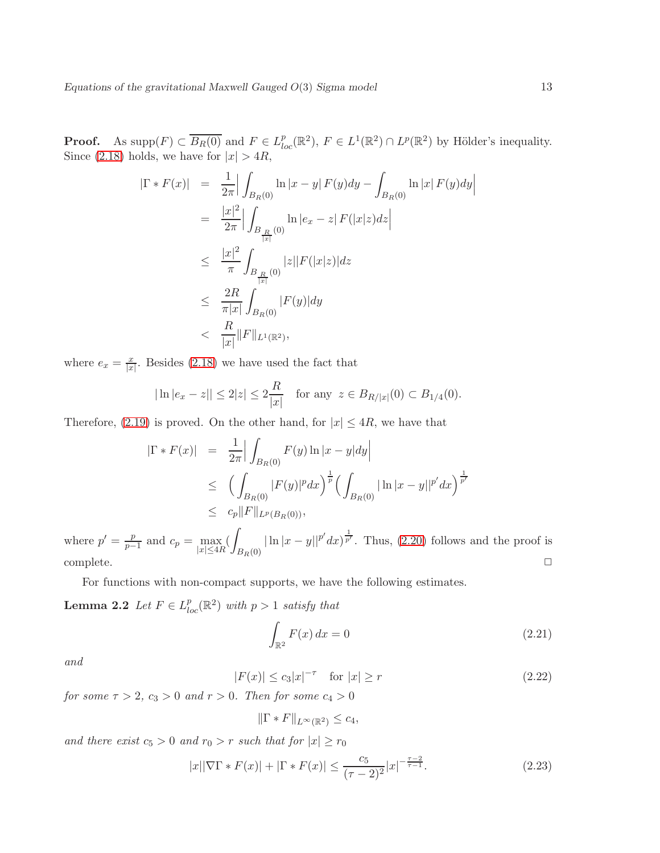**Proof.** As supp $(F) \subset \overline{B_R(0)}$  and  $F \in L^p_{loc}(\mathbb{R}^2)$ ,  $F \in L^1(\mathbb{R}^2) \cap L^p(\mathbb{R}^2)$  by Hölder's inequality. Since [\(2.18\)](#page-11-1) holds, we have for  $|x| > 4R$ ,

$$
\begin{array}{rcl} |\Gamma * F(x)| & = & \frac{1}{2\pi} \Big| \int_{B_R(0)} \ln |x - y| \, F(y) dy - \int_{B_R(0)} \ln |x| \, F(y) dy \Big| \\ \\ & = & \frac{|x|^2}{2\pi} \Big| \int_{B_{\frac{R}{|x|}}(0)} \ln |e_x - z| \, F(|x|z) dz \Big| \\ \\ & \leq & \frac{|x|^2}{\pi} \int_{B_{\frac{R}{|x|}}(0)} |z| |F(|x|z)| dz \\ \\ & \leq & \frac{2R}{\pi |x|} \int_{B_R(0)} |F(y)| dy \\ \\ & < & \frac{R}{|x|} \|F\|_{L^1(\mathbb{R}^2)}, \end{array}
$$

where  $e_x = \frac{x}{|x|}$ . Besides [\(2.18\)](#page-11-1) we have used the fact that

$$
|\ln |e_x - z|| \le 2|z| \le 2\frac{R}{|x|}
$$
 for any  $z \in B_{R/|x|}(0) \subset B_{1/4}(0)$ .

Therefore, [\(2.19\)](#page-11-2) is proved. On the other hand, for  $|x| \leq 4R$ , we have that

$$
\begin{array}{rcl} |\Gamma * F(x)| & = & \frac{1}{2\pi} \Big| \int_{B_R(0)} F(y) \ln|x - y| dy \Big| \\ & \leq & \Big( \int_{B_R(0)} |F(y)|^p dx \Big)^{\frac{1}{p}} \Big( \int_{B_R(0)} |\ln|x - y||^{p'} dx \Big)^{\frac{1}{p'}} \\ & \leq & c_p \|F\|_{L^p(B_R(0))}, \end{array}
$$

where  $p' = \frac{p}{n}$  $\frac{p}{p-1}$  and  $c_p = \max_{|x| \leq 4R}$  $B_R(0)$  $|\ln |x-y||^{p'} dx$ , Thus, [\(2.20\)](#page-11-3) follows and the proof is complete.  $\square$ 

<span id="page-12-3"></span>For functions with non-compact supports, we have the following estimates.

**Lemma 2.2** Let  $F \in L_{loc}^p(\mathbb{R}^2)$  with  $p > 1$  satisfy that

<span id="page-12-1"></span>
$$
\int_{\mathbb{R}^2} F(x) dx = 0 \tag{2.21}
$$

and

<span id="page-12-0"></span>
$$
|F(x)| \le c_3 |x|^{-\tau} \quad \text{for } |x| \ge r \tag{2.22}
$$

for some  $\tau > 2$ ,  $c_3 > 0$  and  $r > 0$ . Then for some  $c_4 > 0$ 

$$
\|\Gamma * F\|_{L^{\infty}(\mathbb{R}^2)} \leq c_4,
$$

and there exist  $c_5 > 0$  and  $r_0 > r$  such that for  $|x| \ge r_0$ 

<span id="page-12-2"></span>
$$
|x||\nabla\Gamma \ast F(x)| + |\Gamma \ast F(x)| \le \frac{c_5}{(\tau - 2)^2} |x|^{-\frac{\tau - 2}{\tau - 1}}.
$$
\n(2.23)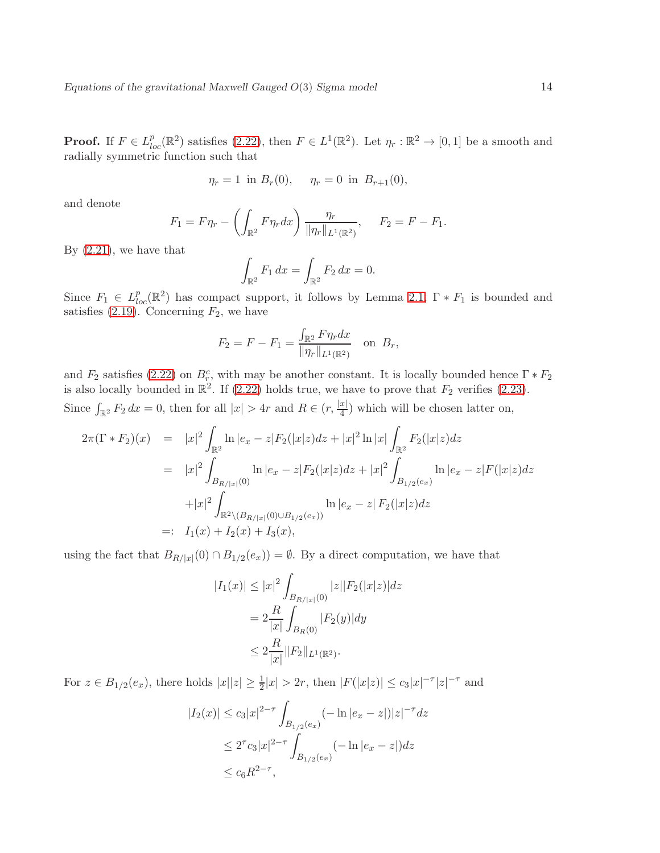**Proof.** If  $F \in L^p_{loc}(\mathbb{R}^2)$  satisfies  $(2.22)$ , then  $F \in L^1(\mathbb{R}^2)$ . Let  $\eta_r : \mathbb{R}^2 \to [0,1]$  be a smooth and radially symmetric function such that

$$
\eta_r = 1
$$
 in  $B_r(0)$ ,  $\eta_r = 0$  in  $B_{r+1}(0)$ ,

and denote

$$
F_1 = F\eta_r - \left(\int_{\mathbb{R}^2} F\eta_r dx\right) \frac{\eta_r}{\|\eta_r\|_{L^1(\mathbb{R}^2)}}, \quad F_2 = F - F_1.
$$

By  $(2.21)$ , we have that

$$
\int_{\mathbb{R}^2} F_1 \, dx = \int_{\mathbb{R}^2} F_2 \, dx = 0.
$$

Since  $F_1 \in L^p_{loc}(\mathbb{R}^2)$  has compact support, it follows by Lemma [2.1,](#page-11-4)  $\Gamma * F_1$  is bounded and satisfies  $(2.19)$ . Concerning  $F_2$ , we have

$$
F_2 = F - F_1 = \frac{\int_{\mathbb{R}^2} F \eta_r dx}{\|\eta_r\|_{L^1(\mathbb{R}^2)}} \text{ on } B_r,
$$

and  $F_2$  satisfies [\(2.22\)](#page-12-0) on  $B_r^c$ , with may be another constant. It is locally bounded hence  $\Gamma * F_2$ is also locally bounded in  $\mathbb{R}^2$ . If [\(2.22\)](#page-12-0) holds true, we have to prove that  $F_2$  verifies [\(2.23\)](#page-12-2). Since  $\int_{\mathbb{R}^2} F_2 dx = 0$ , then for all  $|x| > 4r$  and  $R \in (r, \frac{|x|}{4})$  $\frac{x_1}{4}$ ) which will be chosen latter on,

$$
2\pi(\Gamma * F_2)(x) = |x|^2 \int_{\mathbb{R}^2} \ln |e_x - z| F_2(|x|z) dz + |x|^2 \ln |x| \int_{\mathbb{R}^2} F_2(|x|z) dz
$$
  
\n
$$
= |x|^2 \int_{B_{R/|x|}(0)} \ln |e_x - z| F_2(|x|z) dz + |x|^2 \int_{B_{1/2}(e_x)} \ln |e_x - z| F(|x|z) dz
$$
  
\n
$$
+ |x|^2 \int_{\mathbb{R}^2 \setminus (B_{R/|x|}(0) \cup B_{1/2}(e_x))} \ln |e_x - z| F_2(|x|z) dz
$$
  
\n
$$
= I_1(x) + I_2(x) + I_3(x),
$$

using the fact that  $B_{R/|x|}(0) \cap B_{1/2}(e_x) = \emptyset$ . By a direct computation, we have that

$$
|I_1(x)| \le |x|^2 \int_{B_{R/|x|}(0)} |z||F_2(|x|z)| dz
$$
  
=  $2 \frac{R}{|x|} \int_{B_R(0)} |F_2(y)| dy$   
 $\le 2 \frac{R}{|x|} ||F_2||_{L^1(\mathbb{R}^2)}.$ 

For  $z \in B_{1/2}(e_x)$ , there holds  $|x||z| \geq \frac{1}{2}|x| > 2r$ , then  $|F(|x|z)| \leq c_3 |x|^{-\tau} |z|^{-\tau}$  and

$$
|I_2(x)| \le c_3 |x|^{2-\tau} \int_{B_{1/2}(e_x)} (-\ln|e_x - z|)|z|^{-\tau} dz
$$
  

$$
\le 2^{\tau} c_3 |x|^{2-\tau} \int_{B_{1/2}(e_x)} (-\ln|e_x - z|) dz
$$
  

$$
\le c_6 R^{2-\tau},
$$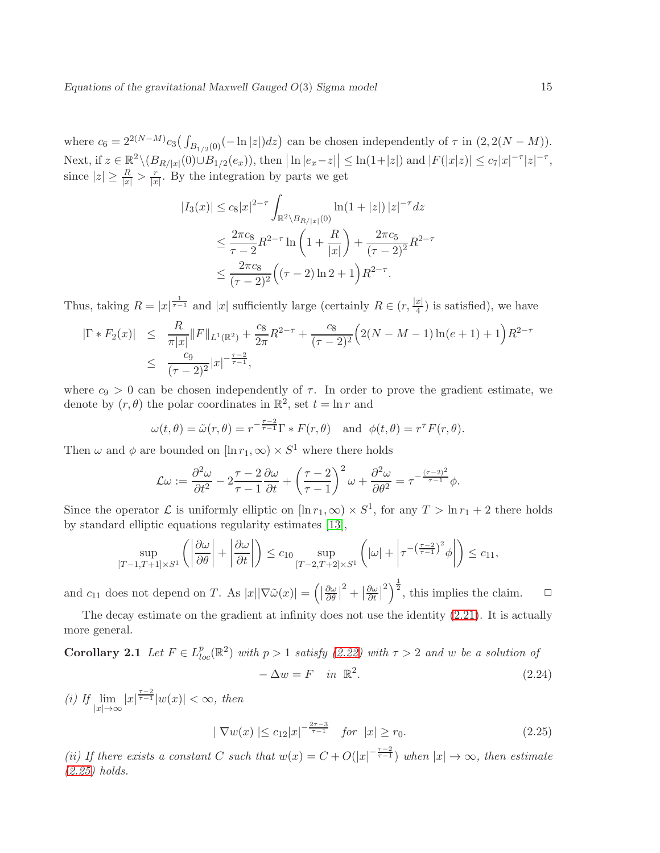where  $c_6 = 2^{2(N-M)} c_3 \big(\int_{B_{1/2}(0)} (-\ln |z|) dz\big)$  can be chosen independently of  $\tau$  in  $(2, 2(N-M))$ . Next, if  $z \in \mathbb{R}^2 \setminus (B_{R/|x|}(0) \cup B_{1/2}(e_x))$ , then  $|\ln |e_x - z|| \le \ln(1+|z|)$  and  $|F(|x|z)| \le c_7 |x|^{-\tau} |z|^{-\tau}$ , since  $|z| \geq \frac{R}{|x|} > \frac{r}{|x|}$  $\frac{r}{|x|}$ . By the integration by parts we get

$$
|I_3(x)| \le c_8 |x|^{2-\tau} \int_{\mathbb{R}^2 \setminus B_{R/|x|}(0)} \ln(1+|z|) |z|^{-\tau} dz
$$
  

$$
\le \frac{2\pi c_8}{\tau - 2} R^{2-\tau} \ln\left(1 + \frac{R}{|x|}\right) + \frac{2\pi c_5}{(\tau - 2)^2} R^{2-\tau}
$$
  

$$
\le \frac{2\pi c_8}{(\tau - 2)^2} \left((\tau - 2) \ln 2 + 1\right) R^{2-\tau}.
$$

Thus, taking  $R = |x|^\frac{1}{\tau-1}$  and  $|x|$  sufficiently large (certainly  $R \in (r, \frac{|x|}{4})$  $\frac{x_1}{4}$ ) is satisfied), we have

$$
\begin{array}{rcl}\n|\Gamma \ast F_2(x)| & \leq & \frac{R}{\pi |x|} \|F\|_{L^1(\mathbb{R}^2)} + \frac{c_8}{2\pi} R^{2-\tau} + \frac{c_8}{(\tau - 2)^2} \Big(2(N - M - 1)\ln(e + 1) + 1\Big) R^{2-\tau} \\
& \leq & \frac{c_9}{(\tau - 2)^2} |x|^{-\frac{\tau - 2}{\tau - 1}},\n\end{array}
$$

where  $c_9 > 0$  can be chosen independently of  $\tau$ . In order to prove the gradient estimate, we denote by  $(r, \theta)$  the polar coordinates in  $\mathbb{R}^2$ , set  $t = \ln r$  and

$$
\omega(t,\theta) = \tilde{\omega}(r,\theta) = r^{-\frac{\tau-2}{\tau-1}}\Gamma \ast F(r,\theta) \quad \text{and} \ \phi(t,\theta) = r^{\tau}F(r,\theta).
$$

Then  $\omega$  and  $\phi$  are bounded on  $[\ln r_1, \infty) \times S^1$  where there holds

$$
\mathcal{L}\omega := \frac{\partial^2 \omega}{\partial t^2} - 2\frac{\tau - 2}{\tau - 1} \frac{\partial \omega}{\partial t} + \left(\frac{\tau - 2}{\tau - 1}\right)^2 \omega + \frac{\partial^2 \omega}{\partial \theta^2} = \tau^{-\frac{(\tau - 2)^2}{\tau - 1}} \phi.
$$

Since the operator  $\mathcal L$  is uniformly elliptic on  $[\ln r_1, \infty) \times S^1$ , for any  $T > \ln r_1 + 2$  there holds by standard elliptic equations regularity estimates [\[13\]](#page-38-7),

$$
\sup_{[T-1,T+1]\times S^1} \left( \left| \frac{\partial \omega}{\partial \theta} \right| + \left| \frac{\partial \omega}{\partial t} \right| \right) \leq c_{10} \sup_{[T-2,T+2]\times S^1} \left( |\omega| + \left| \tau^{-\left(\frac{\tau-2}{\tau-1}\right)^2} \phi \right| \right) \leq c_{11},
$$

and  $c_{11}$  does not depend on T. As  $|x||\nabla \tilde{\omega}(x)| = \left(\left|\frac{\partial \omega}{\partial \theta}\right| \right)$  $\frac{\partial \omega}{\partial \theta}$ <sup>2</sup> +  $\frac{\partial \omega}{\partial t}$  $\frac{\partial \omega}{\partial t}$  $\binom{2}{2}^{\frac{1}{2}}$ , this implies the claim.  $\Box$ 

<span id="page-14-1"></span>The decay estimate on the gradient at infinity does not use the identity [\(2.21\)](#page-12-1). It is actually more general.

**Corollary 2.1** Let  $F \in L_{loc}^p(\mathbb{R}^2)$  with  $p > 1$  satisfy [\(2.22\)](#page-12-0) with  $\tau > 2$  and w be a solution of  $-\Delta w = F \quad in \; \mathbb{R}^2$  $(2.24)$ 

(i) If  $\lim_{|x| \to \infty} |x|^{\frac{\tau-2}{\tau-1}} |w(x)| < \infty$ , then

<span id="page-14-2"></span><span id="page-14-0"></span>
$$
|\nabla w(x)| \le c_{12}|x|^{-\frac{2\tau - 3}{\tau - 1}} \quad \text{for } |x| \ge r_0. \tag{2.25}
$$

(ii) If there exists a constant C such that  $w(x) = C + O(|x|^{-\frac{\tau-2}{\tau-1}})$  when  $|x| \to \infty$ , then estimate [\(2.25\)](#page-14-0) holds.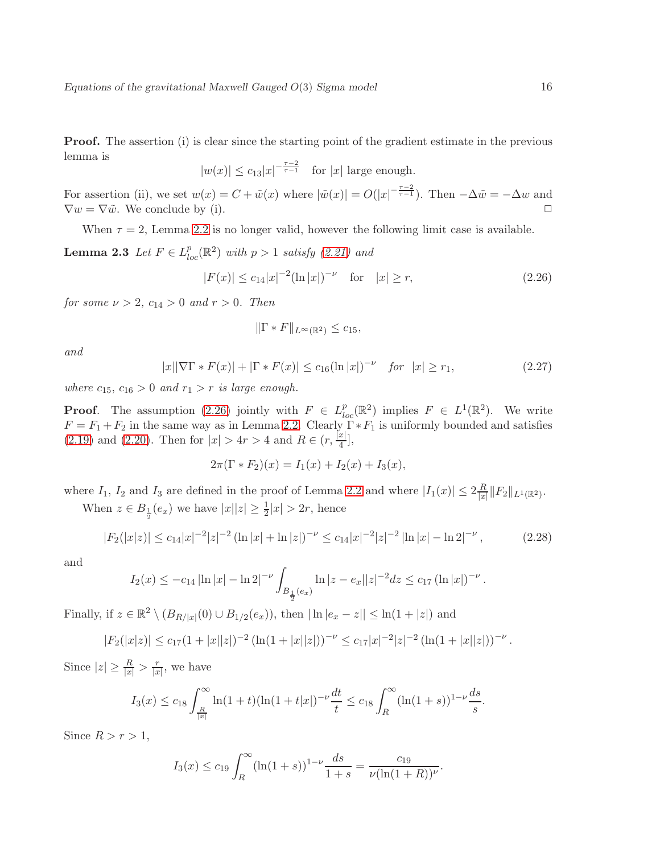**Proof.** The assertion (i) is clear since the starting point of the gradient estimate in the previous lemma is

 $|w(x)| \leq c_{13}|x|^{-\frac{\tau-2}{\tau-1}}$  for  $|x|$  large enough.

For assertion (ii), we set  $w(x) = C + \tilde{w}(x)$  where  $|\tilde{w}(x)| = O(|x|^{-\frac{\tau-2}{\tau-1}})$ . Then  $-\Delta \tilde{w} = -\Delta w$  and  $\nabla w = \nabla \tilde{w}$ . We conclude by (i).

When  $\tau = 2$ , Lemma [2.2](#page-12-3) is no longer valid, however the following limit case is available.

**Lemma 2.3** Let  $F \in L_{loc}^p(\mathbb{R}^2)$  with  $p > 1$  satisfy [\(2.21\)](#page-12-1) and

<span id="page-15-0"></span>
$$
|F(x)| \le c_{14}|x|^{-2}(\ln|x|)^{-\nu} \quad \text{for} \quad |x| \ge r,\tag{2.26}
$$

for some  $\nu > 2$ ,  $c_{14} > 0$  and  $r > 0$ . Then

<span id="page-15-2"></span>
$$
\|\Gamma \ast F\|_{L^{\infty}(\mathbb{R}^2)} \leq c_{15},
$$

and

<span id="page-15-1"></span>
$$
|x||\nabla\Gamma * F(x)| + |\Gamma * F(x)| \le c_{16}(\ln|x|)^{-\nu} \quad \text{for } |x| \ge r_1,
$$
\n(2.27)

where  $c_{15}$ ,  $c_{16} > 0$  and  $r_1 > r$  is large enough.

**Proof.** The assumption [\(2.26\)](#page-15-0) jointly with  $F \in L^p_{loc}(\mathbb{R}^2)$  implies  $F \in L^1(\mathbb{R}^2)$ . We write  $F = F_1 + F_2$  in the same way as in Lemma [2.2.](#page-12-3) Clearly  $\Gamma * F_1$  is uniformly bounded and satisfies [\(2.19\)](#page-11-2) and [\(2.20\)](#page-11-3). Then for  $|x| > 4r > 4$  and  $R \in (r, \frac{x}{4})$  $\frac{x_1}{4}$ ,

$$
2\pi(\Gamma * F_2)(x) = I_1(x) + I_2(x) + I_3(x),
$$

where  $I_1$ ,  $I_2$  and  $I_3$  are defined in the proof of Lemma [2.2](#page-12-3) and where  $|I_1(x)| \leq 2\frac{R}{|x|}$  $\frac{R}{|x|} \|F_2\|_{L^1(\mathbb{R}^2)}.$ 

When  $z \in B_{\frac{1}{2}}(e_x)$  we have  $|x||z| \ge \frac{1}{2}|x| > 2r$ , hence

$$
|F_2(|x|z)| \le c_{14}|x|^{-2}|z|^{-2} \left(\ln|x| + \ln|z|\right)^{-\nu} \le c_{14}|x|^{-2}|z|^{-2} \left|\ln|x| - \ln 2\right|^{-\nu},\tag{2.28}
$$

and

$$
I_2(x) \le -c_{14} |\ln |x| - \ln 2|^{-\nu} \int_{B_{\frac{1}{2}}(e_x)} \ln |z - e_x||z|^{-2} dz \le c_{17} (\ln |x|)^{-\nu}.
$$

Finally, if  $z \in \mathbb{R}^2 \setminus (B_{R/|x|}(0) \cup B_{1/2}(e_x))$ , then  $|\ln |e_x - z|| \le \ln(1 + |z|)$  and

$$
|F_2(|x|z)| \le c_{17}(1+|x||z|)^{-2} \left(\ln(1+|x||z|)\right)^{-\nu} \le c_{17}|x|^{-2}|z|^{-2} \left(\ln(1+|x||z|)\right)^{-\nu}.
$$

Since  $|z| \geq \frac{R}{|x|} > \frac{r}{|x|}$  $\frac{r}{|x|}$ , we have

$$
I_3(x) \leq c_{18} \int_{\frac{R}{|x|}}^{\infty} \ln(1+t) (\ln(1+t|x|)^{-\nu} \frac{dt}{t} \leq c_{18} \int_{R}^{\infty} (\ln(1+s))^{1-\nu} \frac{ds}{s}.
$$

Since  $R > r > 1$ ,

$$
I_3(x) \le c_{19} \int_R^{\infty} (\ln(1+s))^{1-\nu} \frac{ds}{1+s} = \frac{c_{19}}{\nu(\ln(1+R))^\nu}.
$$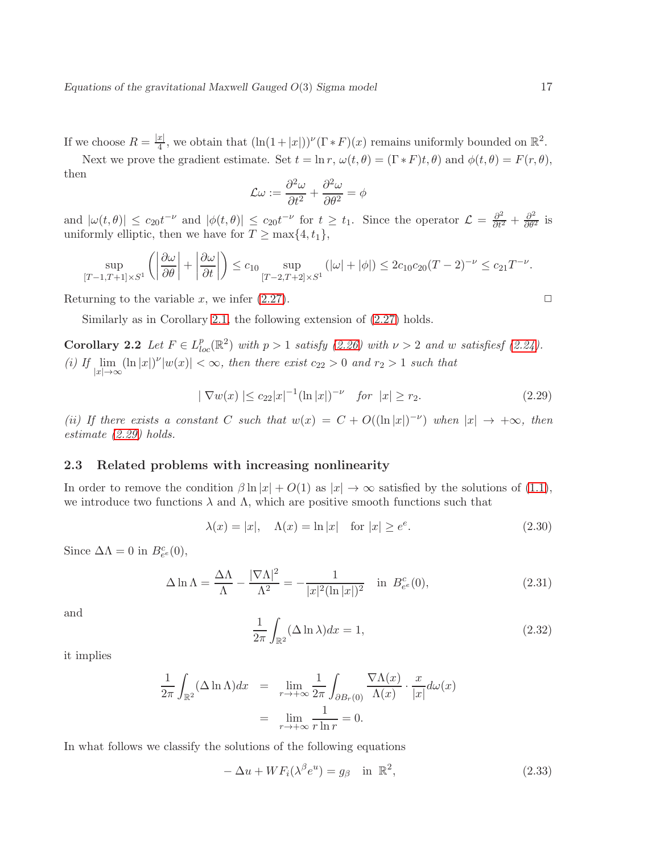If we choose  $R = \frac{|x|}{4}$  $\frac{|x|}{4}$ , we obtain that  $(\ln(1+|x|))^{\nu}(\Gamma * F)(x)$  remains uniformly bounded on  $\mathbb{R}^2$ .

Next we prove the gradient estimate. Set  $t = \ln r$ ,  $\omega(t, \theta) = (\Gamma * F)t, \theta$  and  $\phi(t, \theta) = F(r, \theta)$ , then

$$
\mathcal{L}\omega := \frac{\partial^2 \omega}{\partial t^2} + \frac{\partial^2 \omega}{\partial \theta^2} = \phi
$$

and  $|\omega(t,\theta)| \leq c_{20}t^{-\nu}$  and  $|\phi(t,\theta)| \leq c_{20}t^{-\nu}$  for  $t \geq t_1$ . Since the operator  $\mathcal{L} = \frac{\partial^2}{\partial t^2} + \frac{\partial^2}{\partial \theta^2}$  is uniformly elliptic, then we have for  $T \ge \max\{4, t_1\}$ ,

$$
\sup_{[T-1,T+1]\times S^1}\left(\left|\frac{\partial\omega}{\partial\theta}\right|+\left|\frac{\partial\omega}{\partial t}\right|\right)\leq c_{10}\sup_{[T-2,T+2]\times S^1}\left(|\omega|+|\phi|\right)\leq 2c_{10}c_{20}(T-2)^{-\nu}\leq c_{21}T^{-\nu}.
$$

Returning to the variable x, we infer  $(2.27)$ .

<span id="page-16-4"></span>Similarly as in Corollary [2.1,](#page-14-1) the following extension of [\(2.27\)](#page-15-1) holds.

**Corollary 2.2** Let  $F \in L_{loc}^p(\mathbb{R}^2)$  with  $p > 1$  satisfy [\(2.26\)](#page-15-0) with  $\nu > 2$  and w satisfiesf [\(2.24\)](#page-14-2). (i) If  $\lim_{n \to \infty}$   $(\ln |x|)^{\nu} |w(x)| < \infty$ , then there exist  $c_{22} > 0$  and  $r_2 > 1$  such that  $|x|→∞$ 

<span id="page-16-1"></span>
$$
|\nabla w(x)| \le c_{22} |x|^{-1} (\ln |x|)^{-\nu} \quad \text{for } |x| \ge r_2. \tag{2.29}
$$

(ii) If there exists a constant C such that  $w(x) = C + O((\ln |x|)^{-\nu})$  when  $|x| \to +\infty$ , then estimate [\(2.29\)](#page-16-1) holds.

#### <span id="page-16-0"></span>2.3 Related problems with increasing nonlinearity

In order to remove the condition  $\beta \ln |x| + O(1)$  as  $|x| \to \infty$  satisfied by the solutions of [\(1.1\)](#page-1-1), we introduce two functions  $\lambda$  and  $\Lambda$ , which are positive smooth functions such that

<span id="page-16-5"></span>
$$
\lambda(x) = |x|, \quad \Lambda(x) = \ln|x| \quad \text{for } |x| \ge e^e. \tag{2.30}
$$

Since  $\Delta \Lambda = 0$  in  $B_{e^e}^c(0)$ ,

$$
\Delta \ln \Lambda = \frac{\Delta \Lambda}{\Lambda} - \frac{|\nabla \Lambda|^2}{\Lambda^2} = -\frac{1}{|x|^2 (\ln |x|)^2} \quad \text{in } B_{e^e}^c(0),\tag{2.31}
$$

and

<span id="page-16-2"></span>
$$
\frac{1}{2\pi} \int_{\mathbb{R}^2} (\Delta \ln \lambda) dx = 1,
$$
\n(2.32)

it implies

$$
\frac{1}{2\pi} \int_{\mathbb{R}^2} (\Delta \ln \Lambda) dx = \lim_{r \to +\infty} \frac{1}{2\pi} \int_{\partial B_r(0)} \frac{\nabla \Lambda(x)}{\Lambda(x)} \cdot \frac{x}{|x|} d\omega(x)
$$

$$
= \lim_{r \to +\infty} \frac{1}{r \ln r} = 0.
$$

In what follows we classify the solutions of the following equations

<span id="page-16-3"></span>
$$
-\Delta u + WF_i(\lambda^{\beta} e^u) = g_{\beta} \quad \text{in } \mathbb{R}^2,
$$
\n(2.33)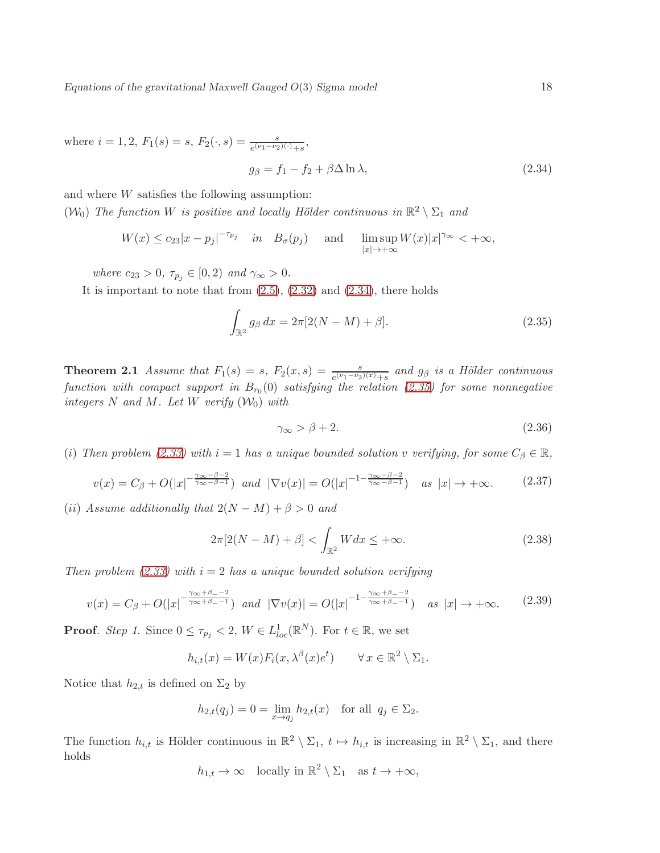where  $i = 1, 2, F_1(s) = s, F_2(\cdot, s) = \frac{s}{e^{(\nu_1 - \nu_2)(\cdot)} + s},$ 

<span id="page-17-0"></span>
$$
g_{\beta} = f_1 - f_2 + \beta \Delta \ln \lambda, \qquad (2.34)
$$

and where W satisfies the following assumption: ( $\mathcal{W}_0$ ) The function W is positive and locally Hölder continuous in  $\mathbb{R}^2 \setminus \Sigma_1$  and

$$
W(x) \le c_{23}|x - p_j|^{-\tau_{p_j}} \quad \text{in} \quad B_{\sigma}(p_j) \quad \text{and} \quad \limsup_{|x| \to +\infty} W(x)|x|^{\gamma_{\infty}} < +\infty,
$$

where  $c_{23} > 0$ ,  $\tau_{p_j} \in [0, 2)$  and  $\gamma_{\infty} > 0$ .

It is important to note that from  $(2.5)$ ,  $(2.32)$  and  $(2.34)$ , there holds

<span id="page-17-1"></span>
$$
\int_{\mathbb{R}^2} g_\beta \, dx = 2\pi [2(N - M) + \beta].\tag{2.35}
$$

<span id="page-17-5"></span>**Theorem 2.1** Assume that  $F_1(s) = s$ ,  $F_2(x, s) = \frac{s}{e^{(\nu_1 - \nu_2)(x)} + s}$  and  $g_\beta$  is a Hölder continuous function with compact support in  $B_{r_0}(0)$  satisfying the relation [\(2.35\)](#page-17-1) for some nonnegative integers N and M. Let W verify  $(\mathcal{W}_0)$  with

<span id="page-17-3"></span>
$$
\gamma_{\infty} > \beta + 2. \tag{2.36}
$$

(i) Then problem [\(2.33\)](#page-16-3) with  $i = 1$  has a unique bounded solution v verifying, for some  $C_\beta \in \mathbb{R}$ ,

<span id="page-17-4"></span>
$$
v(x) = C_{\beta} + O(|x|^{-\frac{\gamma_{\infty} - \beta - 2}{\gamma_{\infty} - \beta - 1}}) \quad \text{and} \quad |\nabla v(x)| = O(|x|^{-1 - \frac{\gamma_{\infty} - \beta - 2}{\gamma_{\infty} - \beta - 1}}) \quad \text{as } |x| \to +\infty. \tag{2.37}
$$

(ii) Assume additionally that  $2(N - M) + \beta > 0$  and

<span id="page-17-2"></span>
$$
2\pi[2(N-M)+\beta] < \int_{\mathbb{R}^2} W dx \le +\infty. \tag{2.38}
$$

Then problem [\(2.33\)](#page-16-3) with  $i = 2$  has a unique bounded solution verifying

$$
v(x) = C_{\beta} + O(|x|^{-\frac{\gamma_{\infty} + \beta_{-} - 2}{\gamma_{\infty} + \beta_{-} - 1}}) \quad \text{and} \quad |\nabla v(x)| = O(|x|^{-1 - \frac{\gamma_{\infty} + \beta_{-} - 2}{\gamma_{\infty} + \beta_{-} - 1}}) \quad \text{as } |x| \to +\infty. \tag{2.39}
$$

**Proof.** Step 1. Since  $0 \leq \tau_{p_j} < 2$ ,  $W \in L^1_{loc}(\mathbb{R}^N)$ . For  $t \in \mathbb{R}$ , we set

$$
h_{i,t}(x) = W(x)F_i(x, \lambda^{\beta}(x)e^t) \qquad \forall x \in \mathbb{R}^2 \setminus \Sigma_1.
$$

Notice that  $h_{2,t}$  is defined on  $\Sigma_2$  by

$$
h_{2,t}(q_j) = 0 = \lim_{x \to q_j} h_{2,t}(x)
$$
 for all  $q_j \in \Sigma_2$ .

The function  $h_{i,t}$  is Hölder continuous in  $\mathbb{R}^2 \setminus \Sigma_1$ ,  $t \mapsto h_{i,t}$  is increasing in  $\mathbb{R}^2 \setminus \Sigma_1$ , and there holds

$$
h_{1,t} \to \infty
$$
 locally in  $\mathbb{R}^2 \setminus \Sigma_1$  as  $t \to +\infty$ ,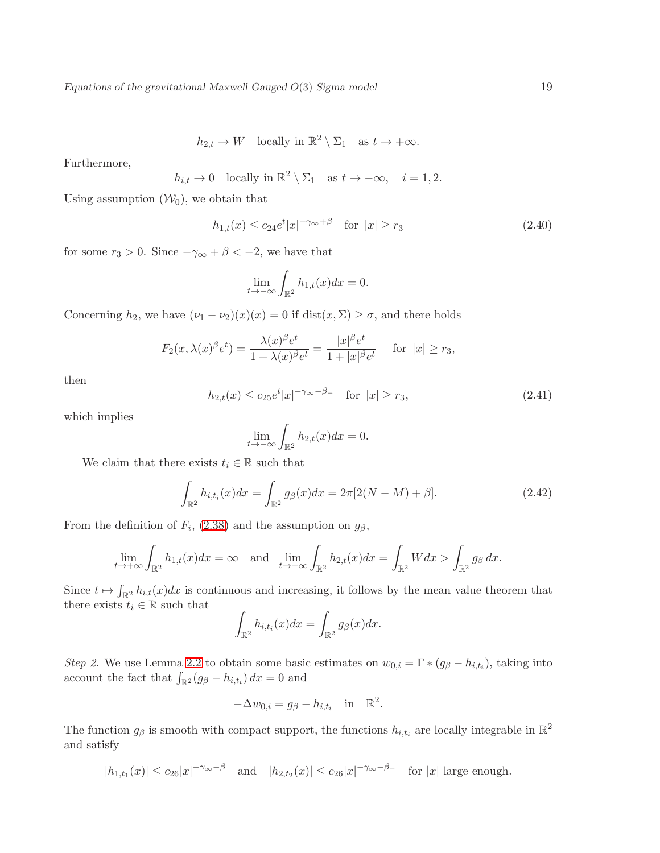$h_{2,t} \to W$  locally in  $\mathbb{R}^2 \setminus \Sigma_1$  as  $t \to +\infty$ .

Furthermore,

$$
h_{i,t} \to 0
$$
 locally in  $\mathbb{R}^2 \setminus \Sigma_1$  as  $t \to -\infty$ ,  $i = 1, 2$ .

Using assumption  $(\mathcal{W}_0)$ , we obtain that

$$
h_{1,t}(x) \le c_{24} e^t |x|^{-\gamma_{\infty} + \beta} \quad \text{for } |x| \ge r_3 \tag{2.40}
$$

for some  $r_3 > 0$ . Since  $-\gamma_{\infty} + \beta < -2$ , we have that

$$
\lim_{t \to -\infty} \int_{\mathbb{R}^2} h_{1,t}(x) dx = 0.
$$

Concerning  $h_2$ , we have  $(\nu_1 - \nu_2)(x)(x) = 0$  if  $dist(x, \Sigma) \ge \sigma$ , and there holds

$$
F_2(x,\lambda(x)^{\beta}e^t) = \frac{\lambda(x)^{\beta}e^t}{1+\lambda(x)^{\beta}e^t} = \frac{|x|^{\beta}e^t}{1+|x|^{\beta}e^t} \quad \text{for } |x| \ge r_3,
$$

then

$$
h_{2,t}(x) \le c_{25} e^t |x|^{-\gamma_{\infty} - \beta_{-}} \quad \text{for } |x| \ge r_3,
$$
\n(2.41)

which implies

$$
\lim_{t \to -\infty} \int_{\mathbb{R}^2} h_{2,t}(x) dx = 0.
$$

We claim that there exists  $t_i \in \mathbb{R}$  such that

$$
\int_{\mathbb{R}^2} h_{i,t_i}(x) dx = \int_{\mathbb{R}^2} g_{\beta}(x) dx = 2\pi [2(N-M) + \beta].
$$
\n(2.42)

From the definition of  $F_i$ , [\(2.38\)](#page-17-2) and the assumption on  $g_\beta$ ,

$$
\lim_{t \to +\infty} \int_{\mathbb{R}^2} h_{1,t}(x) dx = \infty \quad \text{and} \quad \lim_{t \to +\infty} \int_{\mathbb{R}^2} h_{2,t}(x) dx = \int_{\mathbb{R}^2} W dx > \int_{\mathbb{R}^2} g_\beta dx.
$$

Since  $t \mapsto \int_{\mathbb{R}^2} h_{i,t}(x)dx$  is continuous and increasing, it follows by the mean value theorem that there exists  $t_i \in \mathbb{R}$  such that

$$
\int_{\mathbb{R}^2} h_{i,t_i}(x) dx = \int_{\mathbb{R}^2} g_{\beta}(x) dx.
$$

Step 2. We use Lemma [2.2](#page-12-3) to obtain some basic estimates on  $w_{0,i} = \Gamma * (g_{\beta} - h_{i,t_i})$ , taking into account the fact that  $\int_{\mathbb{R}^2} (g_{\beta} - h_{i,t_i}) dx = 0$  and

$$
-\Delta w_{0,i} = g_{\beta} - h_{i,t_i} \quad \text{in} \quad \mathbb{R}^2.
$$

The function  $g_{\beta}$  is smooth with compact support, the functions  $h_{i,t_i}$  are locally integrable in  $\mathbb{R}^2$ and satisfy

$$
|h_{1,t_1}(x)| \leq c_{26}|x|^{-\gamma_{\infty}-\beta}
$$
 and  $|h_{2,t_2}(x)| \leq c_{26}|x|^{-\gamma_{\infty}-\beta}$  for  $|x|$  large enough.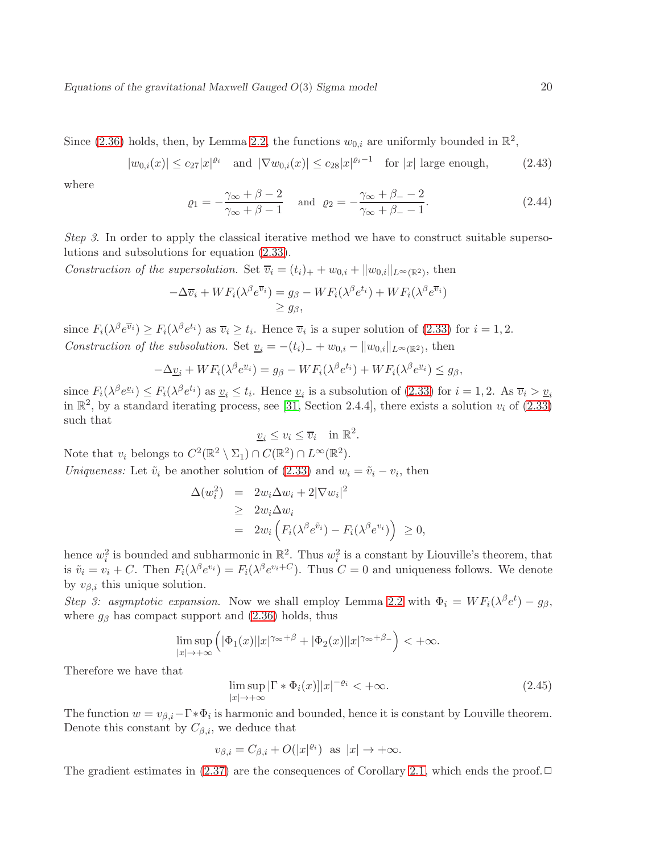Since [\(2.36\)](#page-17-3) holds, then, by Lemma [2.2,](#page-12-3) the functions  $w_{0,i}$  are uniformly bounded in  $\mathbb{R}^2$ ,

$$
|w_{0,i}(x)| \leq c_{27}|x|^{\varrho_i}
$$
 and  $|\nabla w_{0,i}(x)| \leq c_{28}|x|^{\varrho_i-1}$  for  $|x|$  large enough, (2.43)

where

<span id="page-19-0"></span>
$$
\varrho_1 = -\frac{\gamma_\infty + \beta - 2}{\gamma_\infty + \beta - 1} \quad \text{and} \quad \varrho_2 = -\frac{\gamma_\infty + \beta - 2}{\gamma_\infty + \beta - 1}.\tag{2.44}
$$

Step 3. In order to apply the classical iterative method we have to construct suitable supersolutions and subsolutions for equation [\(2.33\)](#page-16-3).

Construction of the supersolution. Set  $\overline{v}_i = (t_i)_+ + w_{0,i} + ||w_{0,i}||_{L^\infty(\mathbb{R}^2)}$ , then

$$
-\Delta \overline{v}_i + WF_i(\lambda^{\beta} e^{\overline{v}_i}) = g_{\beta} - WF_i(\lambda^{\beta} e^{t_i}) + WF_i(\lambda^{\beta} e^{\overline{v}_i})
$$
  

$$
\geq g_{\beta},
$$

since  $F_i(\lambda^{\beta}e^{\overline{v}_i}) \geq F_i(\lambda^{\beta}e^{t_i})$  as  $\overline{v}_i \geq t_i$ . Hence  $\overline{v}_i$  is a super solution of [\(2.33\)](#page-16-3) for  $i = 1, 2$ . Construction of the subsolution. Set  $\underline{v}_i = -(t_i)_- + w_{0,i} - ||w_{0,i}||_{L^\infty(\mathbb{R}^2)}$ , then

$$
-\Delta \underline{v}_i + WF_i(\lambda^{\beta} e^{\underline{v}_i}) = g_{\beta} - WF_i(\lambda^{\beta} e^{t_i}) + WF_i(\lambda^{\beta} e^{\underline{v}_i}) \leq g_{\beta},
$$

since  $F_i(\lambda^{\beta}e^{\underline{v}_i}) \leq F_i(\lambda^{\beta}e^{t_i})$  as  $\underline{v}_i \leq t_i$ . Hence  $\underline{v}_i$  is a subsolution of [\(2.33\)](#page-16-3) for  $i = 1, 2$ . As  $\overline{v}_i > \underline{v}_i$ in  $\mathbb{R}^2$ , by a standard iterating process, see [\[31,](#page-39-1) Section 2.4.4], there exists a solution  $v_i$  of [\(2.33\)](#page-16-3) such that

$$
\underline{v}_i \le v_i \le \overline{v}_i \quad \text{in } \mathbb{R}^2.
$$

Note that  $v_i$  belongs to  $C^2(\mathbb{R}^2 \setminus \Sigma_1) \cap C(\mathbb{R}^2) \cap L^{\infty}(\mathbb{R}^2)$ . Uniqueness: Let  $\tilde{v}_i$  be another solution of [\(2.33\)](#page-16-3) and  $w_i = \tilde{v}_i - v_i$ , then

$$
\Delta(w_i^2) = 2w_i \Delta w_i + 2|\nabla w_i|^2
$$
  
\n
$$
\geq 2w_i \Delta w_i
$$
  
\n
$$
= 2w_i \left( F_i(\lambda^{\beta} e^{\tilde{v}_i}) - F_i(\lambda^{\beta} e^{v_i}) \right) \geq 0,
$$

hence  $w_i^2$  is bounded and subharmonic in  $\mathbb{R}^2$ . Thus  $w_i^2$  is a constant by Liouville's theorem, that is  $\tilde{v}_i = v_i + C$ . Then  $F_i(\lambda^{\beta}e^{v_i}) = F_i(\lambda^{\beta}e^{v_i+C})$ . Thus  $C = 0$  and uniqueness follows. We denote by  $v_{\beta,i}$  this unique solution.

Step 3: asymptotic expansion. Now we shall employ Lemma [2.2](#page-12-3) with  $\Phi_i = WF_i(\lambda^{\beta}e^t) - g_{\beta}$ , where  $g_\beta$  has compact support and  $(2.36)$  holds, thus

$$
\limsup_{|x|\to+\infty} \left( |\Phi_1(x)||x|^{\gamma_\infty+\beta} + |\Phi_2(x)||x|^{\gamma_\infty+\beta_-} \right) < +\infty.
$$

Therefore we have that

$$
\limsup_{|x| \to +\infty} |\Gamma * \Phi_i(x)| |x|^{-\varrho_i} < +\infty. \tag{2.45}
$$

The function  $w = v_{\beta,i} - \Gamma * \Phi_i$  is harmonic and bounded, hence it is constant by Louville theorem. Denote this constant by  $C_{\beta,i}$ , we deduce that

$$
v_{\beta,i} = C_{\beta,i} + O(|x|^{\varrho_i})
$$
 as  $|x| \to +\infty$ .

<span id="page-19-1"></span>The gradient estimates in  $(2.37)$  are the consequences of Corollary [2.1,](#page-14-1) which ends the proof. $\Box$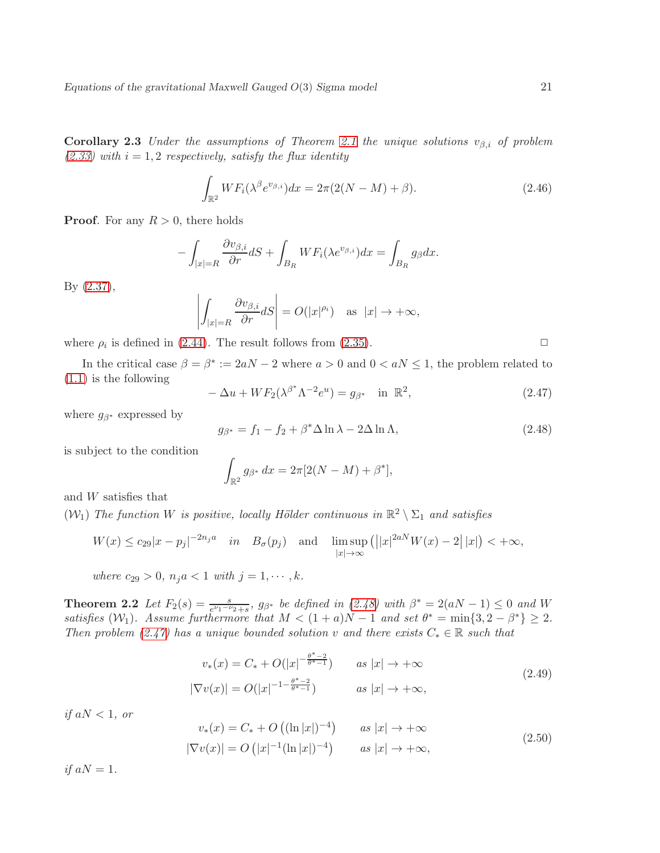**Corollary 2.3** Under the assumptions of Theorem [2.1](#page-17-5) the unique solutions  $v_{\beta,i}$  of problem  $(2.33)$  with  $i = 1, 2$  respectively, satisfy the flux identity

$$
\int_{\mathbb{R}^2} WF_i(\lambda^{\beta} e^{v_{\beta,i}}) dx = 2\pi (2(N-M) + \beta).
$$
\n(2.46)

**Proof.** For any  $R > 0$ , there holds

$$
-\int_{|x|=R} \frac{\partial v_{\beta,i}}{\partial r} dS + \int_{B_R} WF_i(\lambda e^{v_{\beta,i}}) dx = \int_{B_R} g_{\beta} dx.
$$

By [\(2.37\)](#page-17-4),

$$
\left| \int_{|x|=R} \frac{\partial v_{\beta,i}}{\partial r} dS \right| = O(|x|^{\rho_i}) \quad \text{as} \ \ |x| \to +\infty,
$$

where  $\rho_i$  is defined in [\(2.44\)](#page-19-0). The result follows from [\(2.35\)](#page-17-1).

In the critical case  $\beta = \beta^* := 2aN - 2$  where  $a > 0$  and  $0 < aN \leq 1$ , the problem related to [\(1.1\)](#page-1-1) is the following

<span id="page-20-1"></span>
$$
-\Delta u + WF_2(\lambda^{\beta^*}\Lambda^{-2}e^u) = g_{\beta^*} \quad \text{in } \mathbb{R}^2,
$$
\n(2.47)

where  $g_{\beta^*}$  expressed by

<span id="page-20-0"></span>
$$
g_{\beta^*} = f_1 - f_2 + \beta^* \Delta \ln \lambda - 2\Delta \ln \Lambda, \qquad (2.48)
$$

is subject to the condition

$$
\int_{\mathbb{R}^2} g_{\beta^*} dx = 2\pi [2(N-M) + \beta^*],
$$

and W satisfies that

 $(W_1)$  The function W is positive, locally Hölder continuous in  $\mathbb{R}^2 \setminus \Sigma_1$  and satisfies

$$
W(x) \le c_{29}|x - p_j|^{-2n_j a} \quad in \quad B_{\sigma}(p_j) \quad \text{and} \quad \limsup_{|x| \to \infty} (||x|^{2aN}W(x) - 2||x|) < +\infty,
$$

where  $c_{29} > 0$ ,  $n_j a < 1$  with  $j = 1, \dots, k$ .

<span id="page-20-4"></span>**Theorem 2.2** Let  $F_2(s) = \frac{s}{e^{\nu_1-\nu_2}+s}$ ,  $g_{\beta^*}$  be defined in [\(2.48\)](#page-20-0) with  $\beta^* = 2(aN-1) \leq 0$  and W satisfies  $(W_1)$ . Assume furthermore that  $M < (1 + a)N - 1$  and set  $\theta^* = \min\{3, 2 - \beta^*\} \geq 2$ . Then problem [\(2.47\)](#page-20-1) has a unique bounded solution v and there exists  $C_* \in \mathbb{R}$  such that

<span id="page-20-2"></span>
$$
v_*(x) = C_* + O(|x|^{-\frac{\theta^*-2}{\theta^*-1}})
$$
 as  $|x| \to +\infty$   

$$
|\nabla v(x)| = O(|x|^{-1-\frac{\theta^*-2}{\theta^*-1}})
$$
 as  $|x| \to +\infty$ , (2.49)

if  $aN < 1$ , or

<span id="page-20-3"></span>
$$
v_*(x) = C_* + O\left((\ln|x|)^{-4}\right) \qquad \text{as } |x| \to +\infty
$$
  

$$
|\nabla v(x)| = O\left(|x|^{-1}(\ln|x|)^{-4}\right) \qquad \text{as } |x| \to +\infty,
$$
 (2.50)

if  $aN = 1$ .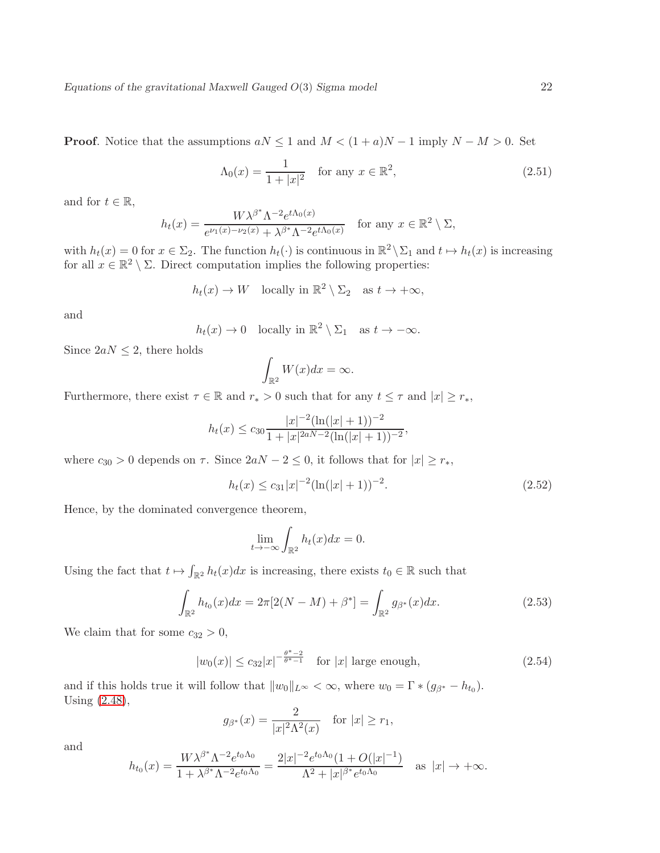**Proof.** Notice that the assumptions  $aN \leq 1$  and  $M < (1 + a)N - 1$  imply  $N - M > 0$ . Set

<span id="page-21-0"></span>
$$
\Lambda_0(x) = \frac{1}{1+|x|^2} \quad \text{for any } x \in \mathbb{R}^2,
$$
\n(2.51)

and for  $t \in \mathbb{R}$ ,

$$
h_t(x) = \frac{W\lambda^{\beta^*}\Lambda^{-2}e^{t\Lambda_0(x)}}{e^{\nu_1(x) - \nu_2(x)} + \lambda^{\beta^*}\Lambda^{-2}e^{t\Lambda_0(x)}} \quad \text{for any } x \in \mathbb{R}^2 \setminus \Sigma,
$$

with  $h_t(x) = 0$  for  $x \in \Sigma_2$ . The function  $h_t(\cdot)$  is continuous in  $\mathbb{R}^2 \setminus \Sigma_1$  and  $t \mapsto h_t(x)$  is increasing for all  $x \in \mathbb{R}^2 \setminus \Sigma$ . Direct computation implies the following properties:

$$
h_t(x) \to W
$$
 locally in  $\mathbb{R}^2 \setminus \Sigma_2$  as  $t \to +\infty$ ,

and

$$
h_t(x) \to 0
$$
 locally in  $\mathbb{R}^2 \setminus \Sigma_1$  as  $t \to -\infty$ .

Since  $2aN \leq 2$ , there holds

$$
\int_{\mathbb{R}^2} W(x) dx = \infty.
$$

Furthermore, there exist  $\tau \in \mathbb{R}$  and  $r_*>0$  such that for any  $t\leq \tau$  and  $|x|\geq r_*,$ 

$$
h_t(x) \le c_{30} \frac{|x|^{-2}(\ln(|x|+1))^{-2}}{1+|x|^{2aN-2}(\ln(|x|+1))^{-2}},
$$

where  $c_{30} > 0$  depends on  $\tau$ . Since  $2aN - 2 \leq 0$ , it follows that for  $|x| \geq r_*$ ,

$$
h_t(x) \le c_{31}|x|^{-2}(\ln(|x|+1))^{-2}.\tag{2.52}
$$

Hence, by the dominated convergence theorem,

$$
\lim_{t \to -\infty} \int_{\mathbb{R}^2} h_t(x) dx = 0.
$$

Using the fact that  $t \mapsto \int_{\mathbb{R}^2} h_t(x)dx$  is increasing, there exists  $t_0 \in \mathbb{R}$  such that

$$
\int_{\mathbb{R}^2} h_{t_0}(x) dx = 2\pi [2(N - M) + \beta^*] = \int_{\mathbb{R}^2} g_{\beta^*}(x) dx.
$$
 (2.53)

We claim that for some  $c_{32} > 0$ ,

$$
|w_0(x)| \le c_{32}|x|^{-\frac{\theta^*-2}{\theta^*-1}} \quad \text{for } |x| \text{ large enough},\tag{2.54}
$$

and if this holds true it will follow that  $||w_0||_{L^{\infty}} < \infty$ , where  $w_0 = \Gamma * (g_{\beta^*} - h_{t_0})$ . Using [\(2.48\)](#page-20-0),

$$
g_{\beta^*}(x) = \frac{2}{|x|^2 \Lambda^2(x)}
$$
 for  $|x| \ge r_1$ ,

and

$$
h_{t_0}(x) = \frac{W\lambda^{\beta^*}\Lambda^{-2}e^{t_0\Lambda_0}}{1+\lambda^{\beta^*}\Lambda^{-2}e^{t_0\Lambda_0}} = \frac{2|x|^{-2}e^{t_0\Lambda_0}(1+O(|x|^{-1}))}{\Lambda^2+|x|^{\beta^*}e^{t_0\Lambda_0}} \quad \text{as } |x| \to +\infty.
$$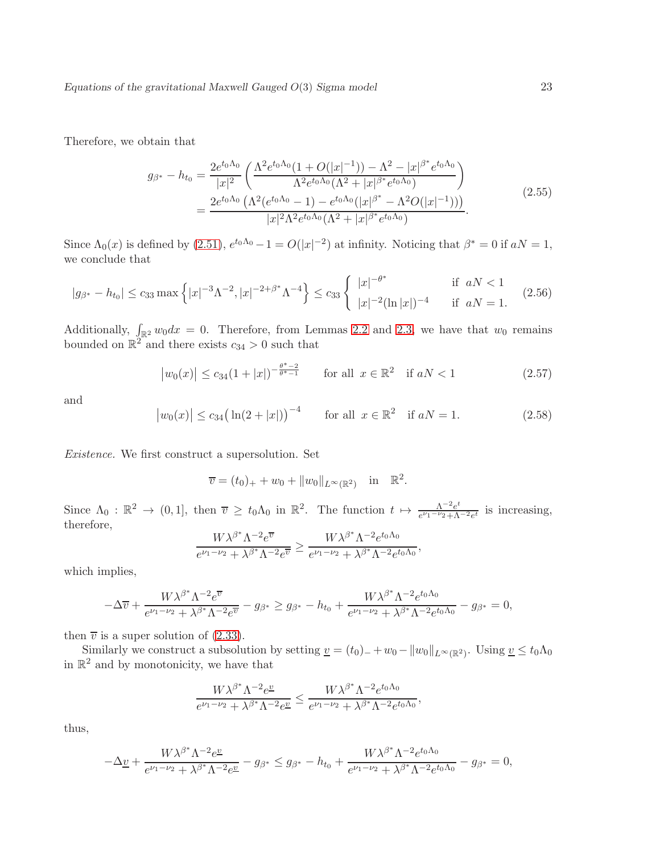Therefore, we obtain that

$$
g_{\beta^*} - h_{t_0} = \frac{2e^{t_0\Lambda_0}}{|x|^2} \left( \frac{\Lambda^2 e^{t_0\Lambda_0} (1 + O(|x|^{-1})) - \Lambda^2 - |x|^{\beta^*} e^{t_0\Lambda_0}}{\Lambda^2 e^{t_0\Lambda_0} (\Lambda^2 + |x|^{\beta^*} e^{t_0\Lambda_0})} \right)
$$
  
= 
$$
\frac{2e^{t_0\Lambda_0} (\Lambda^2 (e^{t_0\Lambda_0} - 1) - e^{t_0\Lambda_0} (|x|^{\beta^*} - \Lambda^2 O(|x|^{-1})))}{|x|^2 \Lambda^2 e^{t_0\Lambda_0} (\Lambda^2 + |x|^{\beta^*} e^{t_0\Lambda_0})}.
$$
 (2.55)

Since  $\Lambda_0(x)$  is defined by [\(2.51\)](#page-21-0),  $e^{t_0\Lambda_0}-1=O(|x|^{-2})$  at infinity. Noticing that  $\beta^*=0$  if  $aN=1$ , we conclude that

$$
|g_{\beta^*} - h_{t_0}| \le c_{33} \max \left\{ |x|^{-3} \Lambda^{-2}, |x|^{-2+\beta^*} \Lambda^{-4} \right\} \le c_{33} \left\{ \begin{array}{ll} |x|^{-\theta^*} & \text{if } aN < 1\\ |x|^{-2} (\ln|x|)^{-4} & \text{if } aN = 1. \end{array} \right. \tag{2.56}
$$

Additionally,  $\int_{\mathbb{R}^2} w_0 dx = 0$ . Therefore, from Lemmas [2.2](#page-12-3) and [2.3,](#page-15-2) we have that  $w_0$  remains bounded on  $\mathbb{R}^2$  and there exists  $c_{34} > 0$  such that

<span id="page-22-0"></span>
$$
|w_0(x)| \le c_{34} (1+|x|)^{-\frac{\theta^*-2}{\theta^*-1}}
$$
 for all  $x \in \mathbb{R}^2$  if  $aN < 1$  (2.57)

and

$$
|w_0(x)| \leq c_{34} (\ln(2+|x|))^{-4}
$$
 for all  $x \in \mathbb{R}^2$  if  $aN = 1$ . (2.58)

Existence. We first construct a supersolution. Set

 $\overline{v} = (t_0)_+ + w_0 + ||w_0||_{L^{\infty}(\mathbb{R}^2)} \text{ in } \mathbb{R}^2.$ 

Since  $\Lambda_0 : \mathbb{R}^2 \to (0,1]$ , then  $\overline{v} \geq t_0 \Lambda_0$  in  $\mathbb{R}^2$ . The function  $t \mapsto \frac{\Lambda^{-2} e^t}{e^{\nu_1 - \nu_2} + \Lambda}$  $\frac{\Lambda^{-2}e^{c}}{e^{\nu_1-\nu_2}+\Lambda^{-2}e^{t}}$  is increasing, therefore,

$$
\frac{W\lambda^{\beta^*}\Lambda^{-2}e^{\overline{v}}}{e^{\nu_1-\nu_2}+\lambda^{\beta^*}\Lambda^{-2}e^{\overline{v}}} \ge \frac{W\lambda^{\beta^*}\Lambda^{-2}e^{t_0\Lambda_0}}{e^{\nu_1-\nu_2}+\lambda^{\beta^*}\Lambda^{-2}e^{t_0\Lambda_0}},
$$

which implies,

$$
-\Delta \overline{v} + \frac{W\lambda^{\beta^*}\Lambda^{-2}e^{\overline{v}}}{e^{\nu_1-\nu_2} + \lambda^{\beta^*}\Lambda^{-2}e^{\overline{v}}} - g_{\beta^*} \ge g_{\beta^*} - h_{t_0} + \frac{W\lambda^{\beta^*}\Lambda^{-2}e^{t_0\Lambda_0}}{e^{\nu_1-\nu_2} + \lambda^{\beta^*}\Lambda^{-2}e^{t_0\Lambda_0}} - g_{\beta^*} = 0,
$$

then  $\overline{v}$  is a super solution of [\(2.33\)](#page-16-3).

Similarly we construct a subsolution by setting  $\underline{v} = (t_0)_- + w_0 - ||w_0||_{L^\infty(\mathbb{R}^2)}$ . Using  $\underline{v} \le t_0 \Lambda_0$ in  $\mathbb{R}^2$  and by monotonicity, we have that

$$
\frac{W\lambda^{\beta^*}\Lambda^{-2}e^{\underline{v}}}{e^{\nu_1-\nu_2}+\lambda^{\beta^*}\Lambda^{-2}e^{\underline{v}}} \le \frac{W\lambda^{\beta^*}\Lambda^{-2}e^{t_0\Lambda_0}}{e^{\nu_1-\nu_2}+\lambda^{\beta^*}\Lambda^{-2}e^{t_0\Lambda_0}},
$$

thus,

$$
-\Delta \underline{v} + \frac{W \lambda^{\beta^*} \Lambda^{-2} e^{\underline{v}}}{e^{\nu_1 - \nu_2} + \lambda^{\beta^*} \Lambda^{-2} e^{\underline{v}}} - g_{\beta^*} \leq g_{\beta^*} - h_{t_0} + \frac{W \lambda^{\beta^*} \Lambda^{-2} e^{t_0 \Lambda_0}}{e^{\nu_1 - \nu_2} + \lambda^{\beta^*} \Lambda^{-2} e^{t_0 \Lambda_0}} - g_{\beta^*} = 0,
$$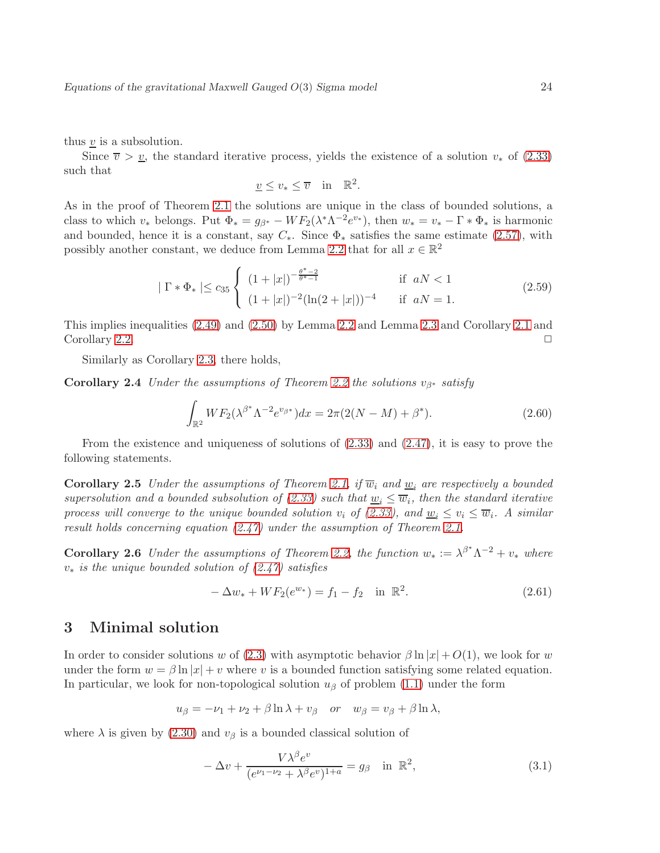thus  $\underline{v}$  is a subsolution.

Since  $\overline{v} > v$ , the standard iterative process, yields the existence of a solution  $v_*$  of [\(2.33\)](#page-16-3) such that

$$
\underline{v} \le v_* \le \overline{v} \quad \text{in} \quad \mathbb{R}^2.
$$

As in the proof of Theorem [2.1](#page-17-5) the solutions are unique in the class of bounded solutions, a class to which  $v_*$  belongs. Put  $\Phi_* = g_{\beta^*} - WF_2(\lambda^*\Lambda^{-2}e^{v_*})$ , then  $w_* = v_* - \Gamma * \Phi_*$  is harmonic and bounded, hence it is a constant, say  $C_*$ . Since  $\Phi_*$  satisfies the same estimate [\(2.57\)](#page-22-0), with possibly another constant, we deduce from Lemma [2.2](#page-12-3) that for all  $x \in \mathbb{R}^2$ 

$$
|\Gamma * \Phi_*| \leq c_{35} \begin{cases} (1+|x|)^{-\frac{\theta^*-2}{\theta^*-1}} & \text{if } aN < 1\\ (1+|x|)^{-2}(\ln(2+|x|))^{-4} & \text{if } aN = 1. \end{cases}
$$
 (2.59)

This implies inequalities [\(2.49\)](#page-20-2) and [\(2.50\)](#page-20-3) by Lemma [2.2](#page-12-3) and Lemma [2.3](#page-15-2) and Corollary [2.1](#page-14-1) and Corollary [2.2.](#page-16-4)

Similarly as Corollary [2.3,](#page-19-1) there holds,

**Corollary 2.4** Under the assumptions of Theorem [2.2](#page-20-4) the solutions  $v_{\beta^*}$  satisfy

<span id="page-23-2"></span>
$$
\int_{\mathbb{R}^2} WF_2(\lambda^{\beta^*} \Lambda^{-2} e^{v_{\beta^*}}) dx = 2\pi (2(N-M) + \beta^*).
$$
 (2.60)

From the existence and uniqueness of solutions of [\(2.33\)](#page-16-3) and [\(2.47\)](#page-20-1), it is easy to prove the following statements.

**Corollary 2.5** Under the assumptions of Theorem [2.1,](#page-17-5) if  $\overline{w}_i$  and  $\underline{w}_i$  are respectively a bounded supersolution and a bounded subsolution of [\(2.33\)](#page-16-3) such that  $\underline{w}_i \leq \overline{w}_i$ , then the standard iterative process will converge to the unique bounded solution  $v_i$  of [\(2.33\)](#page-16-3), and  $\underline{w}_i \leq v_i \leq \overline{w}_i$ . A similar result holds concerning equation [\(2.47\)](#page-20-1) under the assumption of Theorem [2.1.](#page-17-5)

**Corollary 2.6** Under the assumptions of Theorem [2.2,](#page-20-4) the function  $w_* := \lambda^{\beta^*} \Lambda^{-2} + v_*$  where  $v_*$  is the unique bounded solution of  $(2.47)$  satisfies

$$
-\Delta w_* + WF_2(e^{w_*}) = f_1 - f_2 \quad \text{in } \mathbb{R}^2. \tag{2.61}
$$

### <span id="page-23-0"></span>3 Minimal solution

In order to consider solutions w of [\(2.3\)](#page-8-2) with asymptotic behavior  $\beta \ln |x| + O(1)$ , we look for w under the form  $w = \beta \ln |x| + v$  where v is a bounded function satisfying some related equation. In particular, we look for non-topological solution  $u<sub>\beta</sub>$  of problem [\(1.1\)](#page-1-1) under the form

$$
u_{\beta} = -\nu_1 + \nu_2 + \beta \ln \lambda + v_{\beta} \quad or \quad w_{\beta} = v_{\beta} + \beta \ln \lambda,
$$

where  $\lambda$  is given by [\(2.30\)](#page-16-5) and  $v_\beta$  is a bounded classical solution of

<span id="page-23-1"></span>
$$
-\Delta v + \frac{V\lambda^{\beta}e^{v}}{(e^{\nu_1-\nu_2}+\lambda^{\beta}e^{v})^{1+a}} = g_{\beta} \quad \text{in } \mathbb{R}^2,
$$
\n(3.1)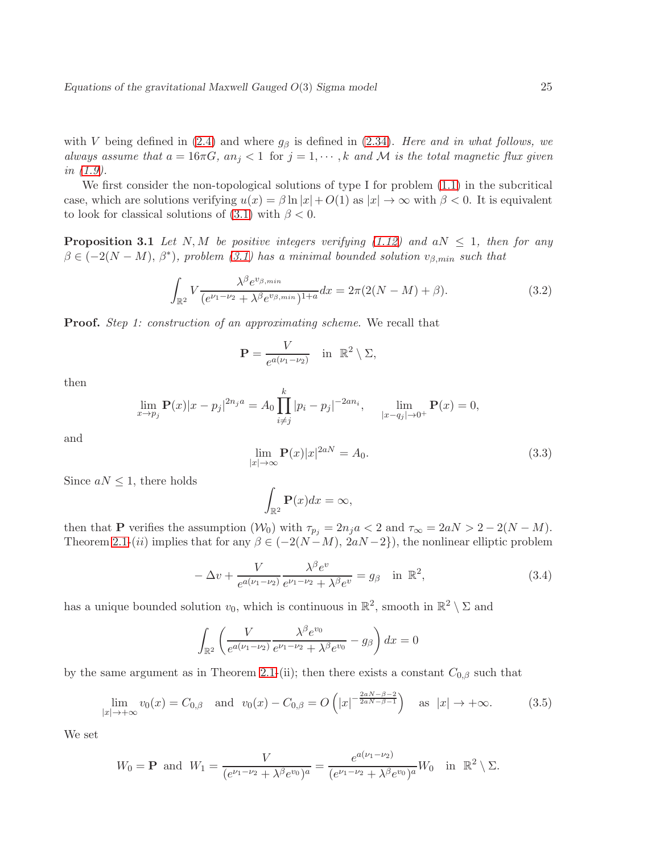with V being defined in [\(2.4\)](#page-8-4) and where  $g_\beta$  is defined in [\(2.34\)](#page-17-0). Here and in what follows, we always assume that  $a = 16\pi G$ ,  $an_j < 1$  for  $j = 1, \dots, k$  and M is the total magnetic flux given in [\(1.9\)](#page-5-1).

We first consider the non-topological solutions of type I for problem  $(1.1)$  in the subcritical case, which are solutions verifying  $u(x) = \beta \ln |x| + O(1)$  as  $|x| \to \infty$  with  $\beta < 0$ . It is equivalent to look for classical solutions of [\(3.1\)](#page-23-1) with  $\beta < 0$ .

<span id="page-24-2"></span>**Proposition 3.1** Let N, M be positive integers verifying [\(1.12\)](#page-5-2) and aN  $\leq$  1, then for any  $\beta \in (-2(N-M), \beta^*)$ , problem [\(3.1\)](#page-23-1) has a minimal bounded solution  $v_{\beta,min}$  such that

<span id="page-24-1"></span>
$$
\int_{\mathbb{R}^2} V \frac{\lambda^{\beta} e^{v_{\beta,min}}}{(e^{\nu_1-\nu_2} + \lambda^{\beta} e^{v_{\beta,min}})^{1+a}} dx = 2\pi (2(N-M) + \beta). \tag{3.2}
$$

**Proof.** Step 1: construction of an approximating scheme. We recall that

$$
\mathbf{P} = \frac{V}{e^{a(\nu_1 - \nu_2)}} \quad \text{in } \mathbb{R}^2 \setminus \Sigma,
$$

then

$$
\lim_{x \to p_j} \mathbf{P}(x)|x - p_j|^{2n_j a} = A_0 \prod_{i \neq j}^k |p_i - p_j|^{-2an_i}, \quad \lim_{|x - q_j| \to 0^+} \mathbf{P}(x) = 0,
$$

and

$$
\lim_{|x| \to \infty} \mathbf{P}(x)|x|^{2aN} = A_0.
$$
\n(3.3)

Since  $aN \leq 1$ , there holds

$$
\int_{\mathbb{R}^2} \mathbf{P}(x) dx = \infty,
$$

then that **P** verifies the assumption  $(\mathcal{W}_0)$  with  $\tau_{p_i} = 2n_j a < 2$  and  $\tau_{\infty} = 2aN > 2 - 2(N - M)$ . Theorem [2.1-](#page-17-5)(ii) implies that for any  $\beta \in (-2(N-M), 2aN-2)$ , the nonlinear elliptic problem

<span id="page-24-0"></span>
$$
-\Delta v + \frac{V}{e^{a(\nu_1 - \nu_2)}} \frac{\lambda^{\beta} e^v}{e^{\nu_1 - \nu_2} + \lambda^{\beta} e^v} = g_{\beta} \quad \text{in } \mathbb{R}^2,
$$
\n(3.4)

has a unique bounded solution  $v_0$ , which is continuous in  $\mathbb{R}^2$ , smooth in  $\mathbb{R}^2 \setminus \Sigma$  and

$$
\int_{\mathbb{R}^2} \left( \frac{V}{e^{a(\nu_1 - \nu_2)}} \frac{\lambda^{\beta} e^{\nu_0}}{e^{\nu_1 - \nu_2} + \lambda^{\beta} e^{\nu_0}} - g_{\beta} \right) dx = 0
$$

by the same argument as in Theorem [2.1-](#page-17-5)(ii); then there exists a constant  $C_{0,\beta}$  such that

$$
\lim_{|x| \to +\infty} v_0(x) = C_{0,\beta} \quad \text{and} \quad v_0(x) - C_{0,\beta} = O\left(|x|^{-\frac{2aN - \beta - 2}{2aN - \beta - 1}}\right) \quad \text{as} \quad |x| \to +\infty. \tag{3.5}
$$

We set

$$
W_0 = \mathbf{P} \text{ and } W_1 = \frac{V}{(e^{\nu_1 - \nu_2} + \lambda^{\beta} e^{\nu_0})^a} = \frac{e^{a(\nu_1 - \nu_2)}}{(e^{\nu_1 - \nu_2} + \lambda^{\beta} e^{\nu_0})^a} W_0 \text{ in } \mathbb{R}^2 \setminus \Sigma.
$$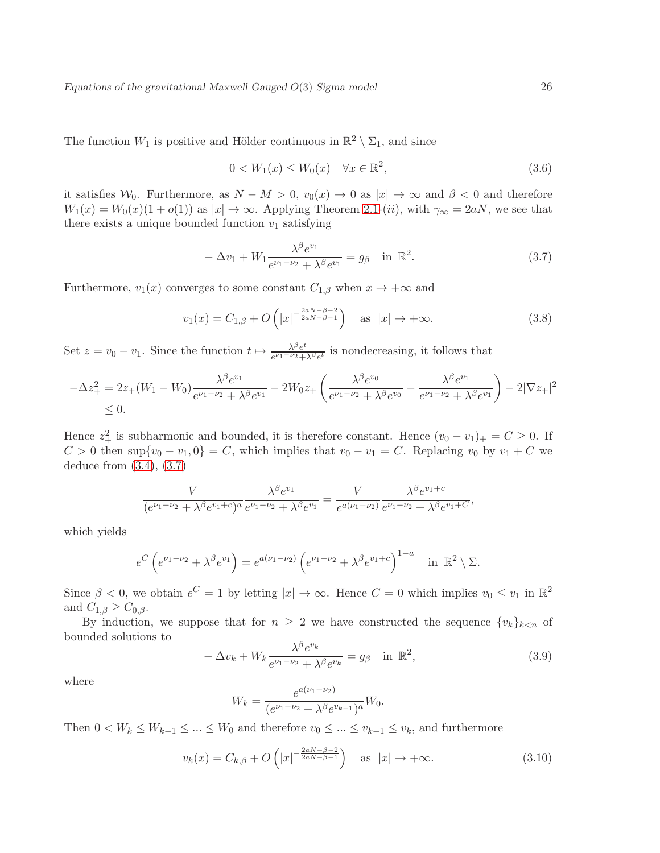The function  $W_1$  is positive and Hölder continuous in  $\mathbb{R}^2 \setminus \Sigma_1$ , and since

$$
0 < W_1(x) \le W_0(x) \quad \forall x \in \mathbb{R}^2,\tag{3.6}
$$

it satisfies  $W_0$ . Furthermore, as  $N - M > 0$ ,  $v_0(x) \to 0$  as  $|x| \to \infty$  and  $\beta < 0$  and therefore  $W_1(x) = W_0(x)(1+o(1))$  as  $|x| \to \infty$ . Applying Theorem [2.1-](#page-17-5)(*ii*), with  $\gamma_{\infty} = 2aN$ , we see that there exists a unique bounded function  $v_1$  satisfying

<span id="page-25-0"></span>
$$
-\Delta v_1 + W_1 \frac{\lambda^{\beta} e^{v_1}}{e^{\nu_1 - \nu_2} + \lambda^{\beta} e^{v_1}} = g_{\beta} \quad \text{in } \mathbb{R}^2.
$$
 (3.7)

Furthermore,  $v_1(x)$  converges to some constant  $C_{1,\beta}$  when  $x \to +\infty$  and

$$
v_1(x) = C_{1,\beta} + O\left(|x|^{-\frac{2aN - \beta - 2}{2aN - \beta - 1}}\right) \quad \text{as } |x| \to +\infty.
$$
 (3.8)

Set  $z = v_0 - v_1$ . Since the function  $t \mapsto \frac{\lambda^{\beta} e^{t}}{e^{\nu_1 - \nu_2}}$  $\frac{\lambda^{\rho}e^{\nu}}{e^{\nu_1-\nu_2}+\lambda^{\beta}e^{\nu}}$  is nondecreasing, it follows that

$$
-\Delta z_{+}^{2} = 2z_{+}(W_{1} - W_{0}) \frac{\lambda^{\beta} e^{v_{1}}}{e^{\nu_{1} - \nu_{2}} + \lambda^{\beta} e^{v_{1}}} - 2W_{0}z_{+} \left( \frac{\lambda^{\beta} e^{v_{0}}}{e^{\nu_{1} - \nu_{2}} + \lambda^{\beta} e^{v_{0}}} - \frac{\lambda^{\beta} e^{v_{1}}}{e^{\nu_{1} - \nu_{2}} + \lambda^{\beta} e^{v_{1}}} \right) - 2|\nabla z_{+}|^{2}
$$
  
\$\leq 0.

Hence  $z_+^2$  is subharmonic and bounded, it is therefore constant. Hence  $(v_0 - v_1)_+ = C \geq 0$ . If  $C > 0$  then sup $\{v_0 - v_1, 0\} = C$ , which implies that  $v_0 - v_1 = C$ . Replacing  $v_0$  by  $v_1 + C$  we deduce from [\(3.4\)](#page-24-0), [\(3.7\)](#page-25-0)

$$
\frac{V}{(e^{\nu_1-\nu_2}+\lambda^{\beta}e^{\nu_1+c})^a} \frac{\lambda^{\beta}e^{\nu_1}}{e^{\nu_1-\nu_2}+\lambda^{\beta}e^{\nu_1}} = \frac{V}{e^{a(\nu_1-\nu_2)}} \frac{\lambda^{\beta}e^{\nu_1+c}}{e^{\nu_1-\nu_2}+\lambda^{\beta}e^{\nu_1+c}},
$$

which yields

$$
e^{C} \left( e^{\nu_1 - \nu_2} + \lambda^{\beta} e^{\nu_1} \right) = e^{a(\nu_1 - \nu_2)} \left( e^{\nu_1 - \nu_2} + \lambda^{\beta} e^{\nu_1 + c} \right)^{1 - a} \quad \text{in } \mathbb{R}^2 \setminus \Sigma.
$$

Since  $\beta < 0$ , we obtain  $e^C = 1$  by letting  $|x| \to \infty$ . Hence  $C = 0$  which implies  $v_0 \le v_1$  in  $\mathbb{R}^2$ and  $C_{1,\beta} \geq C_{0,\beta}$ .

By induction, we suppose that for  $n \geq 2$  we have constructed the sequence  $\{v_k\}_{k \leq n}$  of bounded solutions to

$$
-\Delta v_k + W_k \frac{\lambda^{\beta} e^{v_k}}{e^{\nu_1 - \nu_2} + \lambda^{\beta} e^{v_k}} = g_{\beta} \quad \text{in } \mathbb{R}^2,
$$
\n(3.9)

where

$$
W_k = \frac{e^{a(\nu_1 - \nu_2)}}{(e^{\nu_1 - \nu_2} + \lambda^{\beta} e^{\nu_{k-1}})^a} W_0.
$$

Then  $0 < W_k \leq W_{k-1} \leq ... \leq W_0$  and therefore  $v_0 \leq ... \leq v_{k-1} \leq v_k$ , and furthermore

$$
v_k(x) = C_{k,\beta} + O\left(|x|^{-\frac{2aN - \beta - 2}{2aN - \beta - 1}}\right) \quad \text{as } |x| \to +\infty.
$$
 (3.10)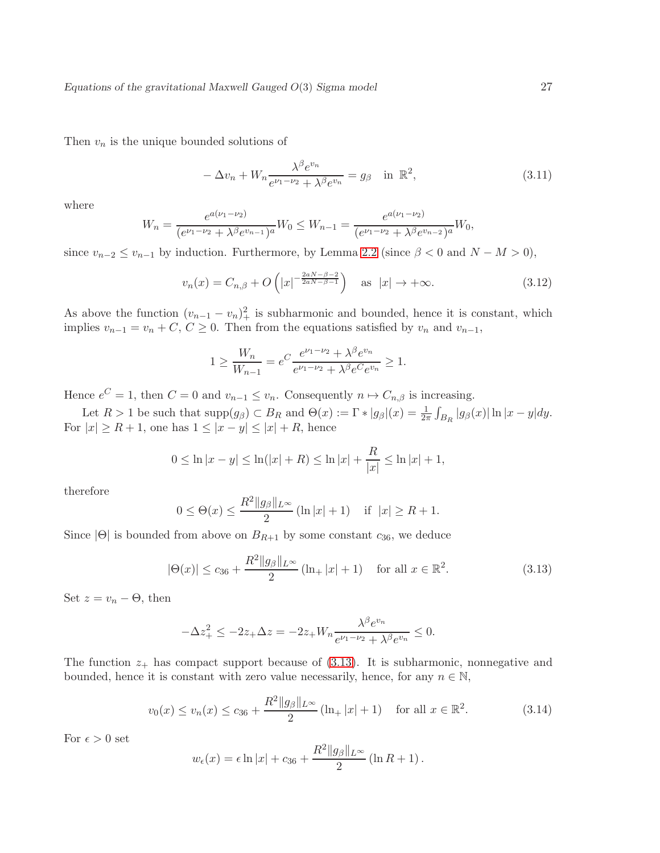Then  $v_n$  is the unique bounded solutions of

<span id="page-26-1"></span>
$$
-\Delta v_n + W_n \frac{\lambda^{\beta} e^{v_n}}{e^{\nu_1 - \nu_2} + \lambda^{\beta} e^{v_n}} = g_\beta \quad \text{in } \mathbb{R}^2,
$$
\n(3.11)

where

$$
W_n = \frac{e^{a(\nu_1 - \nu_2)}}{(e^{\nu_1 - \nu_2} + \lambda^{\beta} e^{\nu_{n-1}})^a} W_0 \le W_{n-1} = \frac{e^{a(\nu_1 - \nu_2)}}{(e^{\nu_1 - \nu_2} + \lambda^{\beta} e^{\nu_{n-2}})^a} W_0,
$$

since  $v_{n-2} \le v_{n-1}$  by induction. Furthermore, by Lemma [2.2](#page-12-3) (since  $\beta < 0$  and  $N - M > 0$ ),

$$
v_n(x) = C_{n,\beta} + O\left(|x|^{-\frac{2aN - \beta - 2}{2aN - \beta - 1}}\right) \quad \text{as } |x| \to +\infty. \tag{3.12}
$$

As above the function  $(v_{n-1} - v_n)_+^2$  is subharmonic and bounded, hence it is constant, which implies  $v_{n-1} = v_n + C, C \ge 0$ . Then from the equations satisfied by  $v_n$  and  $v_{n-1}$ ,

$$
1 \ge \frac{W_n}{W_{n-1}} = e^C \frac{e^{\nu_1 - \nu_2} + \lambda^{\beta} e^{\nu_n}}{e^{\nu_1 - \nu_2} + \lambda^{\beta} e^C e^{\nu_n}} \ge 1.
$$

Hence  $e^C = 1$ , then  $C = 0$  and  $v_{n-1} \le v_n$ . Consequently  $n \mapsto C_{n,\beta}$  is increasing.

Let  $R > 1$  be such that  $\text{supp}(g_{\beta}) \subset B_R$  and  $\Theta(x) := \Gamma * |g_{\beta}|(x) = \frac{1}{2\pi} \int_{B_R} |g_{\beta}(x)| \ln|x - y| dy$ . For  $|x| \ge R+1$ , one has  $1 \le |x-y| \le |x|+R$ , hence

$$
0 \le \ln|x - y| \le \ln(|x| + R) \le \ln|x| + \frac{R}{|x|} \le \ln|x| + 1,
$$

therefore

$$
0 \le \Theta(x) \le \frac{R^2 \|g_{\beta}\|_{L^{\infty}}}{2} (\ln|x| + 1) \quad \text{if } |x| \ge R + 1.
$$

Since  $|\Theta|$  is bounded from above on  $B_{R+1}$  by some constant  $c_{36}$ , we deduce

<span id="page-26-0"></span>
$$
|\Theta(x)| \le c_{36} + \frac{R^2 \|g_{\beta}\|_{L^{\infty}}}{2} (\ln_+ |x| + 1) \quad \text{for all } x \in \mathbb{R}^2.
$$
 (3.13)

Set  $z = v_n - \Theta$ , then

$$
-\Delta z_{+}^{2} \le -2z_{+} \Delta z = -2z_{+} W_{n} \frac{\lambda^{\beta} e^{v_{n}}}{e^{\nu_{1} - \nu_{2}} + \lambda^{\beta} e^{v_{n}}} \le 0.
$$

The function  $z_+$  has compact support because of [\(3.13\)](#page-26-0). It is subharmonic, nonnegative and bounded, hence it is constant with zero value necessarily, hence, for any  $n \in \mathbb{N}$ ,

$$
v_0(x) \le v_n(x) \le c_{36} + \frac{R^2 \|g_\beta\|_{L^\infty}}{2} (\ln_+ |x| + 1) \quad \text{for all } x \in \mathbb{R}^2.
$$
 (3.14)

For  $\epsilon > 0$  set

$$
w_{\epsilon}(x) = \epsilon \ln |x| + c_{36} + \frac{R^2 ||g_{\beta}||_{L^{\infty}}}{2} (\ln R + 1).
$$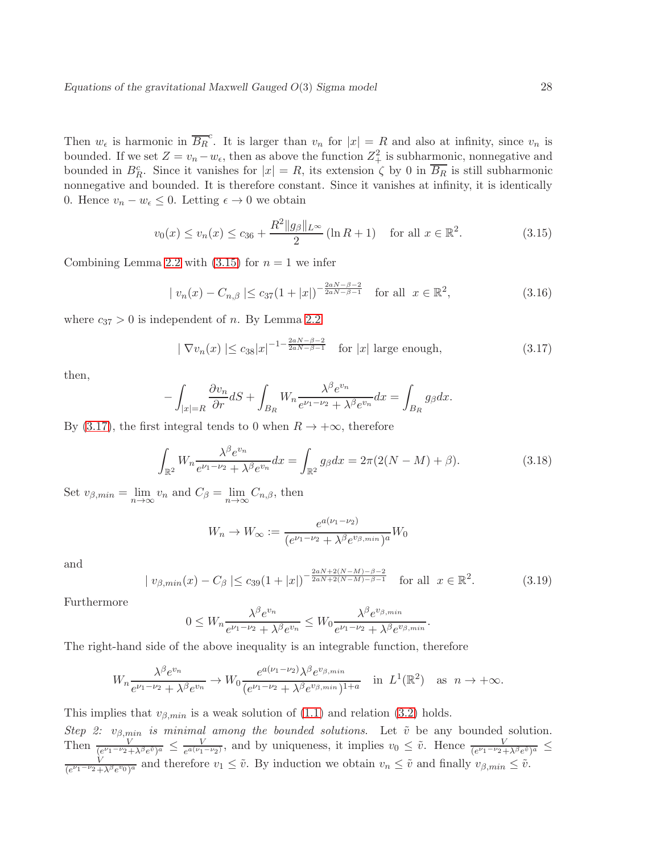Then  $w_{\epsilon}$  is harmonic in  $\overline{B_R}^c$ . It is larger than  $v_n$  for  $|x| = R$  and also at infinity, since  $v_n$  is bounded. If we set  $Z = v_n - w_\epsilon$ , then as above the function  $Z^2_+$  is subharmonic, nonnegative and bounded in  $B_R^c$ . Since it vanishes for  $|x| = R$ , its extension  $\zeta$  by 0 in  $\overline{B_R}$  is still subharmonic nonnegative and bounded. It is therefore constant. Since it vanishes at infinity, it is identically 0. Hence  $v_n - w_\epsilon \leq 0$ . Letting  $\epsilon \to 0$  we obtain

<span id="page-27-0"></span>
$$
v_0(x) \le v_n(x) \le c_{36} + \frac{R^2 \|g_\beta\|_{L^\infty}}{2} (\ln R + 1) \quad \text{for all } x \in \mathbb{R}^2.
$$
 (3.15)

Combining Lemma [2.2](#page-12-3) with  $(3.15)$  for  $n = 1$  we infer

$$
|v_n(x) - C_{n,\beta}| \le c_{37} (1+|x|)^{-\frac{2aN-\beta-2}{2aN-\beta-1}} \quad \text{for all } x \in \mathbb{R}^2,
$$
 (3.16)

where  $c_{37} > 0$  is independent of n. By Lemma [2.2](#page-12-3)

<span id="page-27-1"></span>
$$
|\nabla v_n(x)| \le c_{38}|x|^{-1-\frac{2aN-\beta-2}{2aN-\beta-1}} \quad \text{for } |x| \text{ large enough},\tag{3.17}
$$

then,

$$
-\int_{|x|=R} \frac{\partial v_n}{\partial r} dS + \int_{B_R} W_n \frac{\lambda^{\beta} e^{v_n}}{e^{\nu_1-\nu_2} + \lambda^{\beta} e^{v_n}} dx = \int_{B_R} g_{\beta} dx.
$$

By [\(3.17\)](#page-27-1), the first integral tends to 0 when  $R \to +\infty$ , therefore

$$
\int_{\mathbb{R}^2} W_n \frac{\lambda^{\beta} e^{v_n}}{e^{\nu_1 - \nu_2} + \lambda^{\beta} e^{v_n}} dx = \int_{\mathbb{R}^2} g_{\beta} dx = 2\pi (2(N - M) + \beta).
$$
 (3.18)

Set  $v_{\beta,min} = \lim_{n \to \infty} v_n$  and  $C_{\beta} = \lim_{n \to \infty} C_{n,\beta}$ , then

$$
W_n \to W_{\infty} := \frac{e^{a(\nu_1 - \nu_2)}}{(e^{\nu_1 - \nu_2} + \lambda^{\beta} e^{\nu_{\beta, min}})^a} W_0
$$

and

$$
|v_{\beta,min}(x) - C_{\beta}| \le c_{39} (1+|x|)^{-\frac{2aN+2(N-M)-\beta-2}{2aN+2(N-M)-\beta-1}} \quad \text{for all } x \in \mathbb{R}^2. \tag{3.19}
$$

Furthermore

$$
0 \le W_n \frac{\lambda^{\beta} e^{v_n}}{e^{\nu_1 - \nu_2} + \lambda^{\beta} e^{v_n}} \le W_0 \frac{\lambda^{\beta} e^{v_{\beta, min}}}{e^{\nu_1 - \nu_2} + \lambda^{\beta} e^{v_{\beta, min}}}.
$$

The right-hand side of the above inequality is an integrable function, therefore

$$
W_n \frac{\lambda^{\beta} e^{v_n}}{e^{\nu_1 - \nu_2} + \lambda^{\beta} e^{v_n}} \to W_0 \frac{e^{a(\nu_1 - \nu_2)} \lambda^{\beta} e^{v_{\beta, min}}}{(e^{\nu_1 - \nu_2} + \lambda^{\beta} e^{v_{\beta, min}})^{1+a}} \quad \text{in } L^1(\mathbb{R}^2) \quad \text{as } n \to +\infty.
$$

This implies that  $v_{\beta,min}$  is a weak solution of [\(1.1\)](#page-1-1) and relation [\(3.2\)](#page-24-1) holds.

Step 2:  $v_{\beta,min}$  is minimal among the bounded solutions. Let  $\tilde{v}$  be any bounded solution. Then  $\frac{V}{(e^{\nu_1-\nu_2}+\lambda^{\beta}e^{\tilde{v}})^a} \leq \frac{V}{e^{a(\nu_1)}}$  $\frac{V}{e^{a(\nu_1-\nu_2)}}$ , and by uniqueness, it implies  $v_0 \leq \tilde{v}$ . Hence  $\frac{V}{(e^{\nu_1-\nu_2}+\lambda^{\beta}e^{\tilde{v}})^a}$  ≤ V  $\frac{V}{(e^{\nu_1-\nu_2}+\lambda^{\beta}e^{\nu_0})^a}$  and therefore  $v_1 \leq \tilde{v}$ . By induction we obtain  $v_n \leq \tilde{v}$  and finally  $v_{\beta,min} \leq \tilde{v}$ .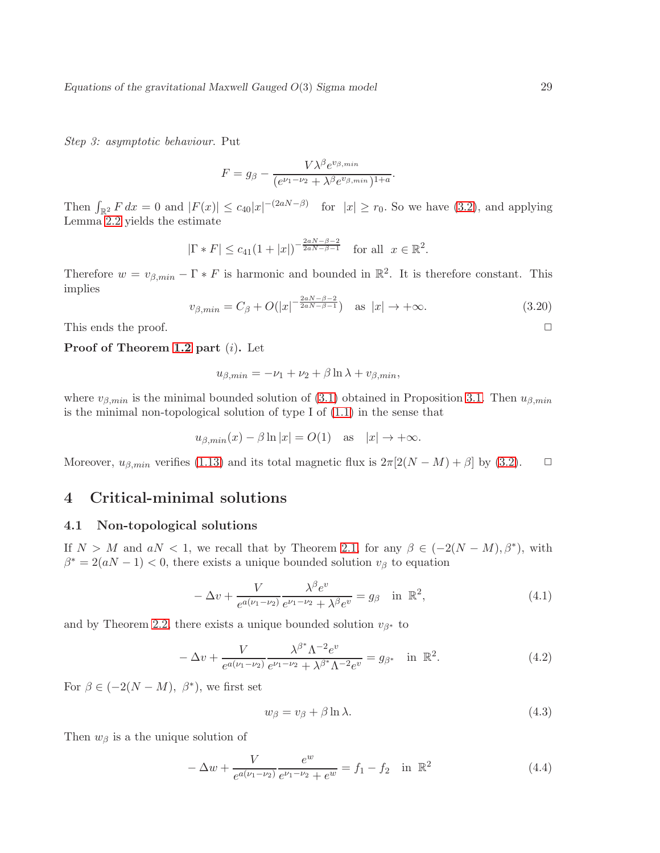Step 3: asymptotic behaviour. Put

$$
F = g_{\beta} - \frac{V\lambda^{\beta}e^{v_{\beta,min}}}{(e^{\nu_1-\nu_2} + \lambda^{\beta}e^{v_{\beta,min}})^{1+a}}
$$

Then  $\int_{\mathbb{R}^2} F dx = 0$  and  $|F(x)| \le c_{40}|x|^{-(2aN-\beta)}$  for  $|x| \ge r_0$ . So we have [\(3.2\)](#page-24-1), and applying Lemma [2.2](#page-12-3) yields the estimate

$$
|\Gamma * F| \leq c_{41}(1+|x|)^{-\frac{2aN-\beta-2}{2aN-\beta-1}}
$$
 for all  $x \in \mathbb{R}^2$ .

Therefore  $w = v_{\beta,min} - \Gamma * F$  is harmonic and bounded in  $\mathbb{R}^2$ . It is therefore constant. This implies

$$
v_{\beta,min} = C_{\beta} + O(|x|^{-\frac{2aN - \beta - 2}{2aN - \beta - 1}}) \quad \text{as } |x| \to +\infty.
$$
 (3.20)

.

This ends the proof.  $\Box$ 

#### Proof of Theorem [1.2](#page-5-3) part (i). Let

$$
u_{\beta,min} = -\nu_1 + \nu_2 + \beta \ln \lambda + v_{\beta,min},
$$

where  $v_{\beta,min}$  is the minimal bounded solution of [\(3.1\)](#page-23-1) obtained in Proposition [3.1.](#page-24-2) Then  $u_{\beta,min}$ is the minimal non-topological solution of type I of [\(1.1\)](#page-1-1) in the sense that

$$
u_{\beta,min}(x) - \beta \ln |x| = O(1)
$$
 as  $|x| \to +\infty$ .

Moreover,  $u_{\beta,min}$  verifies [\(1.13\)](#page-5-6) and its total magnetic flux is  $2\pi[2(N-M)+\beta]$  by [\(3.2\)](#page-24-1).  $\Box$ 

## <span id="page-28-1"></span><span id="page-28-0"></span>4 Critical-minimal solutions

### 4.1 Non-topological solutions

If  $N > M$  and  $aN < 1$ , we recall that by Theorem [2.1,](#page-17-5) for any  $\beta \in (-2(N-M), \beta^*)$ , with  $\beta^* = 2(aN - 1) < 0$ , there exists a unique bounded solution  $v_\beta$  to equation

$$
-\Delta v + \frac{V}{e^{a(\nu_1 - \nu_2)}} \frac{\lambda^{\beta} e^v}{e^{\nu_1 - \nu_2} + \lambda^{\beta} e^v} = g_{\beta} \quad \text{in } \mathbb{R}^2,
$$
\n(4.1)

and by Theorem [2.2,](#page-20-4) there exists a unique bounded solution  $v_{\beta^*}$  to

$$
-\Delta v + \frac{V}{e^{a(\nu_1 - \nu_2)}} \frac{\lambda^{\beta^*} \Lambda^{-2} e^v}{e^{\nu_1 - \nu_2} + \lambda^{\beta^*} \Lambda^{-2} e^v} = g_{\beta^*} \quad \text{in } \mathbb{R}^2.
$$
 (4.2)

For  $\beta \in (-2(N-M), \beta^*)$ , we first set

<span id="page-28-3"></span>
$$
w_{\beta} = v_{\beta} + \beta \ln \lambda. \tag{4.3}
$$

Then  $w_\beta$  is a the unique solution of

<span id="page-28-2"></span>
$$
-\Delta w + \frac{V}{e^{a(\nu_1 - \nu_2)}} \frac{e^w}{e^{\nu_1 - \nu_2} + e^w} = f_1 - f_2 \quad \text{in } \mathbb{R}^2
$$
\n(4.4)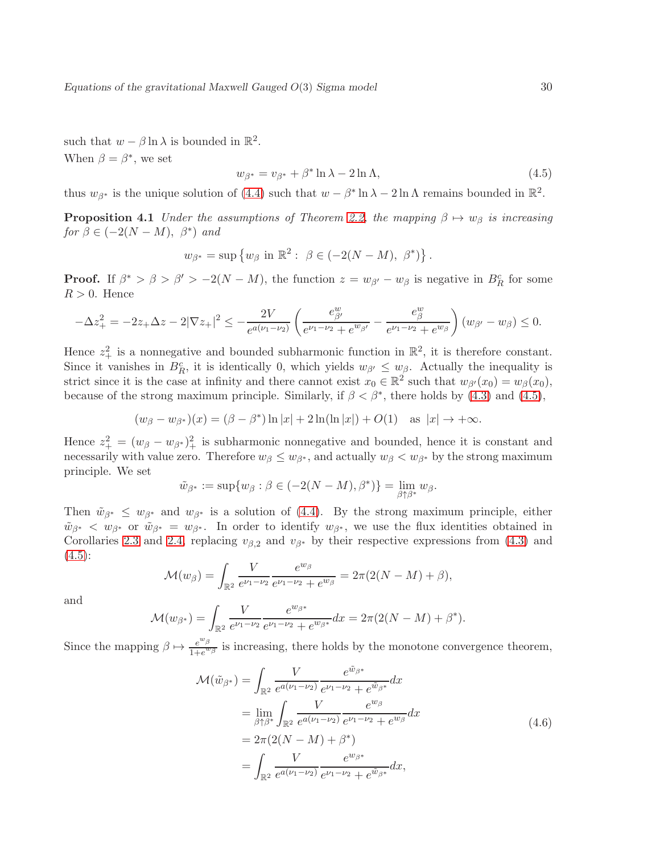such that  $w - \beta \ln \lambda$  is bounded in  $\mathbb{R}^2$ . When  $\beta = \beta^*$ , we set

<span id="page-29-0"></span>
$$
w_{\beta^*} = v_{\beta^*} + \beta^* \ln \lambda - 2 \ln \Lambda, \tag{4.5}
$$

<span id="page-29-1"></span>thus  $w_{\beta^*}$  is the unique solution of [\(4.4\)](#page-28-2) such that  $w - \beta^* \ln \lambda - 2 \ln \Lambda$  remains bounded in  $\mathbb{R}^2$ .

**Proposition 4.1** Under the assumptions of Theorem [2.2,](#page-20-4) the mapping  $\beta \mapsto w_{\beta}$  is increasing for  $\beta \in (-2(N-M), \beta^*)$  and

$$
w_{\beta^*} = \sup \{ w_{\beta} \text{ in } \mathbb{R}^2 : \ \beta \in (-2(N-M), \ \beta^*) \}.
$$

**Proof.** If  $\beta^* > \beta > \beta' > -2(N-M)$ , the function  $z = w_{\beta'} - w_{\beta}$  is negative in  $B_R^c$  for some  $R > 0$ . Hence

$$
-\Delta z_{+}^{2} = -2z_{+}\Delta z - 2|\nabla z_{+}|^{2} \leq -\frac{2V}{e^{a(\nu_{1}-\nu_{2})}}\left(\frac{e_{\beta}^{w}}{e^{\nu_{1}-\nu_{2}}+e^{w_{\beta}'}} - \frac{e_{\beta}^{w}}{e^{\nu_{1}-\nu_{2}}+e^{w_{\beta}}}\right)(w_{\beta'} - w_{\beta}) \leq 0.
$$

Hence  $z_+^2$  is a nonnegative and bounded subharmonic function in  $\mathbb{R}^2$ , it is therefore constant. Since it vanishes in  $B_R^c$ , it is identically 0, which yields  $w_{\beta'} \leq w_{\beta}$ . Actually the inequality is strict since it is the case at infinity and there cannot exist  $x_0 \in \mathbb{R}^2$  such that  $w_{\beta'}(x_0) = w_{\beta}(x_0)$ , because of the strong maximum principle. Similarly, if  $\beta < \beta^*$ , there holds by [\(4.3\)](#page-28-3) and [\(4.5\)](#page-29-0),

 $(w_{\beta} - w_{\beta^*})(x) = (\beta - \beta^*) \ln |x| + 2 \ln(\ln |x|) + O(1) \text{ as } |x| \to +\infty.$ 

Hence  $z_+^2 = (w_\beta - w_{\beta^*})_+^2$  is subharmonic nonnegative and bounded, hence it is constant and necessarily with value zero. Therefore  $w_{\beta} \leq w_{\beta^*}$ , and actually  $w_{\beta} < w_{\beta^*}$  by the strong maximum principle. We set

$$
\tilde{w}_{\beta^*} := \sup \{ w_{\beta} : \beta \in (-2(N-M), \beta^*) \} = \lim_{\beta \uparrow \beta^*} w_{\beta}.
$$

Then  $\tilde{w}_{\beta^*} \leq w_{\beta^*}$  and  $w_{\beta^*}$  is a solution of [\(4.4\)](#page-28-2). By the strong maximum principle, either  $\tilde{w}_{\beta^*} < w_{\beta^*}$  or  $\tilde{w}_{\beta^*} = w_{\beta^*}$ . In order to identify  $w_{\beta^*}$ , we use the flux identities obtained in Corollaries [2.3](#page-19-1) and [2.4,](#page-23-2) replacing  $v_{\beta,2}$  and  $v_{\beta^*}$  by their respective expressions from [\(4.3\)](#page-28-3) and  $(4.5):$  $(4.5):$ 

$$
\mathcal{M}(w_{\beta}) = \int_{\mathbb{R}^2} \frac{V}{e^{\nu_1 - \nu_2}} \frac{e^{w_{\beta}}}{e^{\nu_1 - \nu_2} + e^{w_{\beta}}} = 2\pi (2(N - M) + \beta),
$$

and

$$
\mathcal{M}(w_{\beta^*}) = \int_{\mathbb{R}^2} \frac{V}{e^{\nu_1 - \nu_2}} \frac{e^{w_{\beta^*}}}{e^{\nu_1 - \nu_2} + e^{w_{\beta^*}}} dx = 2\pi (2(N - M) + \beta^*).
$$

Since the mapping  $\beta \mapsto \frac{e^{w_{\beta}}}{1+e^{w_{\beta}}}$  $\frac{e^{-\beta}}{1+e^{w_{\beta}}}$  is increasing, there holds by the monotone convergence theorem,

$$
\mathcal{M}(\tilde{w}_{\beta^*}) = \int_{\mathbb{R}^2} \frac{V}{e^{a(\nu_1 - \nu_2)}} \frac{e^{\tilde{w}_{\beta^*}}}{e^{\nu_1 - \nu_2} + e^{\tilde{w}_{\beta^*}}} dx \n= \lim_{\beta \uparrow \beta^*} \int_{\mathbb{R}^2} \frac{V}{e^{a(\nu_1 - \nu_2)}} \frac{e^{w_{\beta}}}{e^{\nu_1 - \nu_2} + e^{w_{\beta}}} dx \n= 2\pi (2(N - M) + \beta^*) \n= \int_{\mathbb{R}^2} \frac{V}{e^{a(\nu_1 - \nu_2)}} \frac{e^{w_{\beta^*}}}{e^{\nu_1 - \nu_2} + e^{\tilde{w}_{\beta^*}}} dx,
$$
\n(4.6)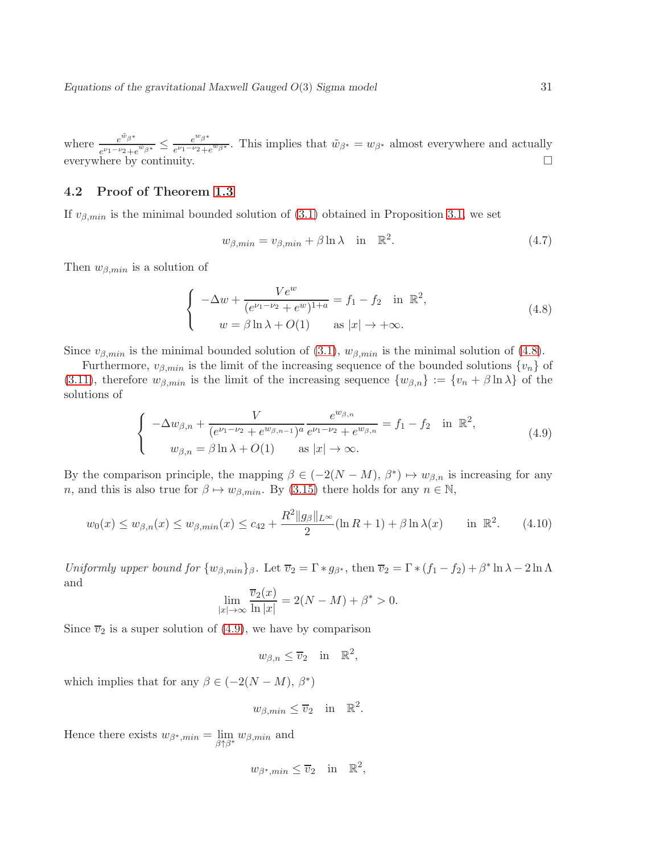where  $e^{\tilde{w}_{\beta}*}$  $e^{w_{\beta}*}\over e^{\nu_1-\nu_2}+e^{\tilde{w}_{\beta}*}} \leq \frac{e^{w_{\beta}*}}{e^{\nu_1-\nu_2}+e^{\nu_1+\nu_2}}$  $\frac{e^{-\beta}}{e^{\nu_1-\nu_2}+e^{w_{\beta^*}}}$ . This implies that  $\tilde{w}_{\beta^*}=w_{\beta^*}$  almost everywhere and actually everywhere by continuity.  $\square$ 

### <span id="page-30-0"></span>4.2 Proof of Theorem [1.3](#page-6-0)

If  $v_{\beta,min}$  is the minimal bounded solution of [\(3.1\)](#page-23-1) obtained in Proposition [3.1,](#page-24-2) we set

$$
w_{\beta,min} = v_{\beta,min} + \beta \ln \lambda \quad \text{in} \quad \mathbb{R}^2. \tag{4.7}
$$

Then  $w_{\beta,min}$  is a solution of

<span id="page-30-1"></span>
$$
\begin{cases}\n-\Delta w + \frac{Ve^w}{(e^{\nu_1 - \nu_2} + e^w)^{1+a}} = f_1 - f_2 & \text{in } \mathbb{R}^2, \\
w = \beta \ln \lambda + O(1) & \text{as } |x| \to +\infty.\n\end{cases}
$$
\n(4.8)

Since  $v_{\beta,min}$  is the minimal bounded solution of [\(3.1\)](#page-23-1),  $w_{\beta,min}$  is the minimal solution of [\(4.8\)](#page-30-1).

Furthermore,  $v_{\beta,min}$  is the limit of the increasing sequence of the bounded solutions  $\{v_n\}$  of [\(3.11\)](#page-26-1), therefore  $w_{\beta,min}$  is the limit of the increasing sequence  $\{w_{\beta,n}\} := \{v_n + \beta \ln \lambda\}$  of the solutions of

<span id="page-30-2"></span>
$$
\begin{cases}\n-\Delta w_{\beta,n} + \frac{V}{(e^{\nu_1 - \nu_2} + e^{w_{\beta,n-1}})^a} \frac{e^{w_{\beta,n}}}{e^{\nu_1 - \nu_2} + e^{w_{\beta,n}}} = f_1 - f_2 & \text{in } \mathbb{R}^2, \\
w_{\beta,n} = \beta \ln \lambda + O(1) & \text{as } |x| \to \infty.\n\end{cases} (4.9)
$$

By the comparison principle, the mapping  $\beta \in (-2(N-M), \beta^*) \mapsto w_{\beta,n}$  is increasing for any n, and this is also true for  $\beta \mapsto w_{\beta,min}$ . By [\(3.15\)](#page-27-0) there holds for any  $n \in \mathbb{N}$ ,

$$
w_0(x) \le w_{\beta,n}(x) \le w_{\beta,\min}(x) \le c_{42} + \frac{R^2 \|g_{\beta}\|_{L^{\infty}}}{2} (\ln R + 1) + \beta \ln \lambda(x) \quad \text{in } \mathbb{R}^2.
$$
 (4.10)

Uniformly upper bound for  $\{w_{\beta,min}\}_\beta$ . Let  $\overline{v}_2 = \Gamma * g_{\beta^*}$ , then  $\overline{v}_2 = \Gamma * (f_1 - f_2) + \beta^* \ln \lambda - 2 \ln \Lambda$ and

$$
\lim_{|x| \to \infty} \frac{\overline{v}_2(x)}{\ln |x|} = 2(N - M) + \beta^* > 0.
$$

Since  $\overline{v}_2$  is a super solution of [\(4.9\)](#page-30-2), we have by comparison

$$
w_{\beta,n} \leq \overline{v}_2 \quad \text{in} \quad \mathbb{R}^2,
$$

which implies that for any  $\beta \in (-2(N-M), \beta^*)$ 

$$
w_{\beta,min} \leq \overline{v}_2
$$
 in  $\mathbb{R}^2$ .

Hence there exists  $w_{\beta^*,min} = \lim_{\beta \uparrow \beta^*} w_{\beta,min}$  and

$$
w_{\beta^*,min} \leq \overline{v}_2
$$
 in  $\mathbb{R}^2$ ,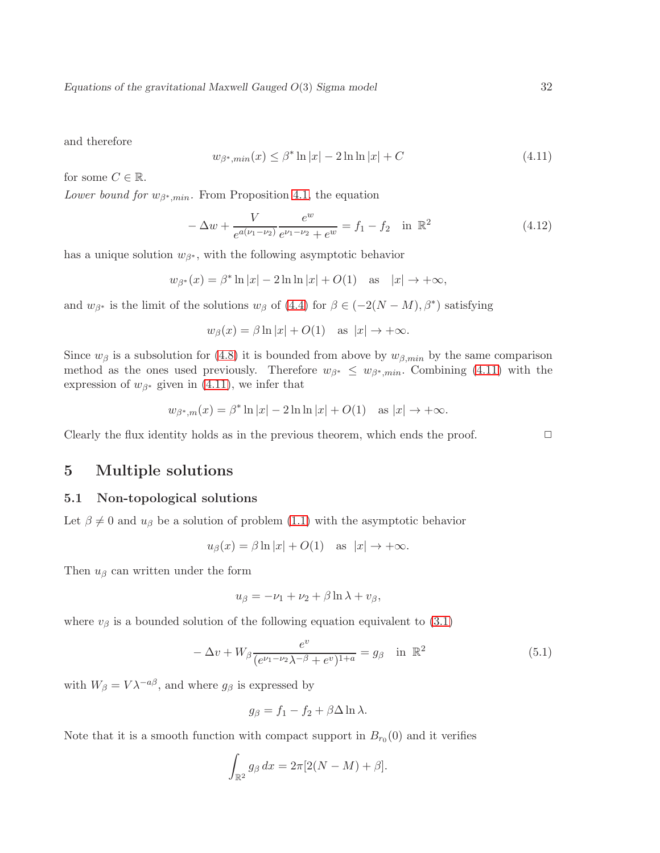and therefore

<span id="page-31-2"></span>
$$
w_{\beta^*,\min}(x) \le \beta^* \ln|x| - 2\ln\ln|x| + C \tag{4.11}
$$

for some  $C \in \mathbb{R}$ .

Lower bound for  $w_{\beta^*,min}$ . From Proposition [4.1,](#page-29-1) the equation

$$
-\Delta w + \frac{V}{e^{a(\nu_1 - \nu_2)}} \frac{e^w}{e^{\nu_1 - \nu_2} + e^w} = f_1 - f_2 \quad \text{in } \mathbb{R}^2
$$
\n(4.12)

has a unique solution  $w_{\beta^*}$ , with the following asymptotic behavior

$$
w_{\beta^*}(x) = \beta^* \ln|x| - 2\ln\ln|x| + O(1) \quad \text{as} \quad |x| \to +\infty,
$$

and  $w_{\beta^*}$  is the limit of the solutions  $w_{\beta}$  of [\(4.4\)](#page-28-2) for  $\beta \in (-2(N-M), \beta^*)$  satisfying

$$
w_{\beta}(x) = \beta \ln |x| + O(1)
$$
 as  $|x| \to +\infty$ .

Since  $w_{\beta}$  is a subsolution for [\(4.8\)](#page-30-1) it is bounded from above by  $w_{\beta,min}$  by the same comparison method as the ones used previously. Therefore  $w_{\beta^*} \leq w_{\beta^*, min}$ . Combining [\(4.11\)](#page-31-2) with the expression of  $w_{\beta^*}$  given in [\(4.11\)](#page-31-2), we infer that

$$
w_{\beta^*,m}(x) = \beta^* \ln |x| - 2 \ln \ln |x| + O(1)
$$
 as  $|x| \to +\infty$ .

<span id="page-31-0"></span>Clearly the flux identity holds as in the previous theorem, which ends the proof.  $\Box$ 

# 5 Multiple solutions

### <span id="page-31-1"></span>5.1 Non-topological solutions

Let  $\beta \neq 0$  and  $u_{\beta}$  be a solution of problem [\(1.1\)](#page-1-1) with the asymptotic behavior

$$
u_{\beta}(x) = \beta \ln |x| + O(1)
$$
 as  $|x| \to +\infty$ .

Then  $u_{\beta}$  can written under the form

$$
u_{\beta} = -\nu_1 + \nu_2 + \beta \ln \lambda + v_{\beta},
$$

where  $v_\beta$  is a bounded solution of the following equation equivalent to [\(3.1\)](#page-23-1)

<span id="page-31-3"></span>
$$
-\Delta v + W_{\beta} \frac{e^{v}}{(e^{\nu_1 - \nu_2}\lambda^{-\beta} + e^{v})^{1+a}} = g_{\beta} \quad \text{in } \mathbb{R}^2
$$
 (5.1)

with  $W_{\beta} = V \lambda^{-a\beta}$ , and where  $g_{\beta}$  is expressed by

$$
g_{\beta} = f_1 - f_2 + \beta \Delta \ln \lambda.
$$

Note that it is a smooth function with compact support in  $B_{r_0}(0)$  and it verifies

$$
\int_{\mathbb{R}^2} g_\beta \, dx = 2\pi [2(N-M) + \beta].
$$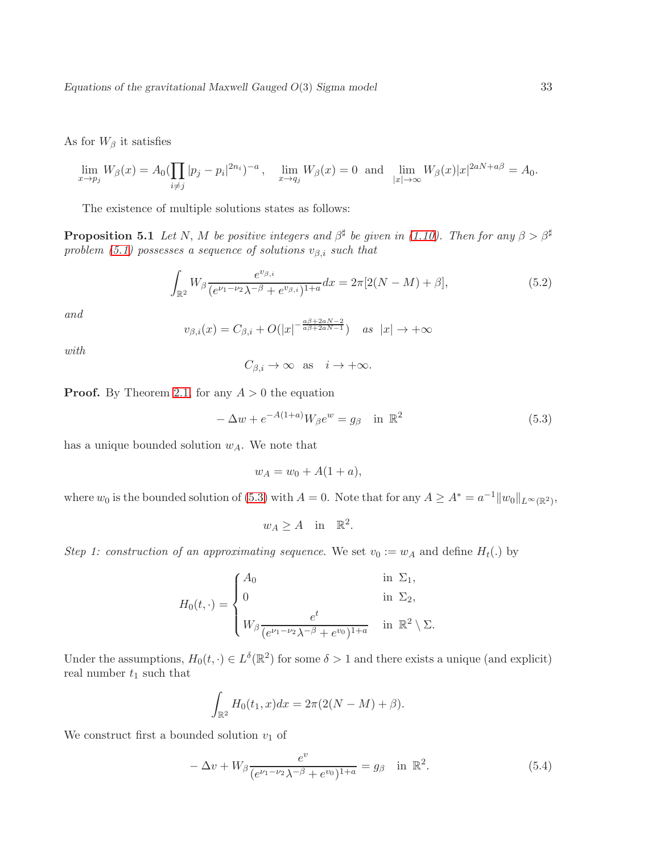As for  $W_\beta$  it satisfies

$$
\lim_{x \to p_j} W_{\beta}(x) = A_0 \left( \prod_{i \neq j} |p_j - p_i|^{2n_i} \right)^{-a}, \quad \lim_{x \to q_j} W_{\beta}(x) = 0 \text{ and } \lim_{|x| \to \infty} W_{\beta}(x) |x|^{2aN + a\beta} = A_0.
$$

<span id="page-32-2"></span>The existence of multiple solutions states as follows:

**Proposition 5.1** Let N, M be positive integers and  $\beta^{\sharp}$  be given in [\(1.10\)](#page-5-4). Then for any  $\beta > \beta^{\sharp}$ problem [\(5.1\)](#page-31-3) possesses a sequence of solutions  $v_{\beta,i}$  such that

$$
\int_{\mathbb{R}^2} W_{\beta} \frac{e^{v_{\beta,i}}}{(e^{\nu_1 - \nu_2}\lambda^{-\beta} + e^{v_{\beta,i}})^{1+a}} dx = 2\pi [2(N-M) + \beta],
$$
\n(5.2)

and

$$
v_{\beta,i}(x) = C_{\beta,i} + O(|x|^{-\frac{a\beta + 2aN - 2}{a\beta + 2aN - 1}}) \quad \text{as } |x| \to +\infty
$$

with

$$
C_{\beta,i} \to \infty \text{ as } i \to +\infty.
$$

**Proof.** By Theorem [2.1,](#page-17-5) for any  $A > 0$  the equation

<span id="page-32-0"></span>
$$
-\Delta w + e^{-A(1+a)}W_{\beta}e^w = g_{\beta} \quad \text{in } \mathbb{R}^2
$$
\n
$$
(5.3)
$$

has a unique bounded solution  $w_A$ . We note that

$$
w_A = w_0 + A(1 + a),
$$

where  $w_0$  is the bounded solution of [\(5.3\)](#page-32-0) with  $A = 0$ . Note that for any  $A \geq A^* = a^{-1} ||w_0||_{L^\infty(\mathbb{R}^2)}$ ,

$$
w_A \ge A \quad \text{in} \quad \mathbb{R}^2.
$$

Step 1: construction of an approximating sequence. We set  $v_0 := w_A$  and define  $H_t(.)$  by

$$
H_0(t, \cdot) = \begin{cases} A_0 & \text{in } \Sigma_1, \\ 0 & \text{in } \Sigma_2, \\ W_\beta \frac{e^t}{(e^{\nu_1 - \nu_2} \lambda^{-\beta} + e^{\nu_0})^{1+a}} & \text{in } \mathbb{R}^2 \setminus \Sigma. \end{cases}
$$

Under the assumptions,  $H_0(t, \cdot) \in L^{\delta}(\mathbb{R}^2)$  for some  $\delta > 1$  and there exists a unique (and explicit) real number  $t_1$  such that

$$
\int_{\mathbb{R}^2} H_0(t_1, x) dx = 2\pi (2(N - M) + \beta).
$$

We construct first a bounded solution  $v_1$  of

<span id="page-32-1"></span>
$$
-\Delta v + W_{\beta} \frac{e^v}{(e^{\nu_1 - \nu_2}\lambda^{-\beta} + e^{v_0})^{1+a}} = g_{\beta} \quad \text{in } \mathbb{R}^2.
$$
 (5.4)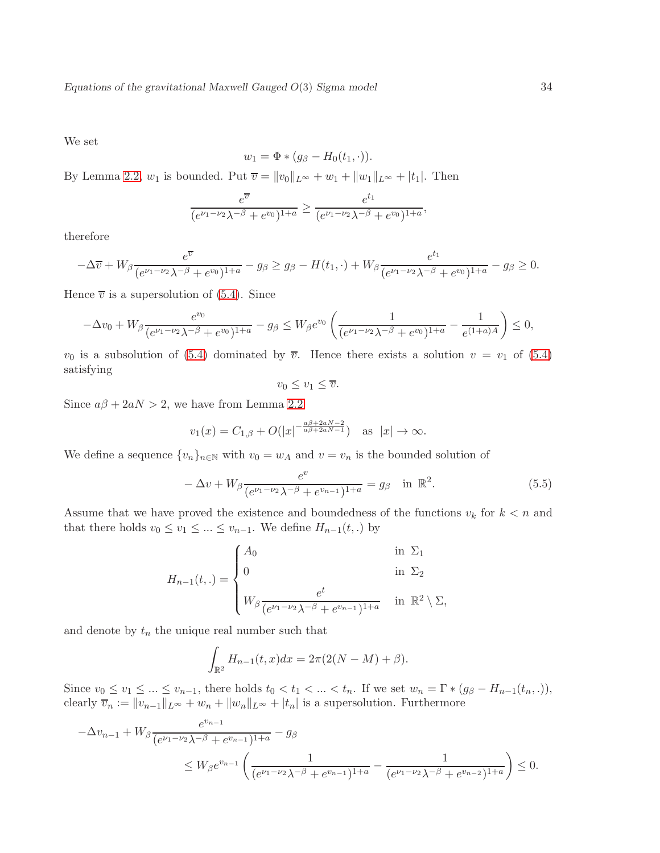We set

$$
w_1 = \Phi * (g_{\beta} - H_0(t_1, \cdot)).
$$

By Lemma [2.2,](#page-12-3)  $w_1$  is bounded. Put  $\overline{v} = ||v_0||_{L^{\infty}} + w_1 + ||w_1||_{L^{\infty}} + |t_1|$ . Then

$$
\frac{e^{\overline{v}}}{(e^{\nu_1-\nu_2}\lambda^{-\beta}+e^{\nu_0})^{1+a}} \ge \frac{e^{t_1}}{(e^{\nu_1-\nu_2}\lambda^{-\beta}+e^{\nu_0})^{1+a}},
$$

therefore

$$
-\Delta \overline{v} + W_{\beta} \frac{e^{\overline{v}}}{(e^{\nu_1 - \nu_2} \lambda^{-\beta} + e^{\nu_0})^{1+a}} - g_{\beta} \ge g_{\beta} - H(t_1, \cdot) + W_{\beta} \frac{e^{t_1}}{(e^{\nu_1 - \nu_2} \lambda^{-\beta} + e^{\nu_0})^{1+a}} - g_{\beta} \ge 0.
$$

Hence  $\overline{v}$  is a supersolution of [\(5.4\)](#page-32-1). Since

$$
-\Delta v_0 + W_{\beta} \frac{e^{v_0}}{(e^{\nu_1 - \nu_2}\lambda^{-\beta} + e^{v_0})^{1+a}} - g_{\beta} \le W_{\beta} e^{v_0} \left(\frac{1}{(e^{\nu_1 - \nu_2}\lambda^{-\beta} + e^{v_0})^{1+a}} - \frac{1}{e^{(1+a)A}}\right) \le 0,
$$

 $v_0$  is a subsolution of [\(5.4\)](#page-32-1) dominated by  $\overline{v}$ . Hence there exists a solution  $v = v_1$  of (5.4) satisfying

$$
v_0 \le v_1 \le \overline{v}.
$$

Since  $a\beta + 2aN > 2$ , we have from Lemma [2.2](#page-12-3)

$$
v_1(x) = C_{1,\beta} + O(|x|^{-\frac{a\beta + 2aN - 2}{a\beta + 2aN - 1}})
$$
 as  $|x| \to \infty$ .

We define a sequence  $\{v_n\}_{n\in\mathbb{N}}$  with  $v_0 = w_A$  and  $v = v_n$  is the bounded solution of

<span id="page-33-0"></span>
$$
-\Delta v + W_{\beta} \frac{e^v}{(e^{\nu_1 - \nu_2} \lambda^{-\beta} + e^{\nu_{n-1}})^{1+a}} = g_{\beta} \quad \text{in } \mathbb{R}^2.
$$
 (5.5)

Assume that we have proved the existence and boundedness of the functions  $v_k$  for  $k < n$  and that there holds  $v_0 \le v_1 \le ... \le v_{n-1}$ . We define  $H_{n-1}(t,.)$  by

$$
H_{n-1}(t,.) = \begin{cases} A_0 & \text{in } \Sigma_1 \\ 0 & \text{in } \Sigma_2 \\ W_\beta \frac{e^t}{(e^{\nu_1 - \nu_2}\lambda^{-\beta} + e^{\nu_{n-1}})^{1+a}} & \text{in } \mathbb{R}^2 \setminus \Sigma, \end{cases}
$$

and denote by  $t_n$  the unique real number such that

$$
\int_{\mathbb{R}^2} H_{n-1}(t, x) dx = 2\pi (2(N - M) + \beta).
$$

Since  $v_0 \le v_1 \le \ldots \le v_{n-1}$ , there holds  $t_0 < t_1 < \ldots < t_n$ . If we set  $w_n = \Gamma * (g_\beta - H_{n-1}(t_n, .))$ , clearly  $\overline{v}_n := ||v_{n-1}||_{L^{\infty}} + w_n + ||w_n||_{L^{\infty}} + |t_n|$  is a supersolution. Furthermore

$$
-\Delta v_{n-1} + W_{\beta} \frac{e^{v_{n-1}}}{(e^{\nu_1 - \nu_2} \lambda^{-\beta} + e^{v_{n-1}})^{1+a}} - g_{\beta}
$$
  
\$\leq W\_{\beta} e^{v\_{n-1}} \left( \frac{1}{(e^{\nu\_1 - \nu\_2} \lambda^{-\beta} + e^{v\_{n-1}})^{1+a}} - \frac{1}{(e^{\nu\_1 - \nu\_2} \lambda^{-\beta} + e^{v\_{n-2}})^{1+a}} \right) \leq 0.\$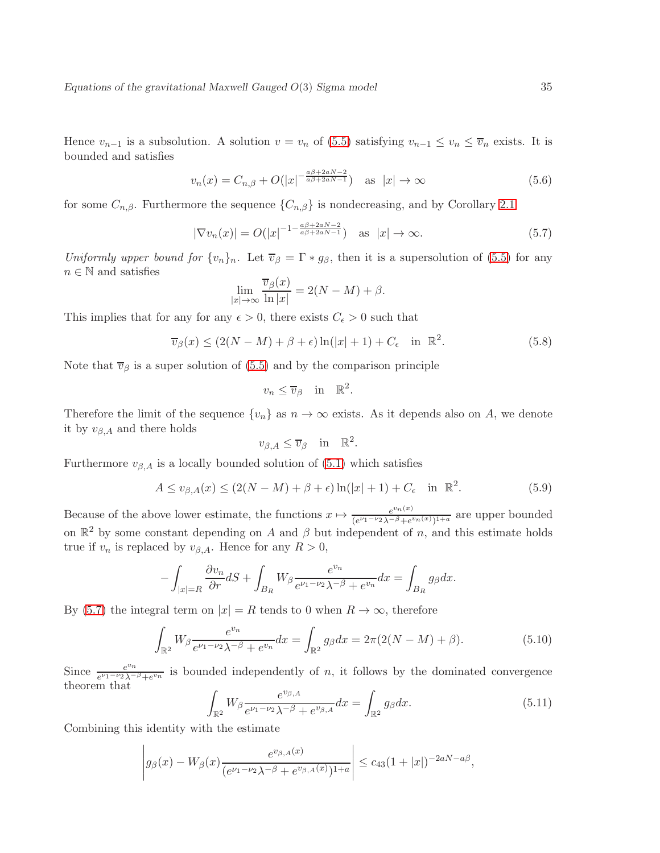Hence  $v_{n-1}$  is a subsolution. A solution  $v = v_n$  of [\(5.5\)](#page-33-0) satisfying  $v_{n-1} \le v_n \le \overline{v}_n$  exists. It is bounded and satisfies

$$
v_n(x) = C_{n,\beta} + O(|x|^{-\frac{a\beta + 2aN - 2}{a\beta + 2aN - 1}}) \quad \text{as } |x| \to \infty \tag{5.6}
$$

for some  $C_{n,\beta}$ . Furthermore the sequence  $\{C_{n,\beta}\}\$ is nondecreasing, and by Corollary [2.1](#page-14-1)

<span id="page-34-0"></span>
$$
|\nabla v_n(x)| = O(|x|^{-1 - \frac{a\beta + 2aN - 2}{a\beta + 2aN - 1}}) \quad \text{as } |x| \to \infty.
$$
 (5.7)

Uniformly upper bound for  $\{v_n\}_n$ . Let  $\overline{v}_\beta = \Gamma * g_\beta$ , then it is a supersolution of [\(5.5\)](#page-33-0) for any  $n \in \mathbb{N}$  and satisfies

$$
\lim_{|x| \to \infty} \frac{\overline{v}_{\beta}(x)}{\ln |x|} = 2(N - M) + \beta.
$$

This implies that for any for any  $\epsilon > 0$ , there exists  $C_{\epsilon} > 0$  such that

$$
\overline{v}_{\beta}(x) \le (2(N-M) + \beta + \epsilon) \ln(|x|+1) + C_{\epsilon} \quad \text{in } \mathbb{R}^2.
$$
 (5.8)

Note that  $\overline{v}_{\beta}$  is a super solution of [\(5.5\)](#page-33-0) and by the comparison principle

$$
v_n \le \overline{v}_{\beta} \quad \text{in} \quad \mathbb{R}^2.
$$

Therefore the limit of the sequence  $\{v_n\}$  as  $n \to \infty$  exists. As it depends also on A, we denote it by  $v_{\beta,A}$  and there holds

$$
v_{\beta,A}\leq \overline{v}_{\beta} \quad \text{in} \quad \mathbb{R}^2
$$

Furthermore  $v_{\beta,A}$  is a locally bounded solution of [\(5.1\)](#page-31-3) which satisfies

$$
A \le v_{\beta,A}(x) \le (2(N-M) + \beta + \epsilon) \ln(|x|+1) + C_{\epsilon} \quad \text{in } \mathbb{R}^2.
$$
 (5.9)

.

Because of the above lower estimate, the functions  $x \mapsto \frac{e^{v_n(x)}}{(e^{\nu_1-\nu_2})^{-\beta}+e^{\nu_1}}$  $\frac{e^{v_n(x)}}{(e^{\nu_1-\nu_2}\lambda^{-\beta}+e^{v_n(x)})^{1+a}}$  are upper bounded on  $\mathbb{R}^2$  by some constant depending on A and  $\beta$  but independent of n, and this estimate holds true if  $v_n$  is replaced by  $v_{\beta,A}$ . Hence for any  $R > 0$ ,

$$
-\int_{|x|=R} \frac{\partial v_n}{\partial r} dS + \int_{B_R} W_\beta \frac{e^{v_n}}{e^{\nu_1-\nu_2}\lambda^{-\beta}+e^{v_n}} dx = \int_{B_R} g_\beta dx.
$$

By [\(5.7\)](#page-34-0) the integral term on  $|x| = R$  tends to 0 when  $R \to \infty$ , therefore

$$
\int_{\mathbb{R}^2} W_{\beta} \frac{e^{v_n}}{e^{\nu_1 - \nu_2} \lambda^{-\beta} + e^{v_n}} dx = \int_{\mathbb{R}^2} g_{\beta} dx = 2\pi (2(N - M) + \beta).
$$
 (5.10)

Since  $\frac{e^{v_n}}{e^{\nu_1-\nu_2}$  $e^{v_1}e^{v_2}\lambda^{-\beta}+e^{v_n}$  is bounded independently of *n*, it follows by the dominated convergence theorem that

$$
\int_{\mathbb{R}^2} W_{\beta} \frac{e^{v_{\beta,A}}}{e^{\nu_1 - \nu_2} \lambda^{-\beta} + e^{v_{\beta,A}}} dx = \int_{\mathbb{R}^2} g_{\beta} dx.
$$
\n(5.11)

Combining this identity with the estimate

$$
\left| g_{\beta}(x) - W_{\beta}(x) \frac{e^{v_{\beta,A}(x)}}{(e^{\nu_1 - \nu_2} \lambda^{-\beta} + e^{v_{\beta,A}(x)})^{1+a}} \right| \leq c_{43} (1+|x|)^{-2aN-a\beta},
$$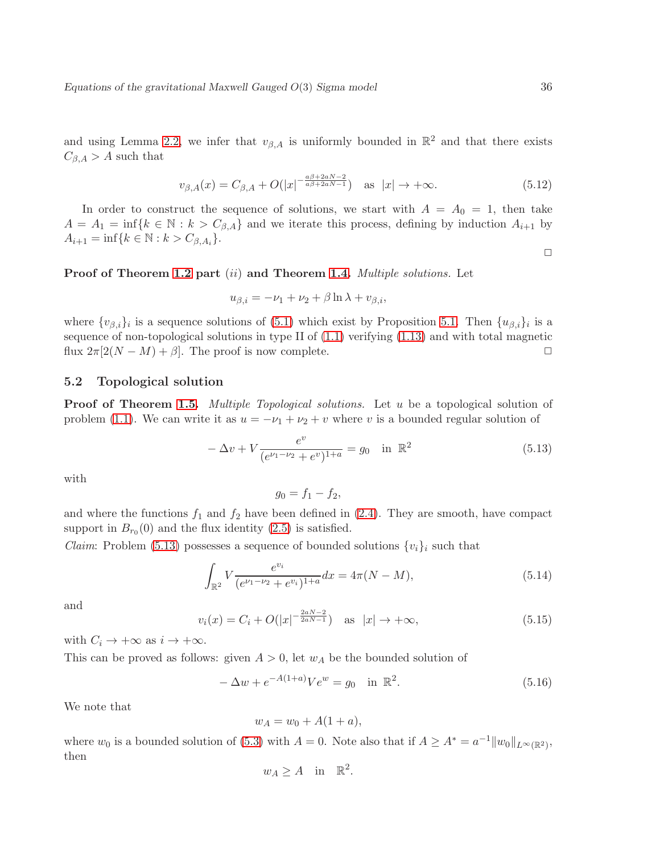and using Lemma [2.2,](#page-12-3) we infer that  $v_{\beta,A}$  is uniformly bounded in  $\mathbb{R}^2$  and that there exists  $C_{\beta,A} > A$  such that

$$
v_{\beta,A}(x) = C_{\beta,A} + O(|x|^{-\frac{a\beta + 2aN - 2}{a\beta + 2aN - 1}}) \quad \text{as } |x| \to +\infty.
$$
 (5.12)

In order to construct the sequence of solutions, we start with  $A = A_0 = 1$ , then take  $A = A_1 = \inf\{k \in \mathbb{N} : k > C_{\beta,A}\}\$ and we iterate this process, defining by induction  $A_{i+1}$  by  $A_{i+1} = \inf\{k \in \mathbb{N} : k > C_{\beta, A_i}\}.$ 

Proof of Theorem [1.2](#page-5-3) part (ii) and Theorem [1.4.](#page-6-1) Multiple solutions. Let

$$
u_{\beta,i} = -\nu_1 + \nu_2 + \beta \ln \lambda + v_{\beta,i},
$$

where  $\{v_{\beta,i}\}_i$  is a sequence solutions of  $(5.1)$  which exist by Proposition [5.1.](#page-32-2) Then  $\{u_{\beta,i}\}_i$  is a sequence of non-topological solutions in type II of [\(1.1\)](#page-1-1) verifying [\(1.13\)](#page-5-6) and with total magnetic flux  $2\pi[2(N-M)+\beta]$ . The proof is now complete.  $\square$ 

### <span id="page-35-0"></span>5.2 Topological solution

**Proof of Theorem [1.5.](#page-6-2)** *Multiple Topological solutions*. Let u be a topological solution of problem [\(1.1\)](#page-1-1). We can write it as  $u = -\nu_1 + \nu_2 + v$  where v is a bounded regular solution of

<span id="page-35-1"></span>
$$
-\Delta v + V \frac{e^v}{(e^{\nu_1 - \nu_2} + e^v)^{1+a}} = g_0 \quad \text{in } \mathbb{R}^2
$$
\n(5.13)

with

 $g_0 = f_1 - f_2,$ 

and where the functions  $f_1$  and  $f_2$  have been defined in [\(2.4\)](#page-8-4). They are smooth, have compact support in  $B_{r_0}(0)$  and the flux identity  $(2.5)$  is satisfied.

*Claim:* Problem [\(5.13\)](#page-35-1) possesses a sequence of bounded solutions  $\{v_i\}_i$  such that

$$
\int_{\mathbb{R}^2} V \frac{e^{v_i}}{(e^{\nu_1 - \nu_2} + e^{v_i})^{1+a}} dx = 4\pi (N - M),\tag{5.14}
$$

and

$$
v_i(x) = C_i + O(|x|^{-\frac{2aN-2}{2aN-1}}) \quad \text{as} \quad |x| \to +\infty,
$$
\n(5.15)

with  $C_i \to +\infty$  as  $i \to +\infty$ .

This can be proved as follows: given  $A > 0$ , let  $w<sub>A</sub>$  be the bounded solution of

$$
-\Delta w + e^{-A(1+a)}Ve^w = g_0 \text{ in } \mathbb{R}^2.
$$
 (5.16)

We note that

$$
w_A = w_0 + A(1+a),
$$

where  $w_0$  is a bounded solution of [\(5.3\)](#page-32-0) with  $A = 0$ . Note also that if  $A \geq A^* = a^{-1} ||w_0||_{L^{\infty}(\mathbb{R}^2)}$ , then

$$
w_A \ge A
$$
 in  $\mathbb{R}^2$ .

 $\Box$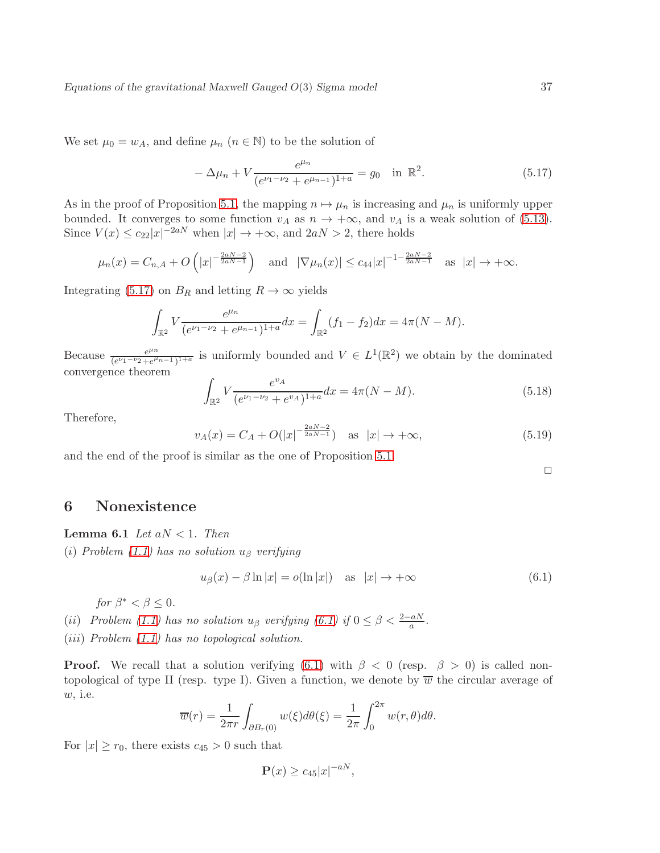We set  $\mu_0 = w_A$ , and define  $\mu_n$   $(n \in \mathbb{N})$  to be the solution of

<span id="page-36-1"></span>
$$
-\Delta\mu_n + V \frac{e^{\mu_n}}{(e^{\nu_1 - \nu_2} + e^{\mu_{n-1}})^{1+a}} = g_0 \quad \text{in } \mathbb{R}^2.
$$
 (5.17)

As in the proof of Proposition [5.1,](#page-32-2) the mapping  $n \mapsto \mu_n$  is increasing and  $\mu_n$  is uniformly upper bounded. It converges to some function  $v_A$  as  $n \to +\infty$ , and  $v_A$  is a weak solution of [\(5.13\)](#page-35-1). Since  $V(x) \leq c_{22}|x|^{-2aN}$  when  $|x| \to +\infty$ , and  $2aN > 2$ , there holds

$$
\mu_n(x) = C_{n,A} + O\left(|x|^{-\frac{2aN-2}{2aN-1}}\right)
$$
 and  $|\nabla \mu_n(x)| \leq c_{44}|x|^{-1-\frac{2aN-2}{2aN-1}}$  as  $|x| \to +\infty$ .

Integrating [\(5.17\)](#page-36-1) on  $B_R$  and letting  $R \to \infty$  yields

$$
\int_{\mathbb{R}^2} V \frac{e^{\mu_n}}{(e^{\nu_1 - \nu_2} + e^{\mu_{n-1}})^{1+a}} dx = \int_{\mathbb{R}^2} (f_1 - f_2) dx = 4\pi (N - M).
$$

Because  $\frac{e^{\mu_n}}{e^{\nu_1-\nu_2}+e^{\mu_1}}$  $\frac{e^{\mu_n}}{(e^{\nu_1-\nu_2}+e^{\mu_{n-1}})^{1+a}}$  is uniformly bounded and  $V \in L^1(\mathbb{R}^2)$  we obtain by the dominated convergence theorem

$$
\int_{\mathbb{R}^2} V \frac{e^{v_A}}{(e^{\nu_1 - \nu_2} + e^{v_A})^{1+a}} dx = 4\pi (N - M).
$$
\n(5.18)

Therefore,

$$
v_A(x) = C_A + O(|x|^{-\frac{2aN-2}{2aN-1}}) \quad \text{as } |x| \to +\infty,
$$
 (5.19)

and the end of the proof is similar as the one of Proposition [5.1.](#page-32-2)

### <span id="page-36-3"></span><span id="page-36-0"></span>6 Nonexistence

**Lemma 6.1** Let  $aN < 1$ . Then

(i) Problem [\(1.1\)](#page-1-1) has no solution  $u_{\beta}$  verifying

<span id="page-36-2"></span>
$$
u_{\beta}(x) - \beta \ln|x| = o(\ln|x|) \quad \text{as} \quad |x| \to +\infty \tag{6.1}
$$

for  $\beta^* < \beta \leq 0$ .

(ii) Problem [\(1.1\)](#page-1-1) has no solution  $u_{\beta}$  verifying [\(6.1\)](#page-36-2) if  $0 \leq \beta < \frac{2-aN}{a}$ .

(*iii*) Problem  $(1.1)$  has no topological solution.

**Proof.** We recall that a solution verifying [\(6.1\)](#page-36-2) with  $\beta < 0$  (resp.  $\beta > 0$ ) is called nontopological of type II (resp. type I). Given a function, we denote by  $\overline{w}$  the circular average of w, i.e.

$$
\overline{w}(r) = \frac{1}{2\pi r} \int_{\partial B_r(0)} w(\xi) d\theta(\xi) = \frac{1}{2\pi} \int_0^{2\pi} w(r,\theta) d\theta.
$$

For  $|x| \ge r_0$ , there exists  $c_{45} > 0$  such that

$$
\mathbf{P}(x) \ge c_{45}|x|^{-aN},
$$

 $\Box$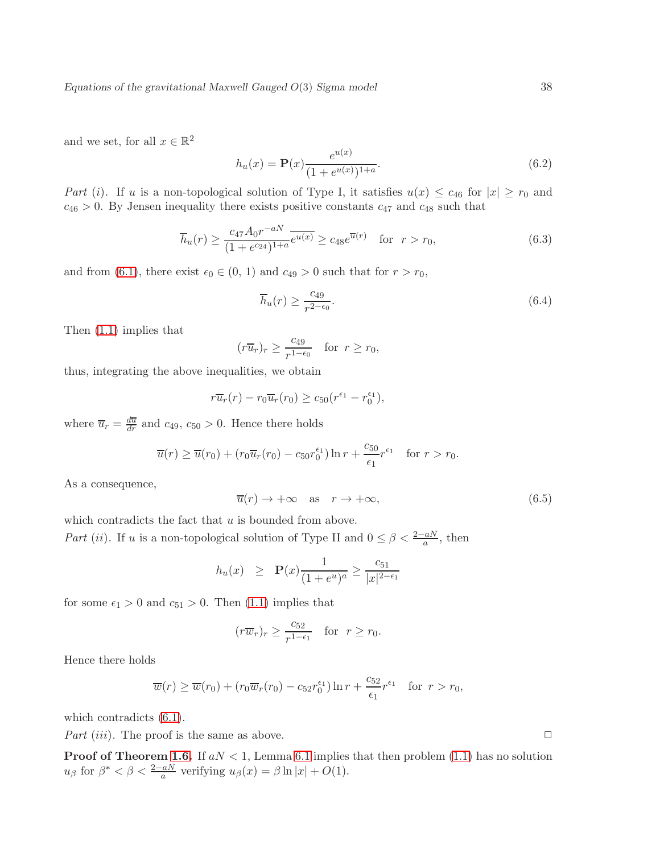and we set, for all  $x \in \mathbb{R}^2$ 

$$
h_u(x) = \mathbf{P}(x) \frac{e^{u(x)}}{(1 + e^{u(x)})^{1+a}}.\tag{6.2}
$$

Part (i). If u is a non-topological solution of Type I, it satisfies  $u(x) \leq c_{46}$  for  $|x| \geq r_0$  and  $c_{46} > 0$ . By Jensen inequality there exists positive constants  $c_{47}$  and  $c_{48}$  such that

$$
\overline{h}_u(r) \ge \frac{c_{47}A_0r^{-aN}}{(1+e^{c_{24}})^{1+a}} \overline{e^{u(x)}} \ge c_{48}e^{\overline{u}(r)} \quad \text{for} \ \ r > r_0,\tag{6.3}
$$

and from [\(6.1\)](#page-36-2), there exist  $\epsilon_0 \in (0, 1)$  and  $c_{49} > 0$  such that for  $r > r_0$ ,

$$
\overline{h}_u(r) \ge \frac{c_{49}}{r^{2-\epsilon_0}}.\tag{6.4}
$$

Then [\(1.1\)](#page-1-1) implies that

$$
(r\overline{u}_r)_r \ge \frac{c_{49}}{r^{1-\epsilon_0}} \quad \text{for } r \ge r_0,
$$

thus, integrating the above inequalities, we obtain

$$
r\overline{u}_r(r) - r_0\overline{u}_r(r_0) \geq c_{50}(r^{\epsilon_1} - r_0^{\epsilon_1}),
$$

where  $\overline{u}_r = \frac{d\overline{u}}{dr}$  and  $c_{49}$ ,  $c_{50} > 0$ . Hence there holds

$$
\overline{u}(r) \ge \overline{u}(r_0) + (r_0 \overline{u}_r(r_0) - c_{50} r_0^{\epsilon_1}) \ln r + \frac{c_{50}}{\epsilon_1} r^{\epsilon_1} \text{ for } r > r_0.
$$

As a consequence,

$$
\overline{u}(r) \to +\infty \quad \text{as} \quad r \to +\infty,\tag{6.5}
$$

which contradicts the fact that  $u$  is bounded from above.

Part (ii). If u is a non-topological solution of Type II and  $0 \leq \beta < \frac{2-aN}{a}$ , then

$$
h_u(x) \geq \mathbf{P}(x) \frac{1}{(1 + e^u)^a} \geq \frac{c_{51}}{|x|^{2-\epsilon_1}}
$$

for some  $\epsilon_1 > 0$  and  $c_{51} > 0$ . Then [\(1.1\)](#page-1-1) implies that

$$
(r\overline{w}_r)_r \ge \frac{c_{52}}{r^{1-\epsilon_1}}
$$
 for  $r \ge r_0$ .

Hence there holds

$$
\overline{w}(r) \ge \overline{w}(r_0) + (r_0 \overline{w}_r(r_0) - c_{52} r_0^{\epsilon_1}) \ln r + \frac{c_{52}}{\epsilon_1} r^{\epsilon_1} \quad \text{for } r > r_0,
$$

which contradicts  $(6.1)$ .

Part (iii). The proof is the same as above.  $\square$ 

**Proof of Theorem [1.6.](#page-7-0)** If  $aN < 1$ , Lemma [6.1](#page-36-3) implies that then problem [\(1.1\)](#page-1-1) has no solution  $u_{\beta}$  for  $\beta^* < \beta < \frac{2-aN}{a}$  verifying  $u_{\beta}(x) = \beta \ln |x| + O(1)$ .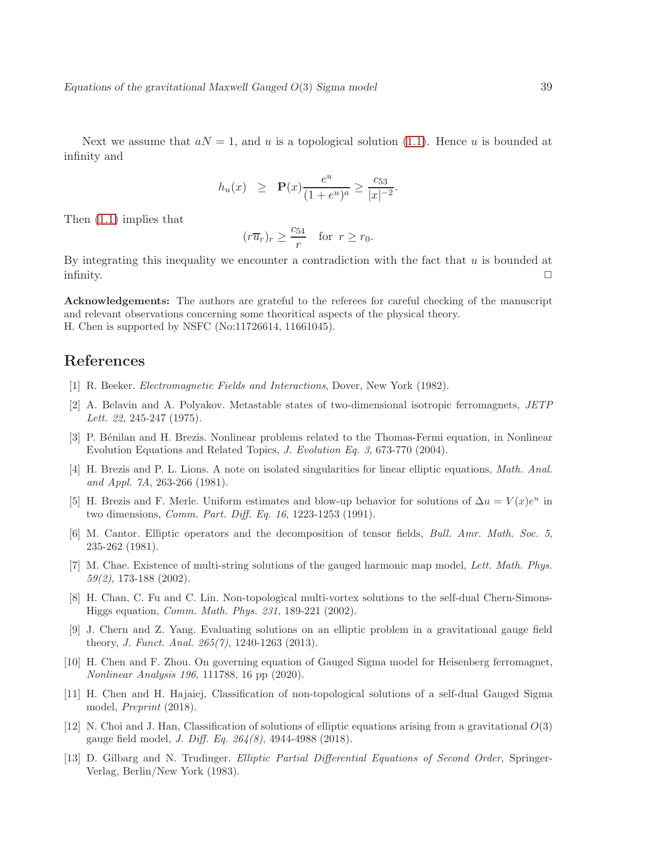Next we assume that  $aN = 1$ , and u is a topological solution [\(1.1\)](#page-1-1). Hence u is bounded at infinity and

$$
h_u(x)
$$
  $\geq$   $\mathbf{P}(x) \frac{e^u}{(1+e^u)^a} \geq \frac{c_{53}}{|x|^{-2}}$ .

Then [\(1.1\)](#page-1-1) implies that

$$
(r\overline{u}_r)_r \ge \frac{c_{54}}{r} \quad \text{for } r \ge r_0.
$$

By integrating this inequality we encounter a contradiction with the fact that  $u$  is bounded at infinity.  $\Box$ 

Acknowledgements: The authors are grateful to the referees for careful checking of the manuscript and relevant observations concerning some theoritical aspects of the physical theory. H. Chen is supported by NSFC (No:11726614, 11661045).

### <span id="page-38-1"></span>References

- <span id="page-38-2"></span>[1] R. Beeker. Electromagnetic Fields and Interactions, Dover, New York (1982).
- [2] A. Belavin and A. Polyakov. Metastable states of two-dimensional isotropic ferromagnets, JETP Lett. 22, 245-247 (1975).
- [3] P. B´enilan and H. Brezis. Nonlinear problems related to the Thomas-Fermi equation, in Nonlinear Evolution Equations and Related Topics, J. Evolution Eq. 3, 673-770 (2004).
- <span id="page-38-8"></span>[4] H. Brezis and P. L. Lions. A note on isolated singularities for linear elliptic equations, Math. Anal. and Appl. 7A, 263-266 (1981).
- <span id="page-38-6"></span>[5] H. Brezis and F. Merle. Uniform estimates and blow-up behavior for solutions of  $\Delta u = V(x)e^u$  in two dimensions, Comm. Part. Diff. Eq. 16, 1223-1253 (1991).
- [6] M. Cantor. Elliptic operators and the decomposition of tensor fields, Bull. Amr. Math. Soc. 5, 235-262 (1981).
- <span id="page-38-3"></span>[7] M. Chae. Existence of multi-string solutions of the gauged harmonic map model, Lett. Math. Phys. 59(2), 173-188 (2002).
- <span id="page-38-5"></span>[8] H. Chan, C. Fu and C. Lin. Non-topological multi-vortex solutions to the self-dual Chern-Simons-Higgs equation, Comm. Math. Phys. 231, 189-221 (2002).
- <span id="page-38-4"></span>[9] J. Chern and Z. Yang. Evaluating solutions on an elliptic problem in a gravitational gauge field theory, J. Funct. Anal. 265(7), 1240-1263 (2013).
- [10] H. Chen and F. Zhou. On governing equation of Gauged Sigma model for Heisenberg ferromagnet, Nonlinear Analysis 196, 111788, 16 pp (2020).
- <span id="page-38-0"></span>[11] H. Chen and H. Hajaiej, Classification of non-topological solutions of a self-dual Gauged Sigma model, Preprint (2018).
- [12] N. Choi and J. Han, Classification of solutions of elliptic equations arising from a gravitational  $O(3)$ gauge field model, J. Diff. Eq. 264(8), 4944-4988 (2018).
- <span id="page-38-7"></span>[13] D. Gilbarg and N. Trudinger. Elliptic Partial Differential Equations of Second Order, Springer-Verlag, Berlin/New York (1983).